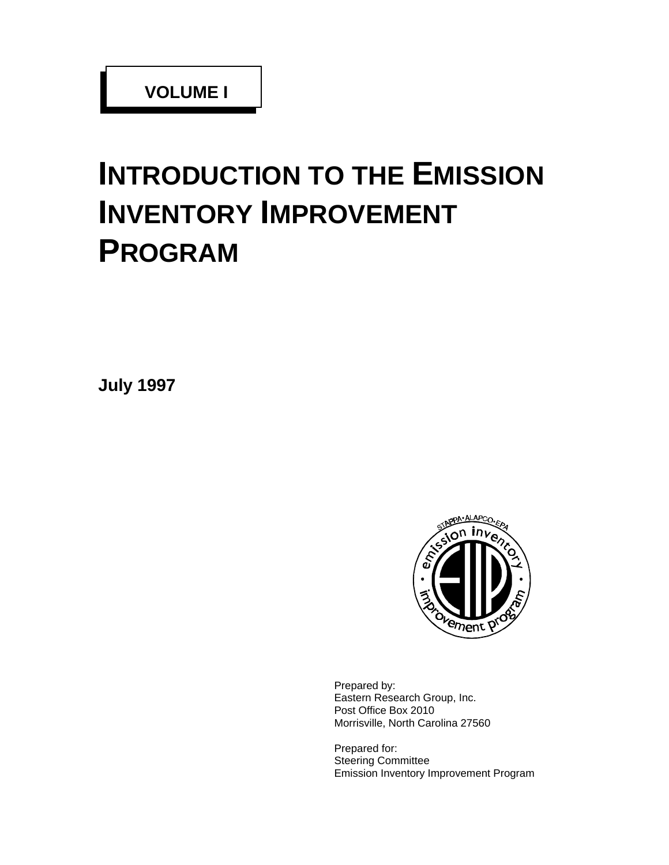# **INTRODUCTION TO THE EMISSION INVENTORY IMPROVEMENT PROGRAM**

**July 1997**



Prepared by: Eastern Research Group, Inc. Post Office Box 2010 Morrisville, North Carolina 27560

Prepared for: Steering Committee Emission Inventory Improvement Program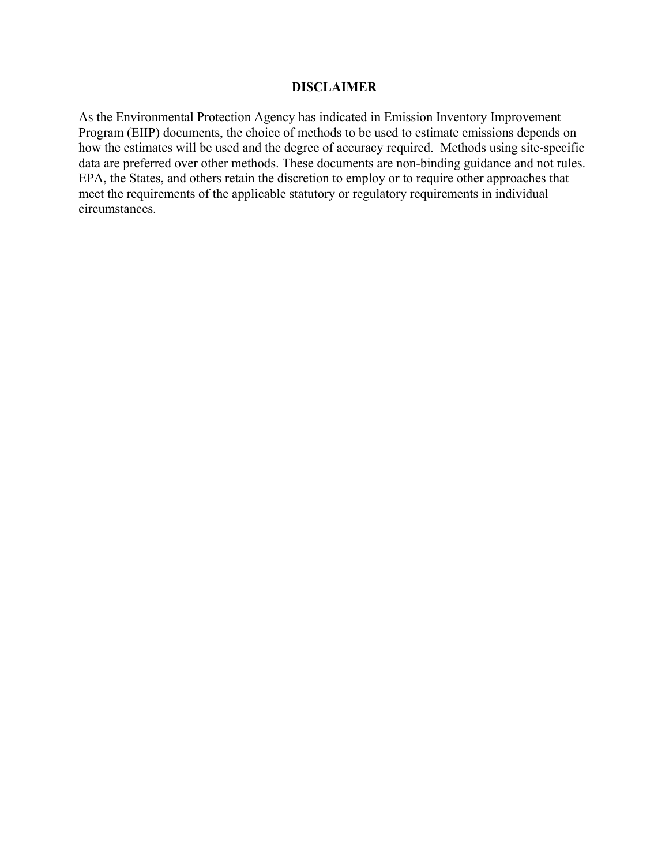#### **DISCLAIMER**

As the Environmental Protection Agency has indicated in Emission Inventory Improvement Program (EIIP) documents, the choice of methods to be used to estimate emissions depends on how the estimates will be used and the degree of accuracy required. Methods using site-specific data are preferred over other methods. These documents are non-binding guidance and not rules. EPA, the States, and others retain the discretion to employ or to require other approaches that meet the requirements of the applicable statutory or regulatory requirements in individual circumstances.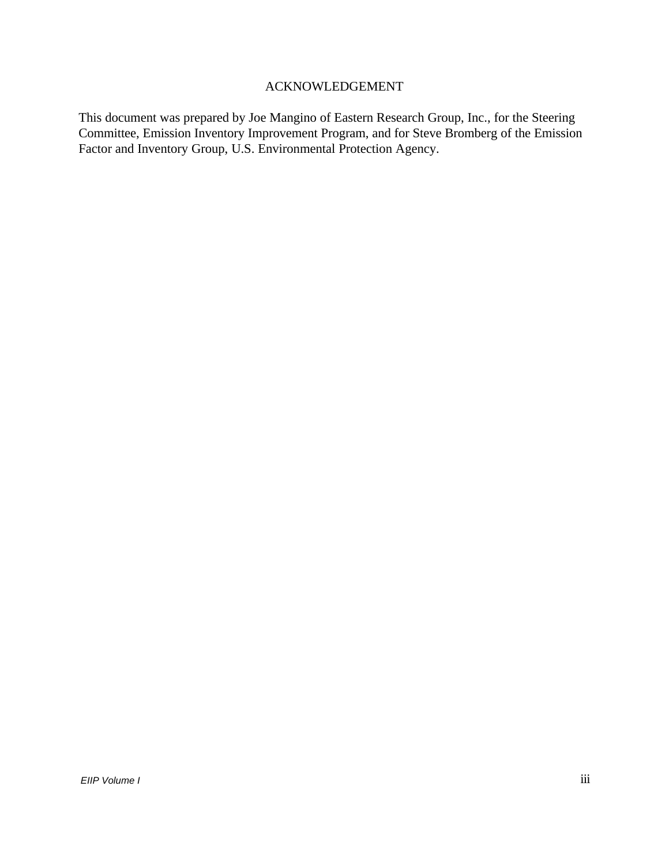#### ACKNOWLEDGEMENT

This document was prepared by Joe Mangino of Eastern Research Group, Inc., for the Steering Committee, Emission Inventory Improvement Program, and for Steve Bromberg of the Emission Factor and Inventory Group, U.S. Environmental Protection Agency.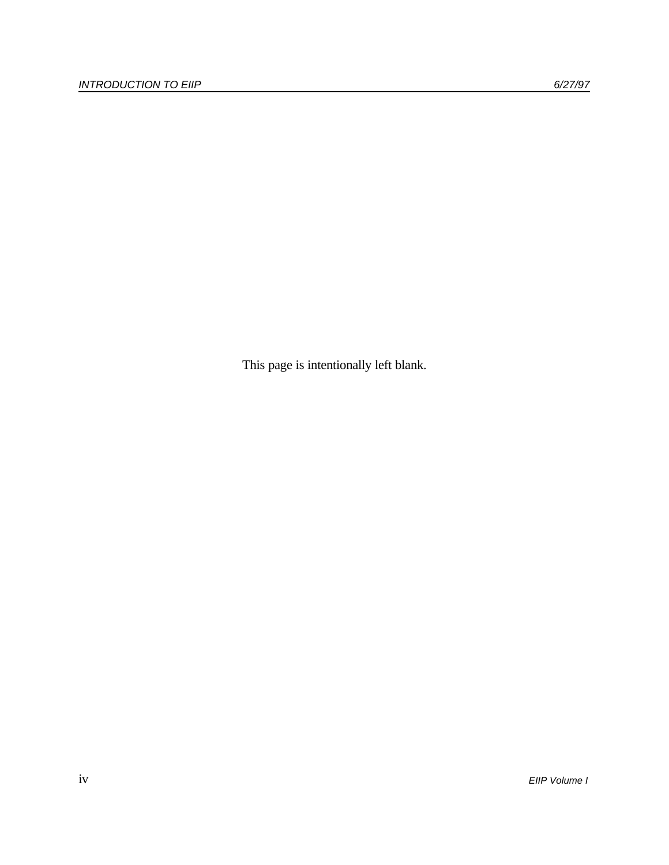This page is intentionally left blank.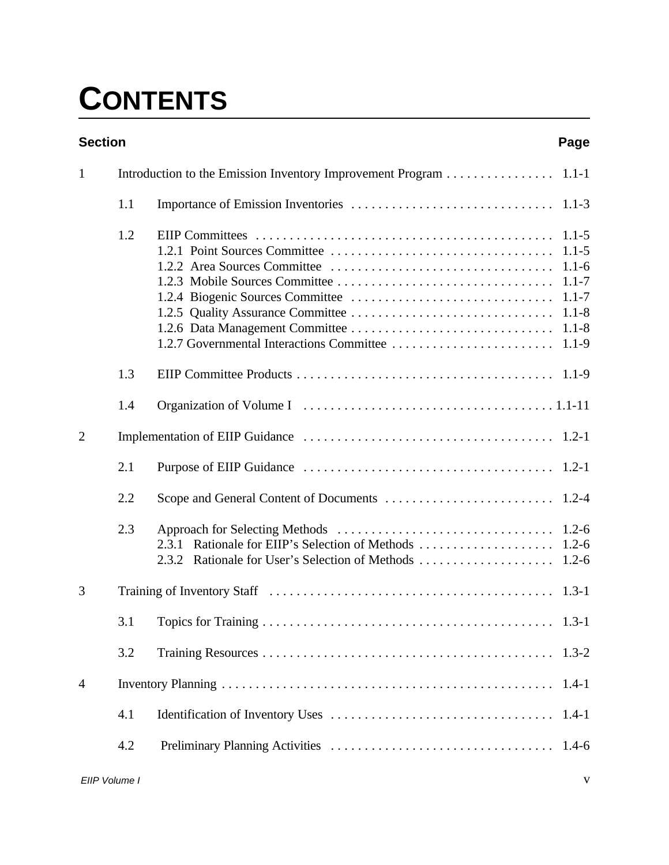# **CONTENTS**

| <b>Section</b> | Page |
|----------------|------|
|                |      |

| $\mathbf{1}$   |     | Introduction to the Emission Inventory Improvement Program 1.1-1                                   |                                                                                                      |
|----------------|-----|----------------------------------------------------------------------------------------------------|------------------------------------------------------------------------------------------------------|
|                | 1.1 |                                                                                                    |                                                                                                      |
|                | 1.2 |                                                                                                    | $1.1 - 5$<br>$1.1 - 5$<br>$1.1 - 6$<br>$1.1 - 7$<br>$1.1 - 7$<br>$1.1 - 8$<br>$1.1 - 8$<br>$1.1 - 9$ |
|                | 1.3 |                                                                                                    |                                                                                                      |
|                | 1.4 |                                                                                                    |                                                                                                      |
| $\overline{2}$ |     |                                                                                                    |                                                                                                      |
|                | 2.1 |                                                                                                    |                                                                                                      |
|                | 2.2 |                                                                                                    |                                                                                                      |
|                | 2.3 | 2.3.1 Rationale for EIIP's Selection of Methods<br>2.3.2 Rationale for User's Selection of Methods | $1.2 - 6$<br>$1.2 - 6$<br>$1.2 - 6$                                                                  |
| 3              |     |                                                                                                    |                                                                                                      |
|                | 3.1 |                                                                                                    | $1.3 - 1$                                                                                            |
|                | 3.2 |                                                                                                    | $1.3 - 2$                                                                                            |
| $\overline{4}$ |     |                                                                                                    | $1.4 - 1$                                                                                            |
|                | 4.1 |                                                                                                    | $1.4 - 1$                                                                                            |
|                | 4.2 |                                                                                                    | $1.4 - 6$                                                                                            |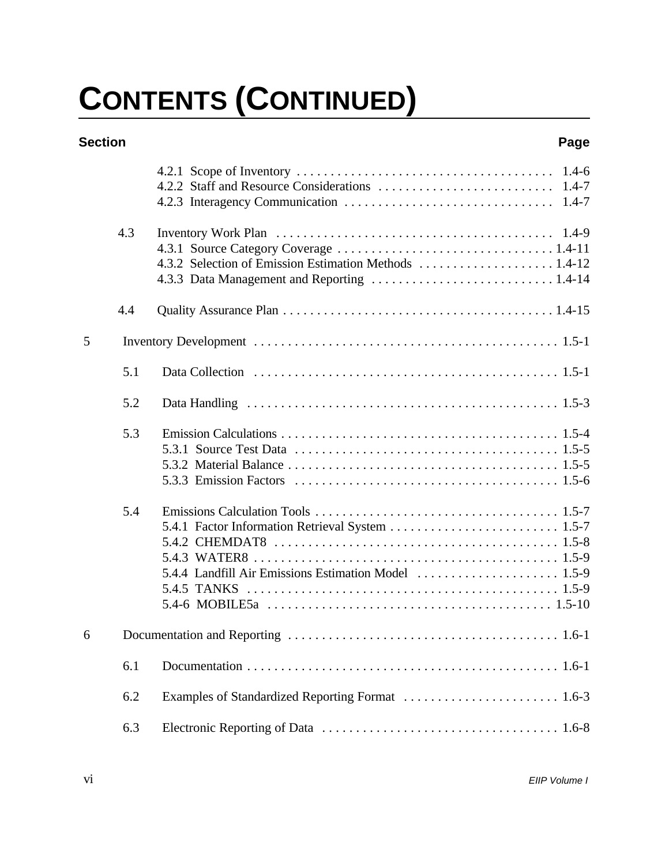# **CONTENTS (CONTINUED)**

#### **Section Page**

|   | 4.3 |  |
|---|-----|--|
|   | 4.4 |  |
| 5 |     |  |
|   | 5.1 |  |
|   | 5.2 |  |
|   | 5.3 |  |
|   | 5.4 |  |
| 6 |     |  |
|   | 6.1 |  |
|   | 6.2 |  |
|   | 6.3 |  |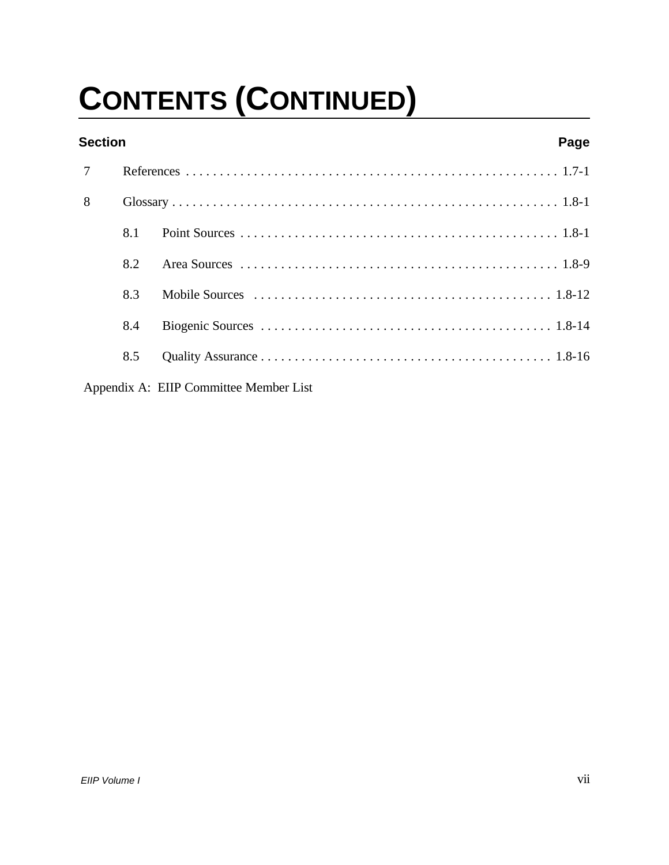# **CONTENTS (CONTINUED)**

| <b>Section</b> |     |                                        | Page |
|----------------|-----|----------------------------------------|------|
| $\overline{7}$ |     |                                        |      |
| 8              |     |                                        |      |
|                | 8.1 |                                        |      |
|                | 8.2 |                                        |      |
|                | 8.3 |                                        |      |
|                | 8.4 |                                        |      |
|                | 8.5 |                                        |      |
|                |     | Appendix A: EIIP Committee Member List |      |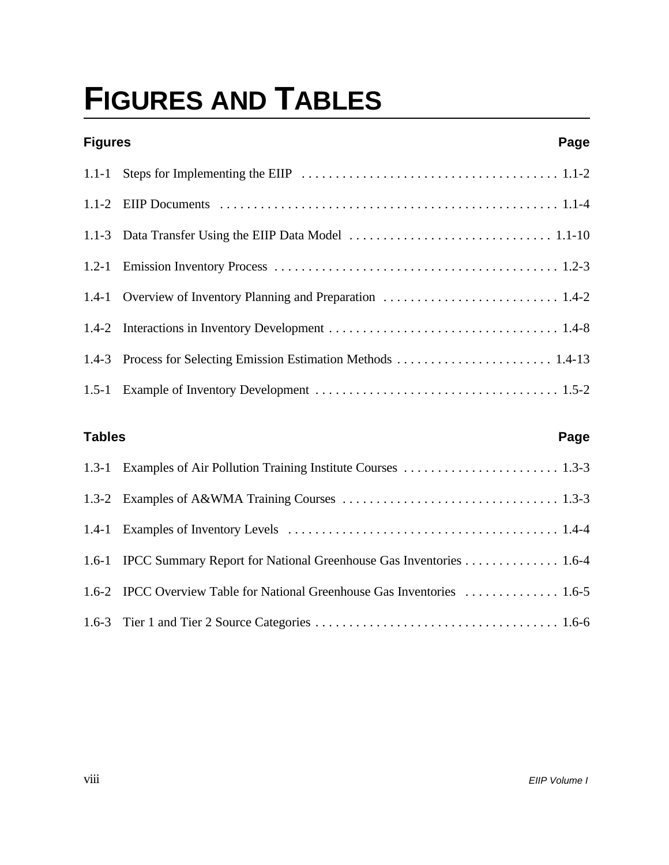# **FIGURES AND TABLES**

| <b>Figures</b> | Page                                                              |
|----------------|-------------------------------------------------------------------|
| $1.1 - 1$      |                                                                   |
| $1.1 - 2$      |                                                                   |
| $1.1 - 3$      |                                                                   |
| $1.2 - 1$      |                                                                   |
| $1.4 - 1$      |                                                                   |
| $1.4 - 2$      |                                                                   |
| $1.4 - 3$      |                                                                   |
|                |                                                                   |
| <b>Tables</b>  | Page                                                              |
|                |                                                                   |
|                |                                                                   |
|                |                                                                   |
| $1.4 - 1$      |                                                                   |
| $1.6 - 1$      | IPCC Summary Report for National Greenhouse Gas Inventories 1.6-4 |
| $1.6 - 2$      |                                                                   |
|                |                                                                   |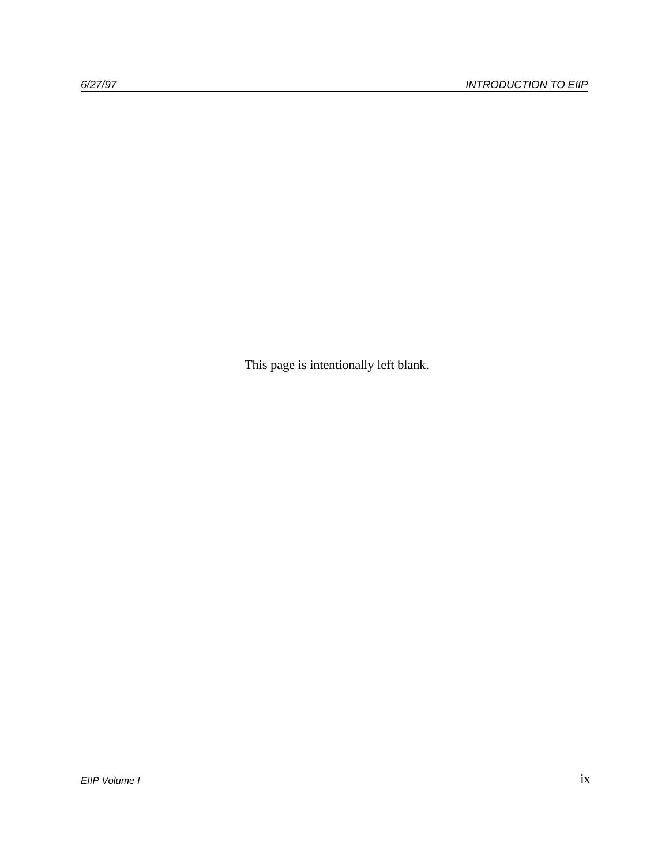This page is intentionally left blank.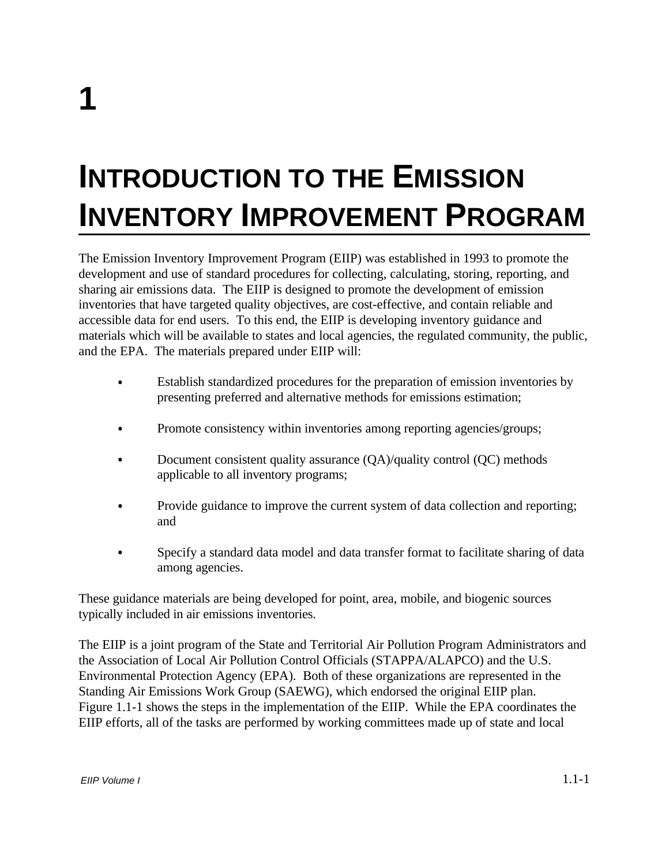# **INTRODUCTION TO THE EMISSION INVENTORY IMPROVEMENT PROGRAM**

The Emission Inventory Improvement Program (EIIP) was established in 1993 to promote the development and use of standard procedures for collecting, calculating, storing, reporting, and sharing air emissions data. The EIIP is designed to promote the development of emission inventories that have targeted quality objectives, are cost-effective, and contain reliable and accessible data for end users. To this end, the EIIP is developing inventory guidance and materials which will be available to states and local agencies, the regulated community, the public, and the EPA. The materials prepared under EIIP will:

- $\bullet$ Establish standardized procedures for the preparation of emission inventories by presenting preferred and alternative methods for emissions estimation;
- Promote consistency within inventories among reporting agencies/groups;  $\bullet$
- Document consistent quality assurance (QA)/quality control (QC) methods  $\bullet$ applicable to all inventory programs;
- Provide guidance to improve the current system of data collection and reporting;  $\bullet$ and
- $\bullet$ Specify a standard data model and data transfer format to facilitate sharing of data among agencies.

These guidance materials are being developed for point, area, mobile, and biogenic sources typically included in air emissions inventories.

The EIIP is a joint program of the State and Territorial Air Pollution Program Administrators and the Association of Local Air Pollution Control Officials (STAPPA/ALAPCO) and the U.S. Environmental Protection Agency (EPA). Both of these organizations are represented in the Standing Air Emissions Work Group (SAEWG), which endorsed the original EIIP plan. Figure 1.1-1 shows the steps in the implementation of the EIIP. While the EPA coordinates the EIIP efforts, all of the tasks are performed by working committees made up of state and local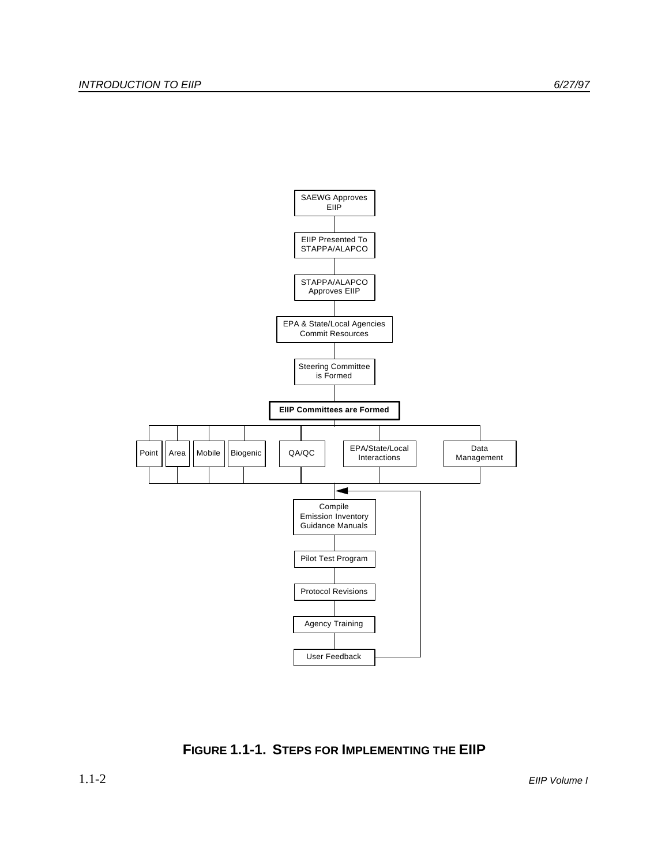

**FIGURE 1.1-1. STEPS FOR IMPLEMENTING THE EIIP**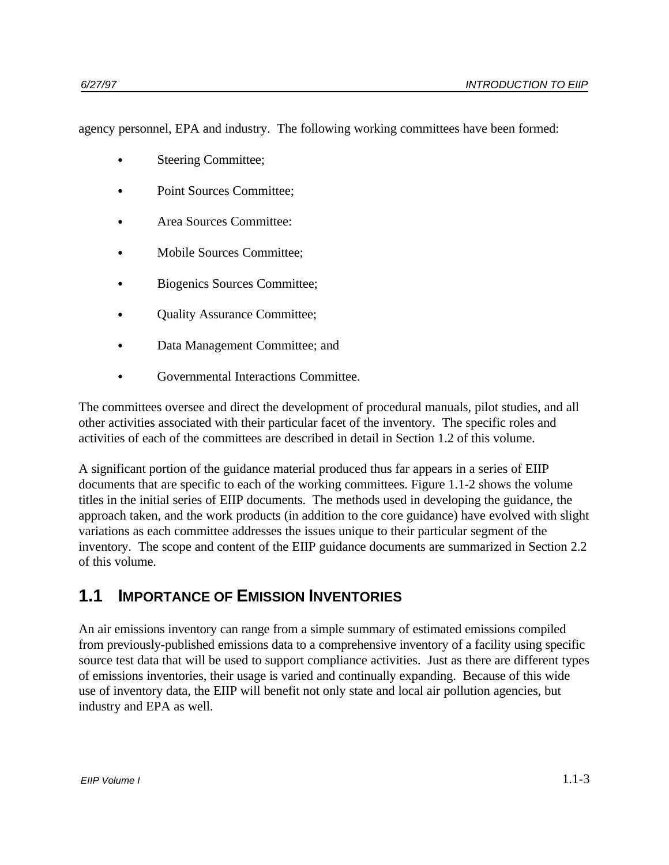agency personnel, EPA and industry. The following working committees have been formed:

- Steering Committee;  $\bullet$
- Point Sources Committee;
- Area Sources Committee:
- $\bullet$ Mobile Sources Committee;
- Biogenics Sources Committee;
- Quality Assurance Committee;
- Data Management Committee; and  $\bullet$
- Governmental Interactions Committee.  $\bullet$

The committees oversee and direct the development of procedural manuals, pilot studies, and all other activities associated with their particular facet of the inventory. The specific roles and activities of each of the committees are described in detail in Section 1.2 of this volume.

A significant portion of the guidance material produced thus far appears in a series of EIIP documents that are specific to each of the working committees. Figure 1.1-2 shows the volume titles in the initial series of EIIP documents. The methods used in developing the guidance, the approach taken, and the work products (in addition to the core guidance) have evolved with slight variations as each committee addresses the issues unique to their particular segment of the inventory. The scope and content of the EIIP guidance documents are summarized in Section 2.2 of this volume.

### **1.1 IMPORTANCE OF EMISSION INVENTORIES**

An air emissions inventory can range from a simple summary of estimated emissions compiled from previously-published emissions data to a comprehensive inventory of a facility using specific source test data that will be used to support compliance activities. Just as there are different types of emissions inventories, their usage is varied and continually expanding. Because of this wide use of inventory data, the EIIP will benefit not only state and local air pollution agencies, but industry and EPA as well.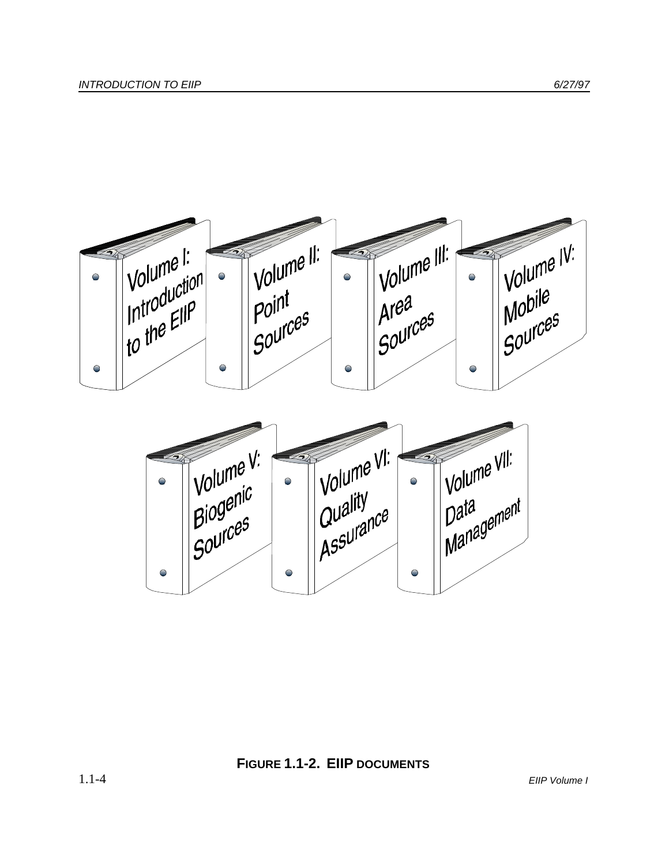

**FIGURE 1.1-2. EIIP DOCUMENTS**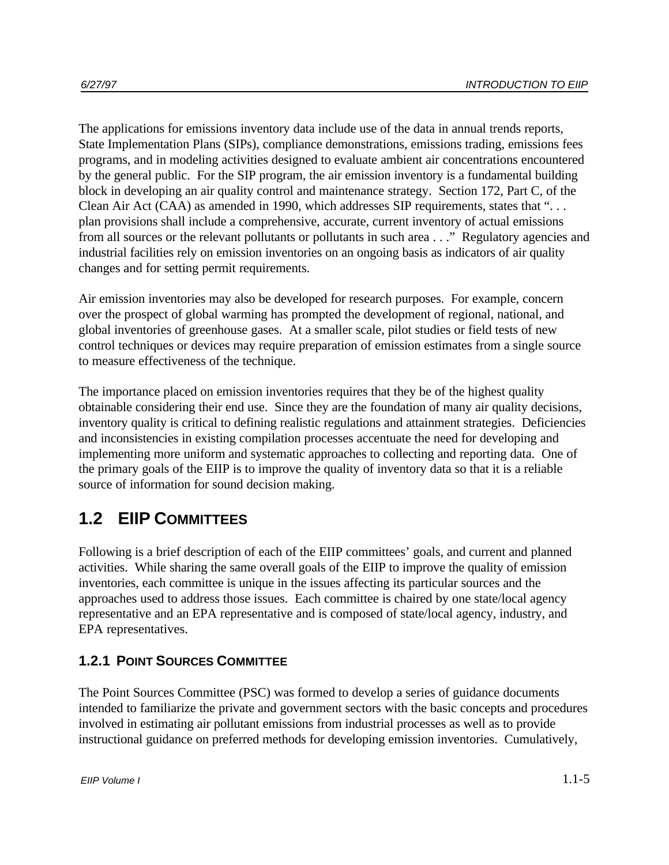The applications for emissions inventory data include use of the data in annual trends reports, State Implementation Plans (SIPs), compliance demonstrations, emissions trading, emissions fees programs, and in modeling activities designed to evaluate ambient air concentrations encountered by the general public. For the SIP program, the air emission inventory is a fundamental building block in developing an air quality control and maintenance strategy. Section 172, Part C, of the Clean Air Act (CAA) as amended in 1990, which addresses SIP requirements, states that "... plan provisions shall include a comprehensive, accurate, current inventory of actual emissions from all sources or the relevant pollutants or pollutants in such area . . ." Regulatory agencies and industrial facilities rely on emission inventories on an ongoing basis as indicators of air quality changes and for setting permit requirements.

Air emission inventories may also be developed for research purposes. For example, concern over the prospect of global warming has prompted the development of regional, national, and global inventories of greenhouse gases. At a smaller scale, pilot studies or field tests of new control techniques or devices may require preparation of emission estimates from a single source to measure effectiveness of the technique.

The importance placed on emission inventories requires that they be of the highest quality obtainable considering their end use. Since they are the foundation of many air quality decisions, inventory quality is critical to defining realistic regulations and attainment strategies. Deficiencies and inconsistencies in existing compilation processes accentuate the need for developing and implementing more uniform and systematic approaches to collecting and reporting data. One of the primary goals of the EIIP is to improve the quality of inventory data so that it is a reliable source of information for sound decision making.

# **1.2 EIIP COMMITTEES**

Following is a brief description of each of the EIIP committees' goals, and current and planned activities. While sharing the same overall goals of the EIIP to improve the quality of emission inventories, each committee is unique in the issues affecting its particular sources and the approaches used to address those issues. Each committee is chaired by one state/local agency representative and an EPA representative and is composed of state/local agency, industry, and EPA representatives.

### **1.2.1 POINT SOURCES COMMITTEE**

The Point Sources Committee (PSC) was formed to develop a series of guidance documents intended to familiarize the private and government sectors with the basic concepts and procedures involved in estimating air pollutant emissions from industrial processes as well as to provide instructional guidance on preferred methods for developing emission inventories. Cumulatively,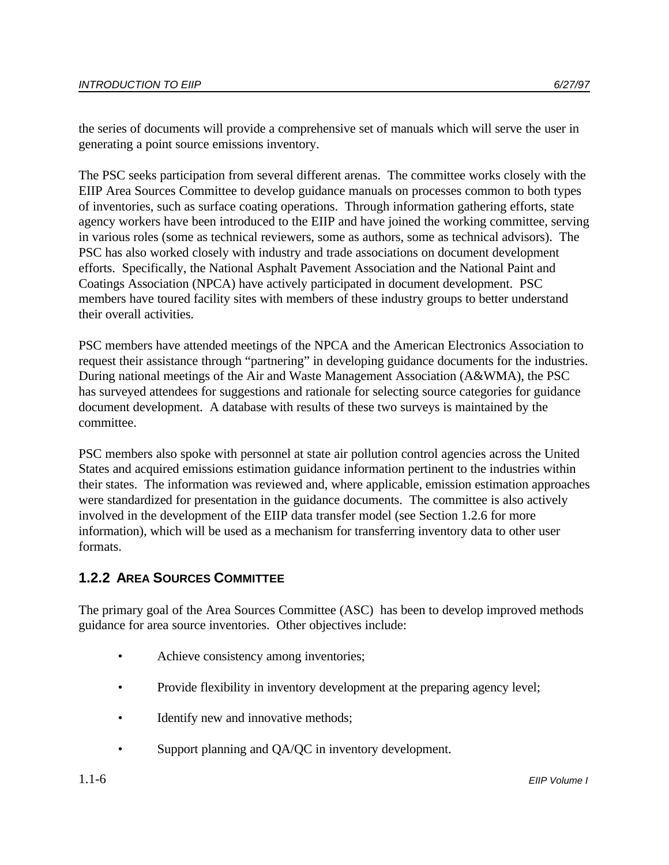the series of documents will provide a comprehensive set of manuals which will serve the user in generating a point source emissions inventory.

The PSC seeks participation from several different arenas. The committee works closely with the EIIP Area Sources Committee to develop guidance manuals on processes common to both types of inventories, such as surface coating operations. Through information gathering efforts, state agency workers have been introduced to the EIIP and have joined the working committee, serving in various roles (some as technical reviewers, some as authors, some as technical advisors). The PSC has also worked closely with industry and trade associations on document development efforts. Specifically, the National Asphalt Pavement Association and the National Paint and Coatings Association (NPCA) have actively participated in document development. PSC members have toured facility sites with members of these industry groups to better understand their overall activities.

PSC members have attended meetings of the NPCA and the American Electronics Association to request their assistance through "partnering" in developing guidance documents for the industries. During national meetings of the Air and Waste Management Association (A&WMA), the PSC has surveyed attendees for suggestions and rationale for selecting source categories for guidance document development. A database with results of these two surveys is maintained by the committee.

PSC members also spoke with personnel at state air pollution control agencies across the United States and acquired emissions estimation guidance information pertinent to the industries within their states. The information was reviewed and, where applicable, emission estimation approaches were standardized for presentation in the guidance documents. The committee is also actively involved in the development of the EIIP data transfer model (see Section 1.2.6 for more information), which will be used as a mechanism for transferring inventory data to other user formats.

#### **1.2.2 AREA SOURCES COMMITTEE**

The primary goal of the Area Sources Committee (ASC) has been to develop improved methods guidance for area source inventories. Other objectives include:

- Achieve consistency among inventories;
- Provide flexibility in inventory development at the preparing agency level;
- Identify new and innovative methods;
- Support planning and QA/QC in inventory development.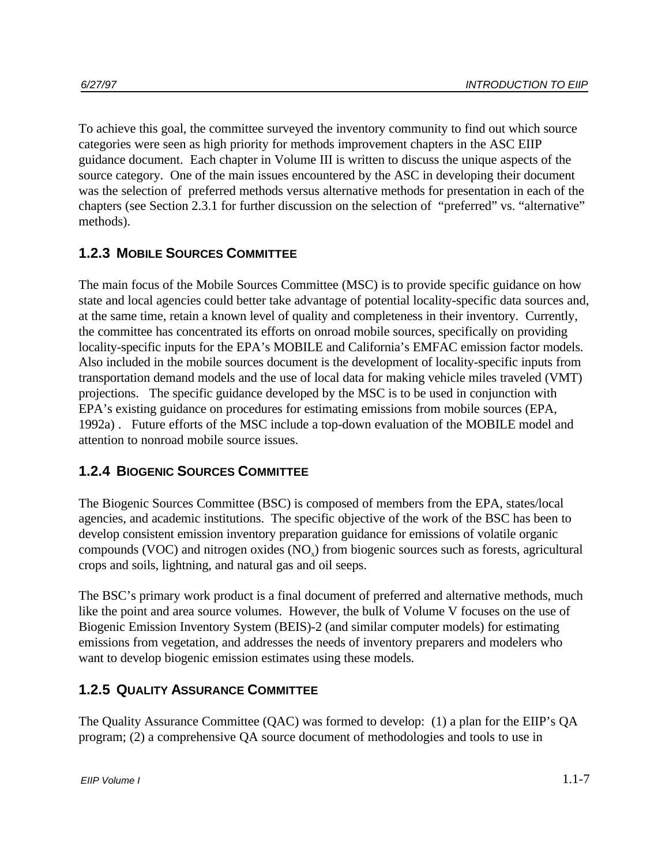To achieve this goal, the committee surveyed the inventory community to find out which source categories were seen as high priority for methods improvement chapters in the ASC EIIP guidance document. Each chapter in Volume III is written to discuss the unique aspects of the source category. One of the main issues encountered by the ASC in developing their document was the selection of preferred methods versus alternative methods for presentation in each of the chapters (see Section 2.3.1 for further discussion on the selection of "preferred" vs. "alternative" methods).

### **1.2.3 MOBILE SOURCES COMMITTEE**

The main focus of the Mobile Sources Committee (MSC) is to provide specific guidance on how state and local agencies could better take advantage of potential locality-specific data sources and, at the same time, retain a known level of quality and completeness in their inventory. Currently, the committee has concentrated its efforts on onroad mobile sources, specifically on providing locality-specific inputs for the EPA's MOBILE and California's EMFAC emission factor models. Also included in the mobile sources document is the development of locality-specific inputs from transportation demand models and the use of local data for making vehicle miles traveled (VMT) projections. The specific guidance developed by the MSC is to be used in conjunction with EPA's existing guidance on procedures for estimating emissions from mobile sources (EPA, 1992a) . Future efforts of the MSC include a top-down evaluation of the MOBILE model and attention to nonroad mobile source issues.

#### **1.2.4 BIOGENIC SOURCES COMMITTEE**

The Biogenic Sources Committee (BSC) is composed of members from the EPA, states/local agencies, and academic institutions. The specific objective of the work of the BSC has been to develop consistent emission inventory preparation guidance for emissions of volatile organic compounds (VOC) and nitrogen oxides  $(NO<sub>x</sub>)$  from biogenic sources such as forests, agricultural crops and soils, lightning, and natural gas and oil seeps.

The BSC's primary work product is a final document of preferred and alternative methods, much like the point and area source volumes. However, the bulk of Volume V focuses on the use of Biogenic Emission Inventory System (BEIS)-2 (and similar computer models) for estimating emissions from vegetation, and addresses the needs of inventory preparers and modelers who want to develop biogenic emission estimates using these models.

### **1.2.5 QUALITY ASSURANCE COMMITTEE**

The Quality Assurance Committee (QAC) was formed to develop: (1) a plan for the EIIP's QA program; (2) a comprehensive QA source document of methodologies and tools to use in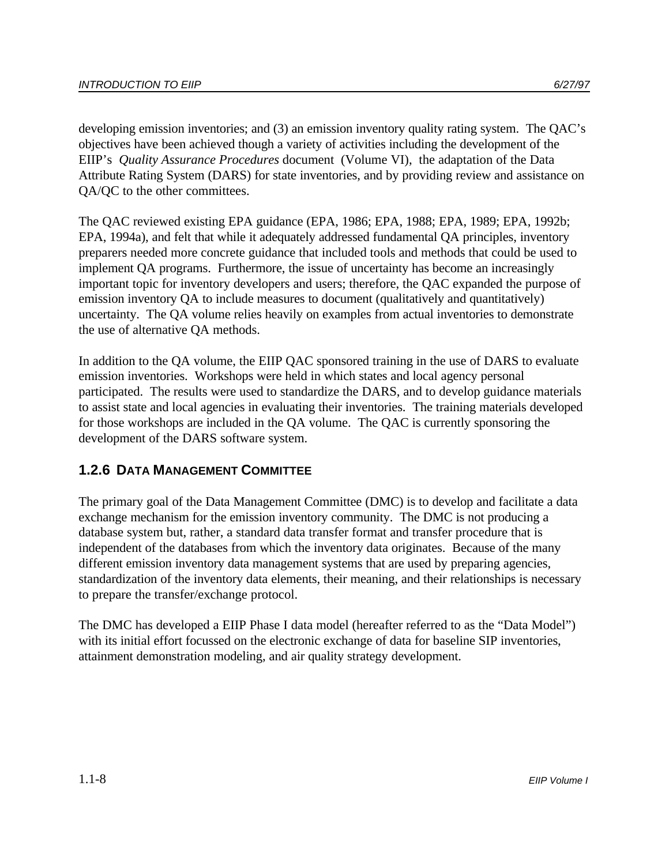developing emission inventories; and (3) an emission inventory quality rating system. The QAC's objectives have been achieved though a variety of activities including the development of the EIIP's *Quality Assurance Procedures* document (Volume VI), the adaptation of the Data Attribute Rating System (DARS) for state inventories, and by providing review and assistance on QA/QC to the other committees.

The QAC reviewed existing EPA guidance (EPA, 1986; EPA, 1988; EPA, 1989; EPA, 1992b; EPA, 1994a), and felt that while it adequately addressed fundamental QA principles, inventory preparers needed more concrete guidance that included tools and methods that could be used to implement QA programs. Furthermore, the issue of uncertainty has become an increasingly important topic for inventory developers and users; therefore, the QAC expanded the purpose of emission inventory QA to include measures to document (qualitatively and quantitatively) uncertainty. The QA volume relies heavily on examples from actual inventories to demonstrate the use of alternative QA methods.

In addition to the QA volume, the EIIP QAC sponsored training in the use of DARS to evaluate emission inventories. Workshops were held in which states and local agency personal participated. The results were used to standardize the DARS, and to develop guidance materials to assist state and local agencies in evaluating their inventories. The training materials developed for those workshops are included in the QA volume. The QAC is currently sponsoring the development of the DARS software system.

#### **1.2.6 DATA MANAGEMENT COMMITTEE**

The primary goal of the Data Management Committee (DMC) is to develop and facilitate a data exchange mechanism for the emission inventory community. The DMC is not producing a database system but, rather, a standard data transfer format and transfer procedure that is independent of the databases from which the inventory data originates. Because of the many different emission inventory data management systems that are used by preparing agencies, standardization of the inventory data elements, their meaning, and their relationships is necessary to prepare the transfer/exchange protocol.

The DMC has developed a EIIP Phase I data model (hereafter referred to as the "Data Model") with its initial effort focussed on the electronic exchange of data for baseline SIP inventories, attainment demonstration modeling, and air quality strategy development.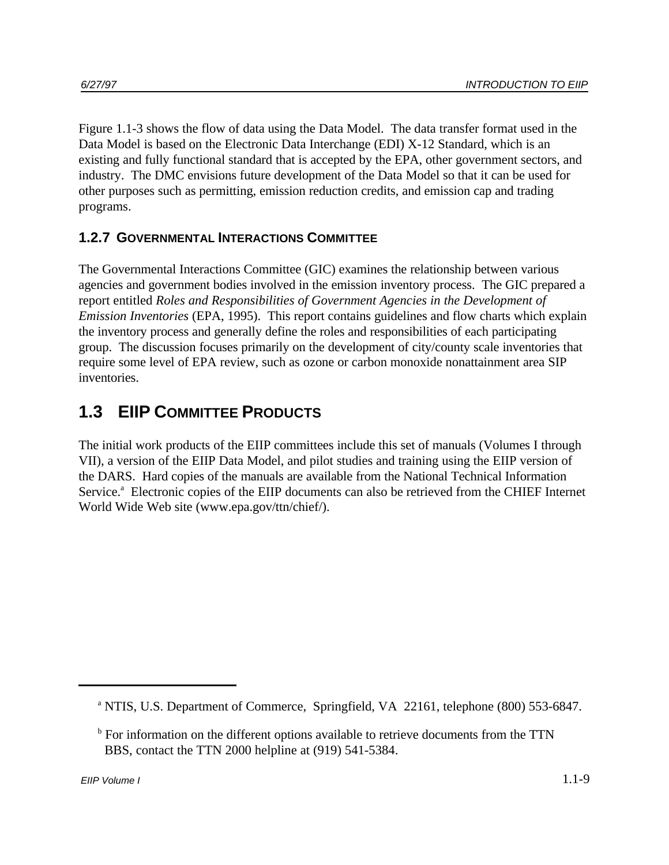Figure 1.1-3 shows the flow of data using the Data Model. The data transfer format used in the Data Model is based on the Electronic Data Interchange (EDI) X-12 Standard, which is an existing and fully functional standard that is accepted by the EPA, other government sectors, and industry. The DMC envisions future development of the Data Model so that it can be used for other purposes such as permitting, emission reduction credits, and emission cap and trading programs.

#### **1.2.7 GOVERNMENTAL INTERACTIONS COMMITTEE**

The Governmental Interactions Committee (GIC) examines the relationship between various agencies and government bodies involved in the emission inventory process. The GIC prepared a report entitled *Roles and Responsibilities of Government Agencies in the Development of Emission Inventories* (EPA, 1995). This report contains guidelines and flow charts which explain the inventory process and generally define the roles and responsibilities of each participating group. The discussion focuses primarily on the development of city/county scale inventories that require some level of EPA review, such as ozone or carbon monoxide nonattainment area SIP inventories.

# **1.3 EIIP COMMITTEE PRODUCTS**

The initial work products of the EIIP committees include this set of manuals (Volumes I through VII), a version of the EIIP Data Model, and pilot studies and training using the EIIP version of the DARS. Hard copies of the manuals are available from the National Technical Information Service.<sup>a</sup> Electronic copies of the EIIP documents can also be retrieved from the CHIEF Internet World Wide Web site (www.epa.gov/ttn/chief/).

<sup>&</sup>lt;sup>a</sup> NTIS, U.S. Department of Commerce, Springfield, VA 22161, telephone (800) 553-6847.

 $\rm^b$  For information on the different options available to retrieve documents from the TTN BBS, contact the TTN 2000 helpline at (919) 541-5384.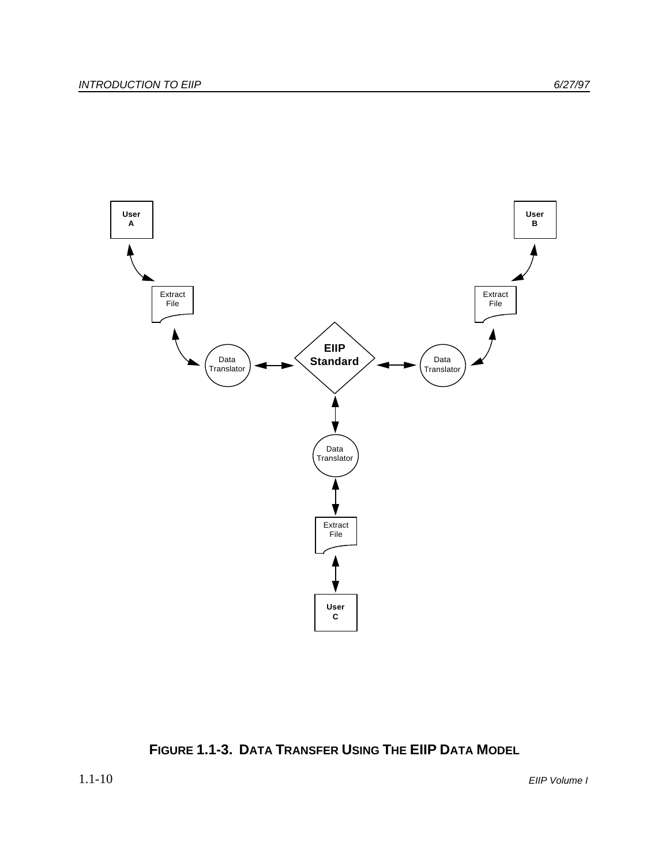

**FIGURE 1.1-3. DATA TRANSFER USING THE EIIP DATA MODEL**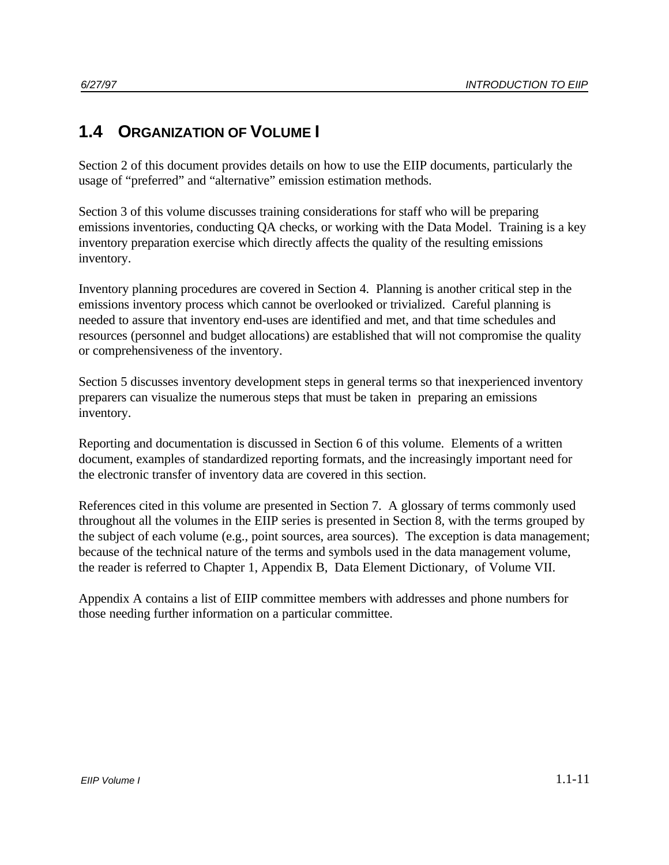# **1.4 ORGANIZATION OF VOLUME I**

Section 2 of this document provides details on how to use the EIIP documents, particularly the usage of "preferred" and "alternative" emission estimation methods.

Section 3 of this volume discusses training considerations for staff who will be preparing emissions inventories, conducting QA checks, or working with the Data Model. Training is a key inventory preparation exercise which directly affects the quality of the resulting emissions inventory.

Inventory planning procedures are covered in Section 4. Planning is another critical step in the emissions inventory process which cannot be overlooked or trivialized. Careful planning is needed to assure that inventory end-uses are identified and met, and that time schedules and resources (personnel and budget allocations) are established that will not compromise the quality or comprehensiveness of the inventory.

Section 5 discusses inventory development steps in general terms so that inexperienced inventory preparers can visualize the numerous steps that must be taken in preparing an emissions inventory.

Reporting and documentation is discussed in Section 6 of this volume. Elements of a written document, examples of standardized reporting formats, and the increasingly important need for the electronic transfer of inventory data are covered in this section.

References cited in this volume are presented in Section 7. A glossary of terms commonly used throughout all the volumes in the EIIP series is presented in Section 8, with the terms grouped by the subject of each volume (e.g., point sources, area sources). The exception is data management; because of the technical nature of the terms and symbols used in the data management volume, the reader is referred to Chapter 1, Appendix B, Data Element Dictionary, of Volume VII.

Appendix A contains a list of EIIP committee members with addresses and phone numbers for those needing further information on a particular committee.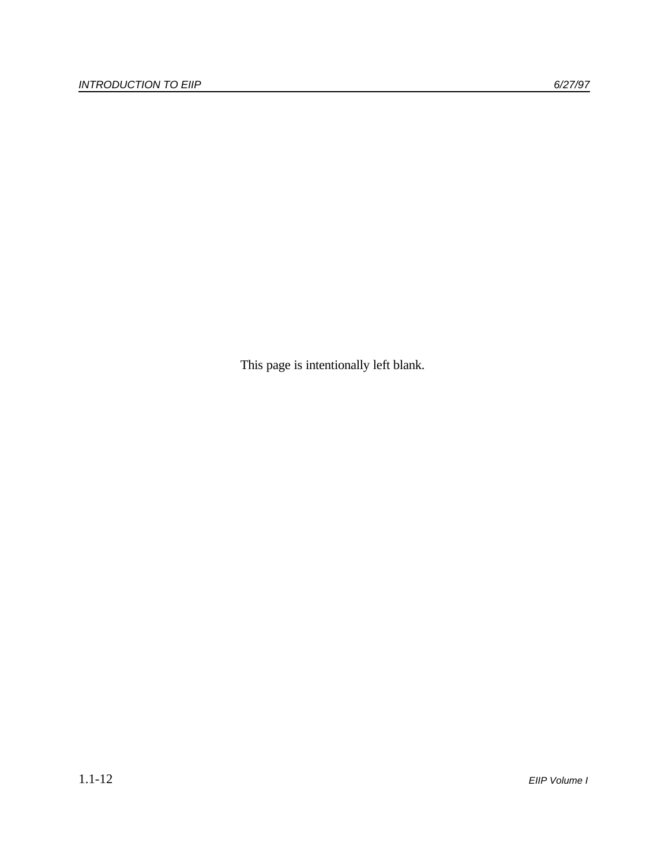This page is intentionally left blank.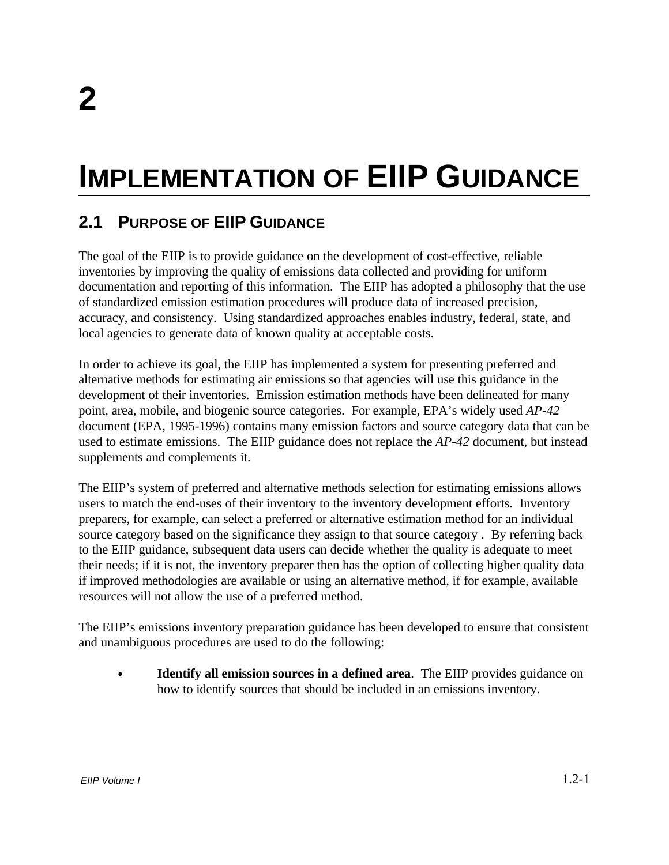# **IMPLEMENTATION OF EIIP GUIDANCE**

# **2.1 PURPOSE OF EIIP GUIDANCE**

The goal of the EIIP is to provide guidance on the development of cost-effective, reliable inventories by improving the quality of emissions data collected and providing for uniform documentation and reporting of this information. The EIIP has adopted a philosophy that the use of standardized emission estimation procedures will produce data of increased precision, accuracy, and consistency. Using standardized approaches enables industry, federal, state, and local agencies to generate data of known quality at acceptable costs.

In order to achieve its goal, the EIIP has implemented a system for presenting preferred and alternative methods for estimating air emissions so that agencies will use this guidance in the development of their inventories. Emission estimation methods have been delineated for many point, area, mobile, and biogenic source categories. For example, EPA's widely used *AP-42* document (EPA, 1995-1996) contains many emission factors and source category data that can be used to estimate emissions. The EIIP guidance does not replace the *AP-42* document, but instead supplements and complements it.

The EIIP's system of preferred and alternative methods selection for estimating emissions allows users to match the end-uses of their inventory to the inventory development efforts. Inventory preparers, for example, can select a preferred or alternative estimation method for an individual source category based on the significance they assign to that source category . By referring back to the EIIP guidance, subsequent data users can decide whether the quality is adequate to meet their needs; if it is not, the inventory preparer then has the option of collecting higher quality data if improved methodologies are available or using an alternative method, if for example, available resources will not allow the use of a preferred method.

The EIIP's emissions inventory preparation guidance has been developed to ensure that consistent and unambiguous procedures are used to do the following:

**Identify all emission sources in a defined area**. The EIIP provides guidance on  $\bullet$ how to identify sources that should be included in an emissions inventory.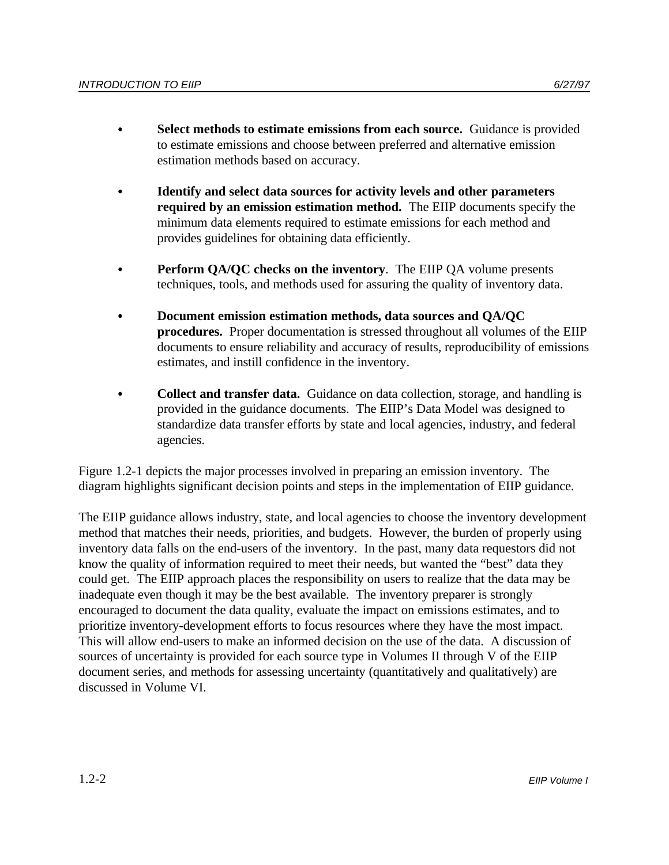- $\bullet$ **Select methods to estimate emissions from each source.** Guidance is provided to estimate emissions and choose between preferred and alternative emission estimation methods based on accuracy.
- **Identify and select data sources for activity levels and other parameters required by an emission estimation method.** The EIIP documents specify the minimum data elements required to estimate emissions for each method and provides guidelines for obtaining data efficiently.
- **Perform QA/QC checks on the inventory**. The EIIP QA volume presents techniques, tools, and methods used for assuring the quality of inventory data.
- **Document emission estimation methods, data sources and QA/QC procedures.** Proper documentation is stressed throughout all volumes of the EIIP documents to ensure reliability and accuracy of results, reproducibility of emissions estimates, and instill confidence in the inventory.
- $\bullet$ **Collect and transfer data.** Guidance on data collection, storage, and handling is provided in the guidance documents. The EIIP's Data Model was designed to standardize data transfer efforts by state and local agencies, industry, and federal agencies.

Figure 1.2-1 depicts the major processes involved in preparing an emission inventory. The diagram highlights significant decision points and steps in the implementation of EIIP guidance.

The EIIP guidance allows industry, state, and local agencies to choose the inventory development method that matches their needs, priorities, and budgets. However, the burden of properly using inventory data falls on the end-users of the inventory. In the past, many data requestors did not know the quality of information required to meet their needs, but wanted the "best" data they could get. The EIIP approach places the responsibility on users to realize that the data may be inadequate even though it may be the best available. The inventory preparer is strongly encouraged to document the data quality, evaluate the impact on emissions estimates, and to prioritize inventory-development efforts to focus resources where they have the most impact. This will allow end-users to make an informed decision on the use of the data. A discussion of sources of uncertainty is provided for each source type in Volumes II through V of the EIIP document series, and methods for assessing uncertainty (quantitatively and qualitatively) are discussed in Volume VI.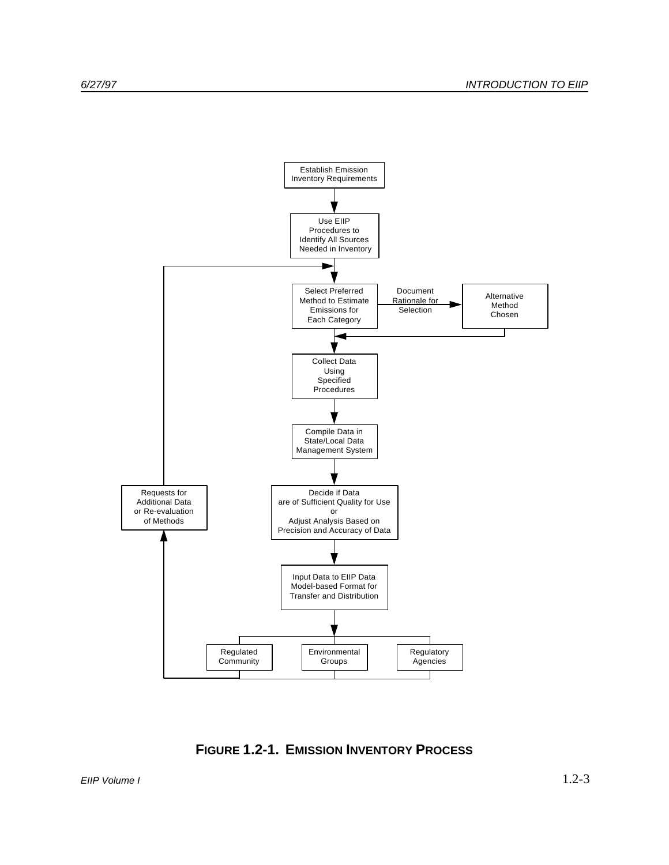

**FIGURE 1.2-1. EMISSION INVENTORY PROCESS**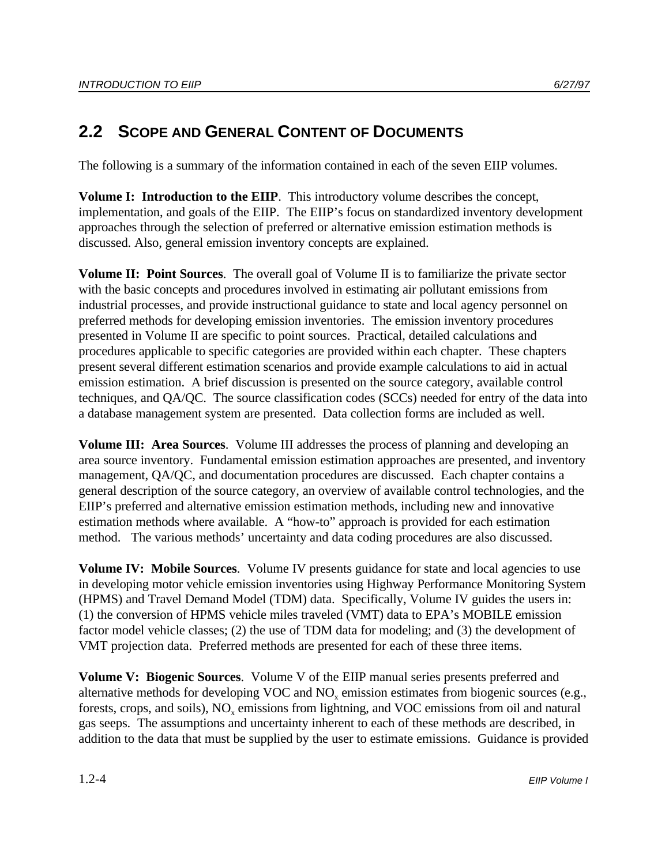# **2.2 SCOPE AND GENERAL CONTENT OF DOCUMENTS**

The following is a summary of the information contained in each of the seven EIIP volumes.

**Volume I: Introduction to the EIIP**. This introductory volume describes the concept, implementation, and goals of the EIIP. The EIIP's focus on standardized inventory development approaches through the selection of preferred or alternative emission estimation methods is discussed. Also, general emission inventory concepts are explained.

**Volume II: Point Sources.** The overall goal of Volume II is to familiarize the private sector with the basic concepts and procedures involved in estimating air pollutant emissions from industrial processes, and provide instructional guidance to state and local agency personnel on preferred methods for developing emission inventories. The emission inventory procedures presented in Volume II are specific to point sources. Practical, detailed calculations and procedures applicable to specific categories are provided within each chapter. These chapters present several different estimation scenarios and provide example calculations to aid in actual emission estimation. A brief discussion is presented on the source category, available control techniques, and QA/QC. The source classification codes (SCCs) needed for entry of the data into a database management system are presented. Data collection forms are included as well.

**Volume III: Area Sources**. Volume III addresses the process of planning and developing an area source inventory. Fundamental emission estimation approaches are presented, and inventory management, QA/QC, and documentation procedures are discussed. Each chapter contains a general description of the source category, an overview of available control technologies, and the EIIP's preferred and alternative emission estimation methods, including new and innovative estimation methods where available. A "how-to" approach is provided for each estimation method. The various methods' uncertainty and data coding procedures are also discussed.

**Volume IV: Mobile Sources.** Volume IV presents guidance for state and local agencies to use in developing motor vehicle emission inventories using Highway Performance Monitoring System (HPMS) and Travel Demand Model (TDM) data. Specifically, Volume IV guides the users in: (1) the conversion of HPMS vehicle miles traveled (VMT) data to EPA's MOBILE emission factor model vehicle classes; (2) the use of TDM data for modeling; and (3) the development of VMT projection data. Preferred methods are presented for each of these three items.

**Volume V: Biogenic Sources**. Volume V of the EIIP manual series presents preferred and alternative methods for developing VOC and  $NO<sub>x</sub>$  emission estimates from biogenic sources (e.g., forests, crops, and soils), NO<sub>v</sub> emissions from lightning, and VOC emissions from oil and natural gas seeps. The assumptions and uncertainty inherent to each of these methods are described, in addition to the data that must be supplied by the user to estimate emissions. Guidance is provided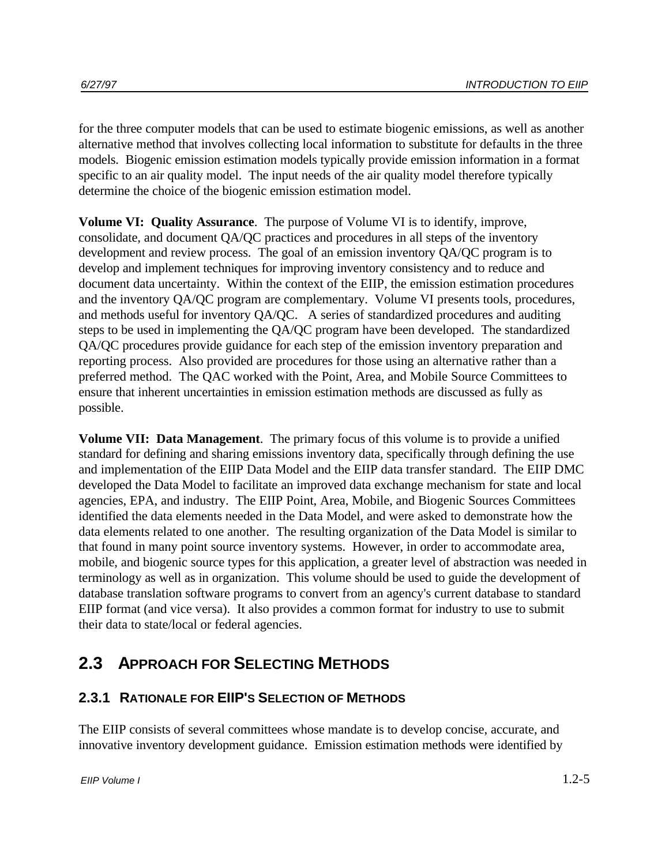for the three computer models that can be used to estimate biogenic emissions, as well as another alternative method that involves collecting local information to substitute for defaults in the three models. Biogenic emission estimation models typically provide emission information in a format specific to an air quality model. The input needs of the air quality model therefore typically determine the choice of the biogenic emission estimation model.

**Volume VI: Quality Assurance**. The purpose of Volume VI is to identify, improve, consolidate, and document QA/QC practices and procedures in all steps of the inventory development and review process. The goal of an emission inventory QA/QC program is to develop and implement techniques for improving inventory consistency and to reduce and document data uncertainty. Within the context of the EIIP, the emission estimation procedures and the inventory QA/QC program are complementary. Volume VI presents tools, procedures, and methods useful for inventory QA/QC. A series of standardized procedures and auditing steps to be used in implementing the QA/QC program have been developed. The standardized QA/QC procedures provide guidance for each step of the emission inventory preparation and reporting process. Also provided are procedures for those using an alternative rather than a preferred method. The QAC worked with the Point, Area, and Mobile Source Committees to ensure that inherent uncertainties in emission estimation methods are discussed as fully as possible.

**Volume VII: Data Management**. The primary focus of this volume is to provide a unified standard for defining and sharing emissions inventory data, specifically through defining the use and implementation of the EIIP Data Model and the EIIP data transfer standard. The EIIP DMC developed the Data Model to facilitate an improved data exchange mechanism for state and local agencies, EPA, and industry. The EIIP Point, Area, Mobile, and Biogenic Sources Committees identified the data elements needed in the Data Model, and were asked to demonstrate how the data elements related to one another. The resulting organization of the Data Model is similar to that found in many point source inventory systems. However, in order to accommodate area, mobile, and biogenic source types for this application, a greater level of abstraction was needed in terminology as well as in organization. This volume should be used to guide the development of database translation software programs to convert from an agency's current database to standard EIIP format (and vice versa). It also provides a common format for industry to use to submit their data to state/local or federal agencies.

# **2.3 APPROACH FOR SELECTING METHODS**

### **2.3.1 RATIONALE FOR EIIP'S SELECTION OF METHODS**

The EIIP consists of several committees whose mandate is to develop concise, accurate, and innovative inventory development guidance. Emission estimation methods were identified by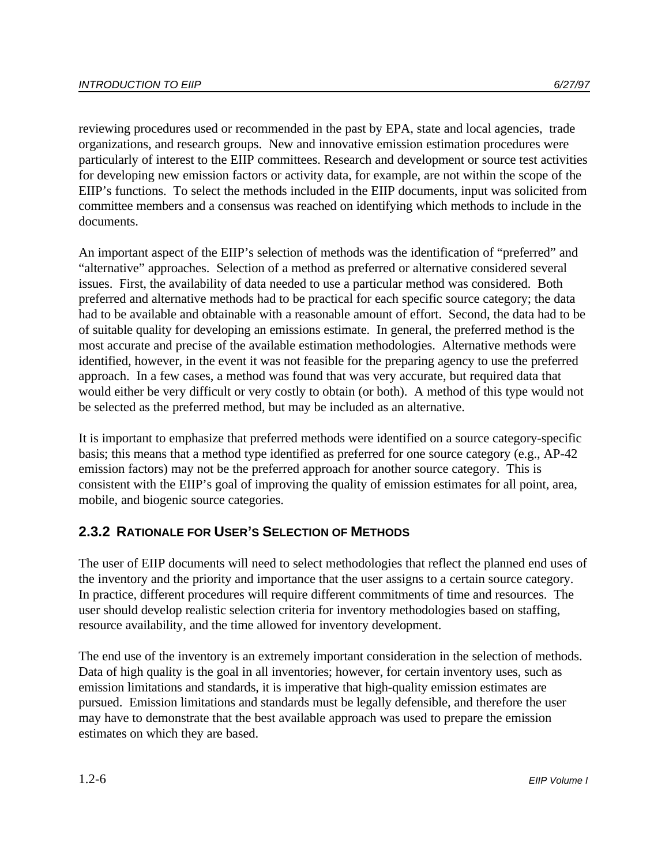reviewing procedures used or recommended in the past by EPA, state and local agencies, trade organizations, and research groups. New and innovative emission estimation procedures were particularly of interest to the EIIP committees. Research and development or source test activities for developing new emission factors or activity data, for example, are not within the scope of the EIIP's functions. To select the methods included in the EIIP documents, input was solicited from committee members and a consensus was reached on identifying which methods to include in the documents.

An important aspect of the EIIP's selection of methods was the identification of "preferred" and "alternative" approaches. Selection of a method as preferred or alternative considered several issues. First, the availability of data needed to use a particular method was considered. Both preferred and alternative methods had to be practical for each specific source category; the data had to be available and obtainable with a reasonable amount of effort. Second, the data had to be of suitable quality for developing an emissions estimate. In general, the preferred method is the most accurate and precise of the available estimation methodologies. Alternative methods were identified, however, in the event it was not feasible for the preparing agency to use the preferred approach. In a few cases, a method was found that was very accurate, but required data that would either be very difficult or very costly to obtain (or both). A method of this type would not be selected as the preferred method, but may be included as an alternative.

It is important to emphasize that preferred methods were identified on a source category-specific basis; this means that a method type identified as preferred for one source category (e.g., AP-42 emission factors) may not be the preferred approach for another source category. This is consistent with the EIIP's goal of improving the quality of emission estimates for all point, area, mobile, and biogenic source categories.

#### **2.3.2 RATIONALE FOR USER'S SELECTION OF METHODS**

The user of EIIP documents will need to select methodologies that reflect the planned end uses of the inventory and the priority and importance that the user assigns to a certain source category. In practice, different procedures will require different commitments of time and resources. The user should develop realistic selection criteria for inventory methodologies based on staffing, resource availability, and the time allowed for inventory development.

The end use of the inventory is an extremely important consideration in the selection of methods. Data of high quality is the goal in all inventories; however, for certain inventory uses, such as emission limitations and standards, it is imperative that high-quality emission estimates are pursued. Emission limitations and standards must be legally defensible, and therefore the user may have to demonstrate that the best available approach was used to prepare the emission estimates on which they are based.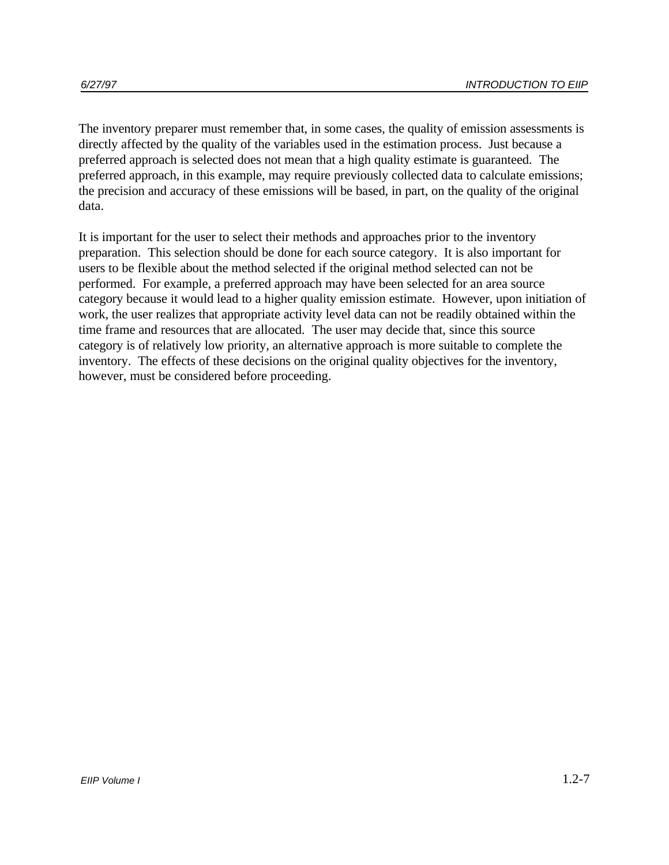The inventory preparer must remember that, in some cases, the quality of emission assessments is directly affected by the quality of the variables used in the estimation process. Just because a preferred approach is selected does not mean that a high quality estimate is guaranteed. The preferred approach, in this example, may require previously collected data to calculate emissions; the precision and accuracy of these emissions will be based, in part, on the quality of the original data.

It is important for the user to select their methods and approaches prior to the inventory preparation. This selection should be done for each source category. It is also important for users to be flexible about the method selected if the original method selected can not be performed. For example, a preferred approach may have been selected for an area source category because it would lead to a higher quality emission estimate. However, upon initiation of work, the user realizes that appropriate activity level data can not be readily obtained within the time frame and resources that are allocated. The user may decide that, since this source category is of relatively low priority, an alternative approach is more suitable to complete the inventory. The effects of these decisions on the original quality objectives for the inventory, however, must be considered before proceeding.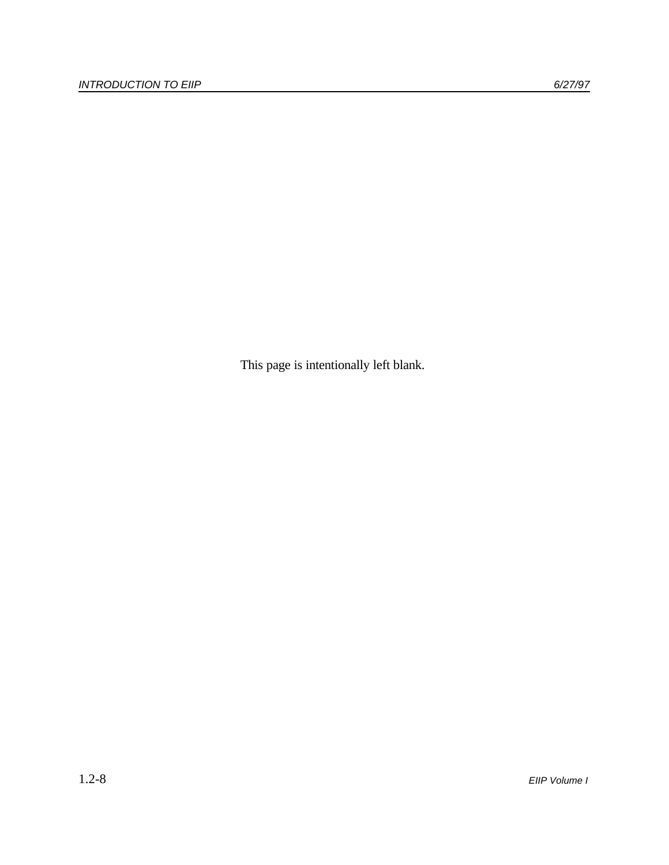This page is intentionally left blank.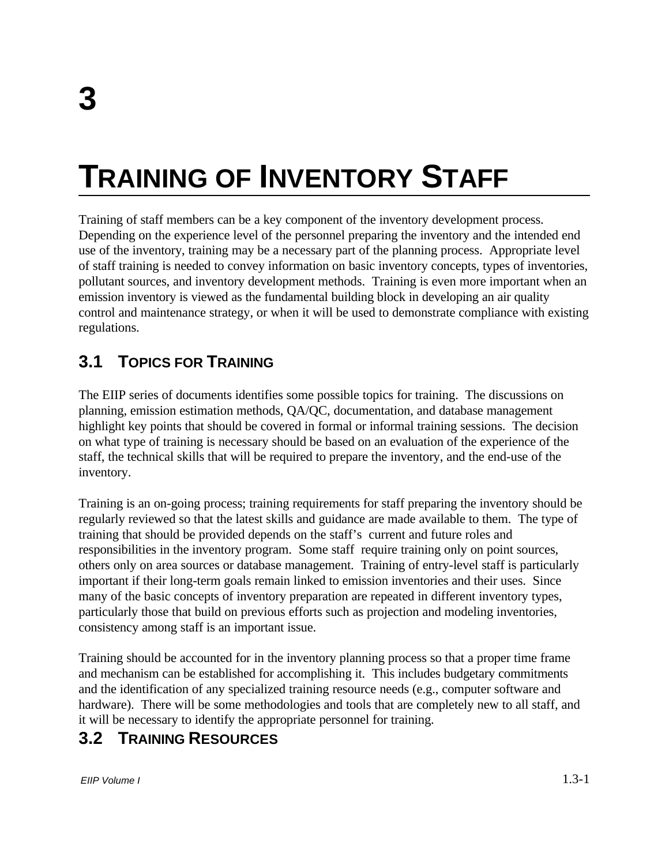# **TRAINING OF INVENTORY STAFF**

Training of staff members can be a key component of the inventory development process. Depending on the experience level of the personnel preparing the inventory and the intended end use of the inventory, training may be a necessary part of the planning process. Appropriate level of staff training is needed to convey information on basic inventory concepts, types of inventories, pollutant sources, and inventory development methods. Training is even more important when an emission inventory is viewed as the fundamental building block in developing an air quality control and maintenance strategy, or when it will be used to demonstrate compliance with existing regulations.

# **3.1 TOPICS FOR TRAINING**

The EIIP series of documents identifies some possible topics for training. The discussions on planning, emission estimation methods, QA/QC, documentation, and database management highlight key points that should be covered in formal or informal training sessions. The decision on what type of training is necessary should be based on an evaluation of the experience of the staff, the technical skills that will be required to prepare the inventory, and the end-use of the inventory.

Training is an on-going process; training requirements for staff preparing the inventory should be regularly reviewed so that the latest skills and guidance are made available to them. The type of training that should be provided depends on the staff's current and future roles and responsibilities in the inventory program. Some staff require training only on point sources, others only on area sources or database management. Training of entry-level staff is particularly important if their long-term goals remain linked to emission inventories and their uses. Since many of the basic concepts of inventory preparation are repeated in different inventory types, particularly those that build on previous efforts such as projection and modeling inventories, consistency among staff is an important issue.

Training should be accounted for in the inventory planning process so that a proper time frame and mechanism can be established for accomplishing it. This includes budgetary commitments and the identification of any specialized training resource needs (e.g., computer software and hardware). There will be some methodologies and tools that are completely new to all staff, and it will be necessary to identify the appropriate personnel for training.

## **3.2 TRAINING RESOURCES**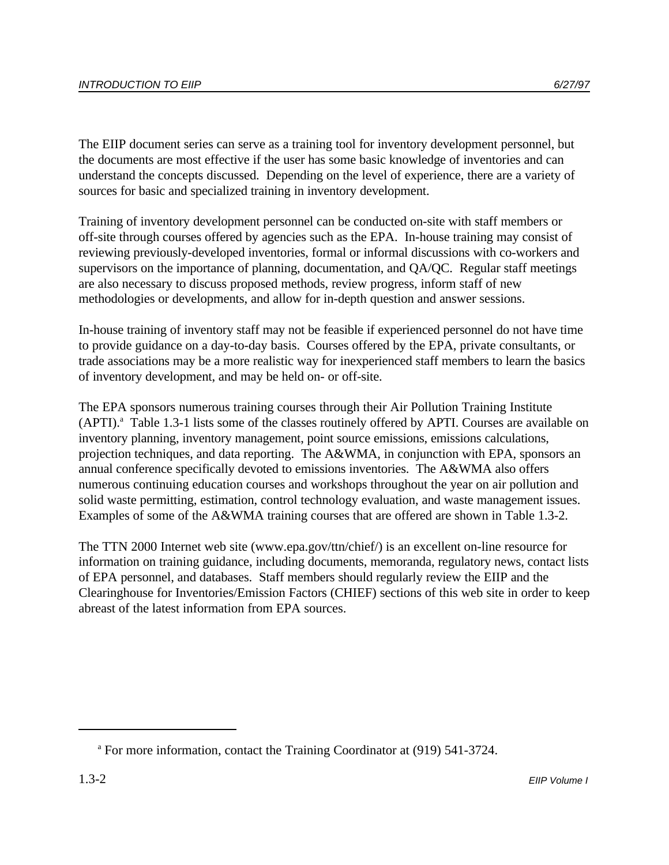The EIIP document series can serve as a training tool for inventory development personnel, but the documents are most effective if the user has some basic knowledge of inventories and can understand the concepts discussed. Depending on the level of experience, there are a variety of sources for basic and specialized training in inventory development.

Training of inventory development personnel can be conducted on-site with staff members or off-site through courses offered by agencies such as the EPA. In-house training may consist of reviewing previously-developed inventories, formal or informal discussions with co-workers and supervisors on the importance of planning, documentation, and QA/QC. Regular staff meetings are also necessary to discuss proposed methods, review progress, inform staff of new methodologies or developments, and allow for in-depth question and answer sessions.

In-house training of inventory staff may not be feasible if experienced personnel do not have time to provide guidance on a day-to-day basis. Courses offered by the EPA, private consultants, or trade associations may be a more realistic way for inexperienced staff members to learn the basics of inventory development, and may be held on- or off-site.

The EPA sponsors numerous training courses through their Air Pollution Training Institute (APTI). Table 1.3-1 lists some of the classes routinely offered by APTI. Courses are available on <sup>a</sup> inventory planning, inventory management, point source emissions, emissions calculations, projection techniques, and data reporting. The A&WMA, in conjunction with EPA, sponsors an annual conference specifically devoted to emissions inventories. The A&WMA also offers numerous continuing education courses and workshops throughout the year on air pollution and solid waste permitting, estimation, control technology evaluation, and waste management issues. Examples of some of the A&WMA training courses that are offered are shown in Table 1.3-2.

The TTN 2000 Internet web site (www.epa.gov/ttn/chief/) is an excellent on-line resource for information on training guidance, including documents, memoranda, regulatory news, contact lists of EPA personnel, and databases. Staff members should regularly review the EIIP and the Clearinghouse for Inventories/Emission Factors (CHIEF) sections of this web site in order to keep abreast of the latest information from EPA sources.

 $^{\circ}$  For more information, contact the Training Coordinator at (919) 541-3724.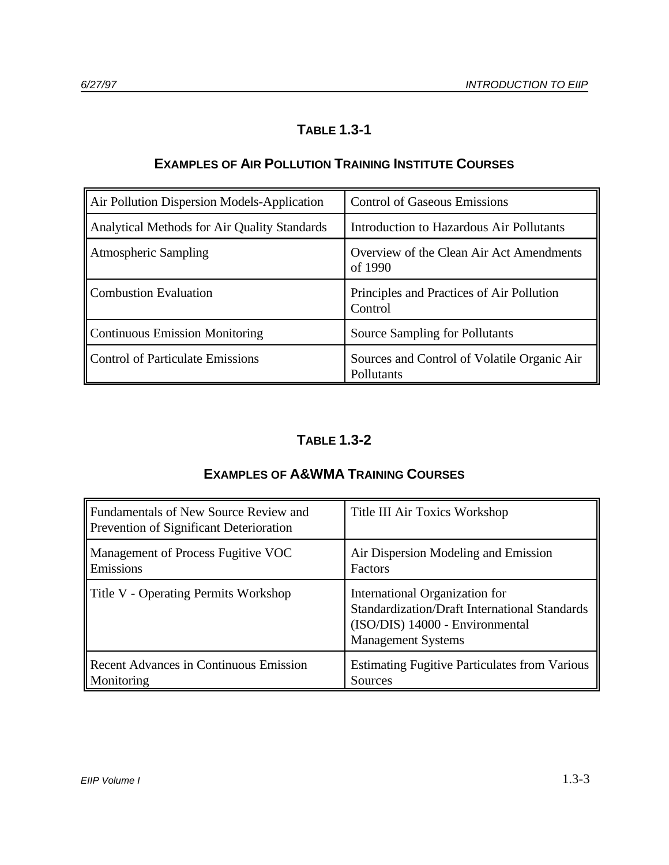### **TABLE 1.3-1**

| Air Pollution Dispersion Models-Application  | <b>Control of Gaseous Emissions</b>                       |
|----------------------------------------------|-----------------------------------------------------------|
| Analytical Methods for Air Quality Standards | Introduction to Hazardous Air Pollutants                  |
| <b>Atmospheric Sampling</b>                  | Overview of the Clean Air Act Amendments<br>of 1990       |
| <b>Combustion Evaluation</b>                 | Principles and Practices of Air Pollution<br>Control      |
| <b>Continuous Emission Monitoring</b>        | Source Sampling for Pollutants                            |
| Control of Particulate Emissions             | Sources and Control of Volatile Organic Air<br>Pollutants |

### **TABLE 1.3-2**

### **EXAMPLES OF A&WMA TRAINING COURSES**

| Fundamentals of New Source Review and<br>Prevention of Significant Deterioration | Title III Air Toxics Workshop                                                                                                                          |
|----------------------------------------------------------------------------------|--------------------------------------------------------------------------------------------------------------------------------------------------------|
| Management of Process Fugitive VOC                                               | Air Dispersion Modeling and Emission                                                                                                                   |
| Emissions                                                                        | <b>Factors</b>                                                                                                                                         |
| Title V - Operating Permits Workshop                                             | International Organization for<br><b>Standardization/Draft International Standards</b><br>(ISO/DIS) 14000 - Environmental<br><b>Management Systems</b> |
| <b>Recent Advances in Continuous Emission</b>                                    | <b>Estimating Fugitive Particulates from Various</b>                                                                                                   |
| Monitoring                                                                       | Sources                                                                                                                                                |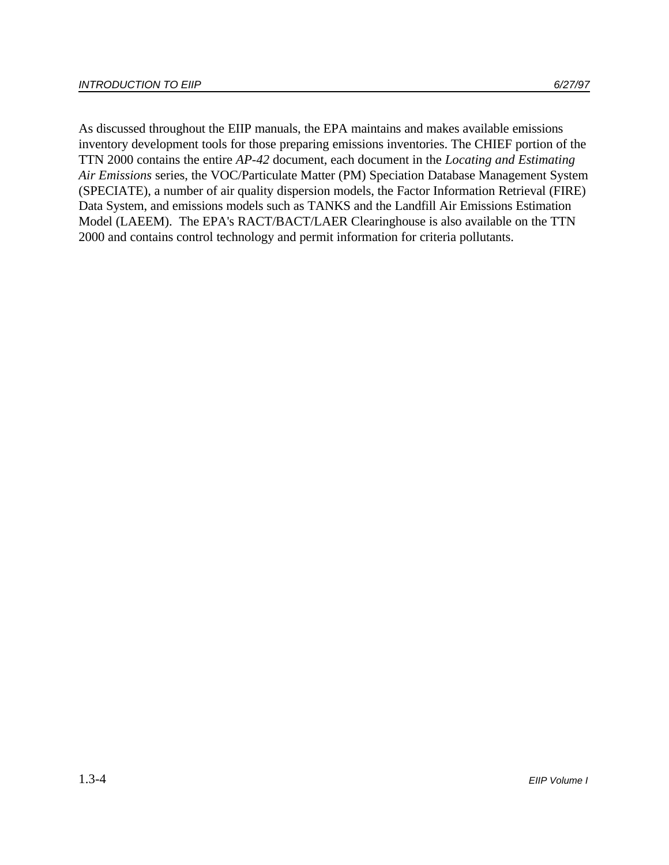As discussed throughout the EIIP manuals, the EPA maintains and makes available emissions inventory development tools for those preparing emissions inventories. The CHIEF portion of the TTN 2000 contains the entire *AP-42* document, each document in the *Locating and Estimating Air Emissions* series, the VOC/Particulate Matter (PM) Speciation Database Management System (SPECIATE), a number of air quality dispersion models, the Factor Information Retrieval (FIRE) Data System, and emissions models such as TANKS and the Landfill Air Emissions Estimation Model (LAEEM). The EPA's RACT/BACT/LAER Clearinghouse is also available on the TTN 2000 and contains control technology and permit information for criteria pollutants.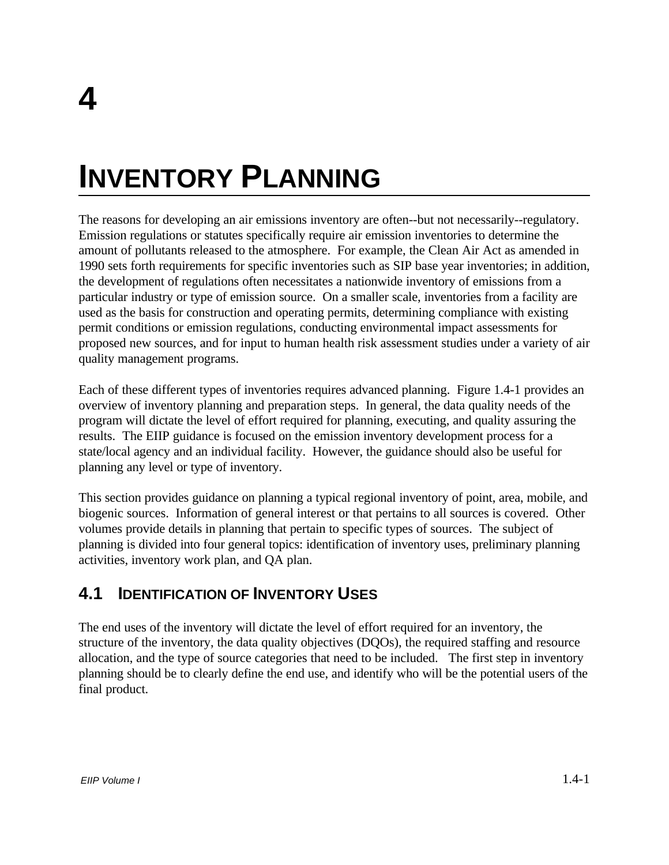# **INVENTORY PLANNING**

The reasons for developing an air emissions inventory are often--but not necessarily--regulatory. Emission regulations or statutes specifically require air emission inventories to determine the amount of pollutants released to the atmosphere. For example, the Clean Air Act as amended in 1990 sets forth requirements for specific inventories such as SIP base year inventories; in addition, the development of regulations often necessitates a nationwide inventory of emissions from a particular industry or type of emission source. On a smaller scale, inventories from a facility are used as the basis for construction and operating permits, determining compliance with existing permit conditions or emission regulations, conducting environmental impact assessments for proposed new sources, and for input to human health risk assessment studies under a variety of air quality management programs.

Each of these different types of inventories requires advanced planning. Figure 1.4-1 provides an overview of inventory planning and preparation steps. In general, the data quality needs of the program will dictate the level of effort required for planning, executing, and quality assuring the results. The EIIP guidance is focused on the emission inventory development process for a state/local agency and an individual facility. However, the guidance should also be useful for planning any level or type of inventory.

This section provides guidance on planning a typical regional inventory of point, area, mobile, and biogenic sources. Information of general interest or that pertains to all sources is covered. Other volumes provide details in planning that pertain to specific types of sources. The subject of planning is divided into four general topics: identification of inventory uses, preliminary planning activities, inventory work plan, and QA plan.

## **4.1 IDENTIFICATION OF INVENTORY USES**

The end uses of the inventory will dictate the level of effort required for an inventory, the structure of the inventory, the data quality objectives (DQOs), the required staffing and resource allocation, and the type of source categories that need to be included. The first step in inventory planning should be to clearly define the end use, and identify who will be the potential users of the final product.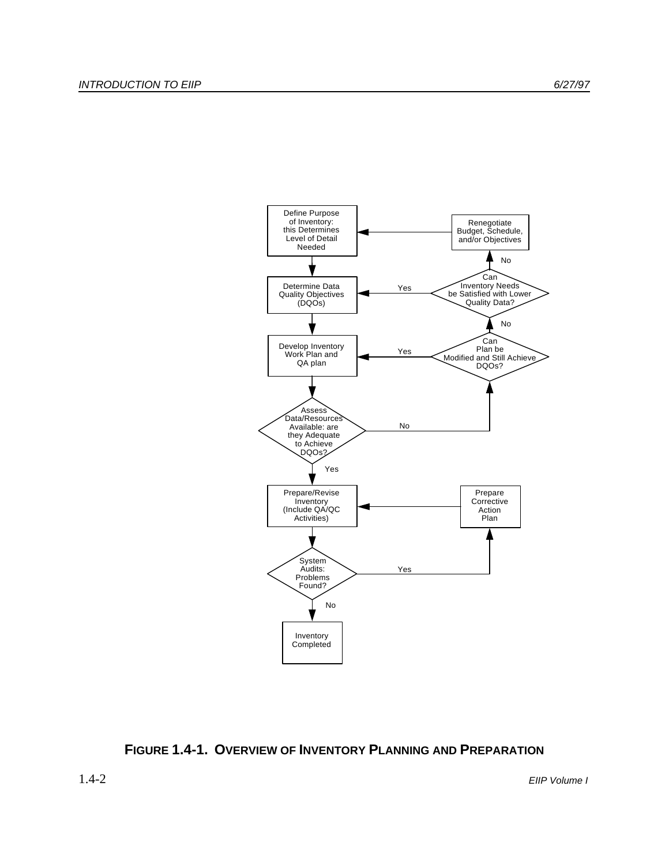

**FIGURE 1.4-1. OVERVIEW OF INVENTORY PLANNING AND PREPARATION**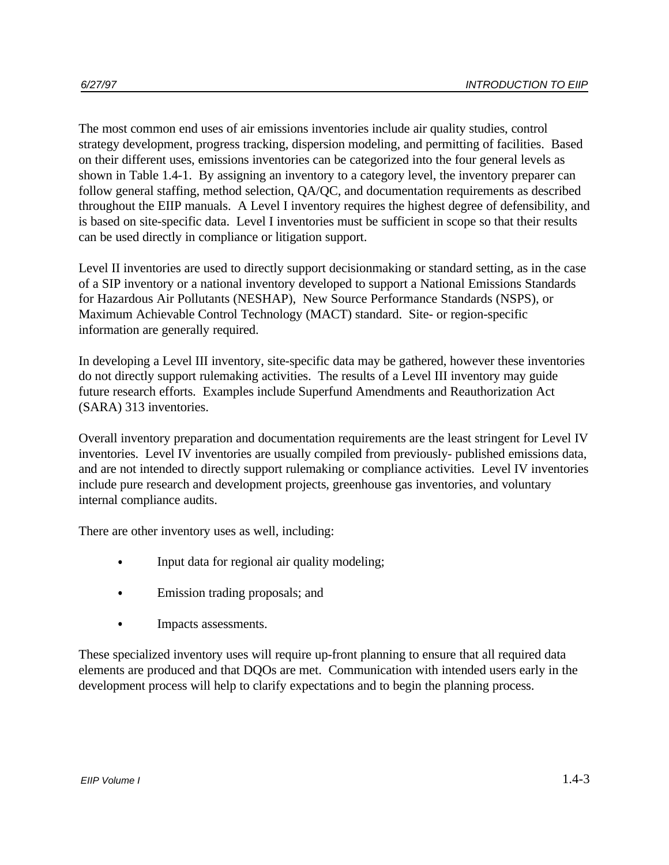The most common end uses of air emissions inventories include air quality studies, control strategy development, progress tracking, dispersion modeling, and permitting of facilities. Based on their different uses, emissions inventories can be categorized into the four general levels as shown in Table 1.4-1. By assigning an inventory to a category level, the inventory preparer can follow general staffing, method selection, QA/QC, and documentation requirements as described throughout the EIIP manuals. A Level I inventory requires the highest degree of defensibility, and is based on site-specific data. Level I inventories must be sufficient in scope so that their results can be used directly in compliance or litigation support.

Level II inventories are used to directly support decisionmaking or standard setting, as in the case of a SIP inventory or a national inventory developed to support a National Emissions Standards for Hazardous Air Pollutants (NESHAP), New Source Performance Standards (NSPS), or Maximum Achievable Control Technology (MACT) standard. Site- or region-specific information are generally required.

In developing a Level III inventory, site-specific data may be gathered, however these inventories do not directly support rulemaking activities. The results of a Level III inventory may guide future research efforts. Examples include Superfund Amendments and Reauthorization Act (SARA) 313 inventories.

Overall inventory preparation and documentation requirements are the least stringent for Level IV inventories. Level IV inventories are usually compiled from previously- published emissions data, and are not intended to directly support rulemaking or compliance activities. Level IV inventories include pure research and development projects, greenhouse gas inventories, and voluntary internal compliance audits.

There are other inventory uses as well, including:

- Input data for regional air quality modeling;  $\bullet$
- Emission trading proposals; and
- $\bullet$ Impacts assessments.

These specialized inventory uses will require up-front planning to ensure that all required data elements are produced and that DQOs are met. Communication with intended users early in the development process will help to clarify expectations and to begin the planning process.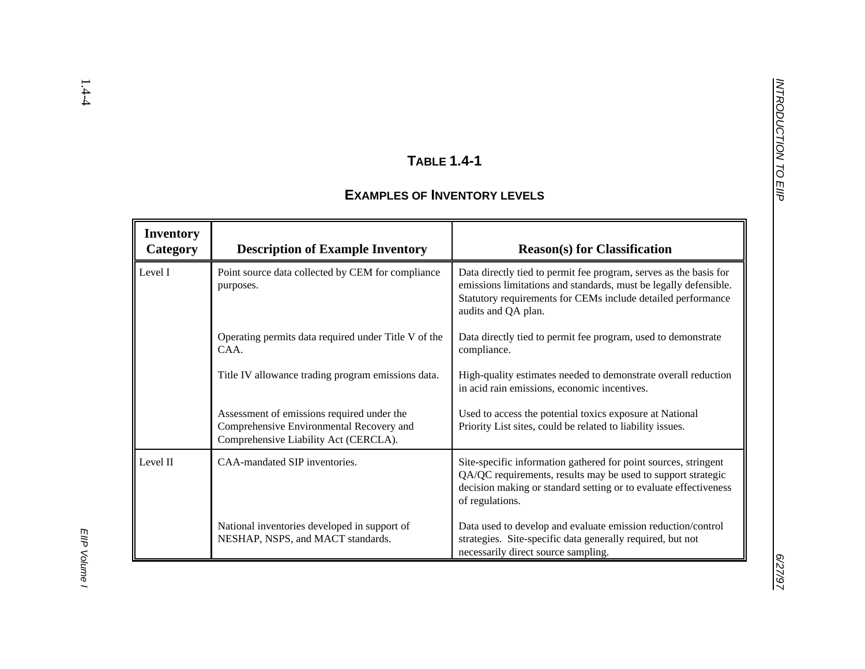| <b>Inventory</b><br>Category | <b>Description of Example Inventory</b>                                                                                         | <b>Reason(s) for Classification</b>                                                                                                                                                                                          |
|------------------------------|---------------------------------------------------------------------------------------------------------------------------------|------------------------------------------------------------------------------------------------------------------------------------------------------------------------------------------------------------------------------|
| Level I                      | Point source data collected by CEM for compliance<br>purposes.                                                                  | Data directly tied to permit fee program, serves as the basis for<br>emissions limitations and standards, must be legally defensible.<br>Statutory requirements for CEMs include detailed performance<br>audits and QA plan. |
|                              | Operating permits data required under Title V of the<br>CAA.                                                                    | Data directly tied to permit fee program, used to demonstrate<br>compliance.                                                                                                                                                 |
|                              | Title IV allowance trading program emissions data.                                                                              | High-quality estimates needed to demonstrate overall reduction<br>in acid rain emissions, economic incentives.                                                                                                               |
|                              | Assessment of emissions required under the<br>Comprehensive Environmental Recovery and<br>Comprehensive Liability Act (CERCLA). | Used to access the potential toxics exposure at National<br>Priority List sites, could be related to liability issues.                                                                                                       |
| Level II                     | CAA-mandated SIP inventories.                                                                                                   | Site-specific information gathered for point sources, stringent<br>QA/QC requirements, results may be used to support strategic<br>decision making or standard setting or to evaluate effectiveness<br>of regulations.       |
|                              | National inventories developed in support of<br>NESHAP, NSPS, and MACT standards.                                               | Data used to develop and evaluate emission reduction/control<br>strategies. Site-specific data generally required, but not<br>necessarily direct source sampling.                                                            |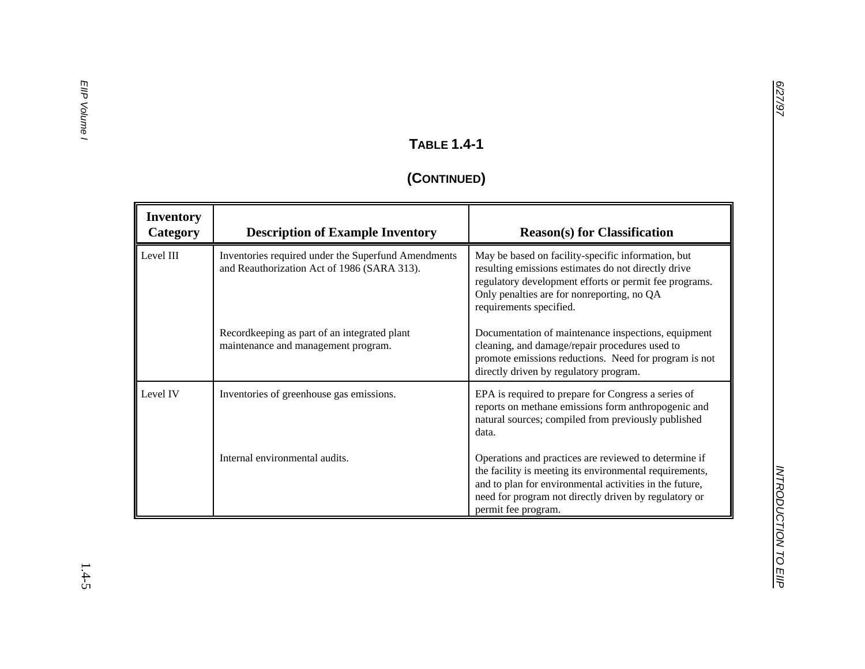|                              | <b>TABLE 1.4-1</b>                                                                                 |                                                                                                                                                                                                                                                             |  |  |  |  |  |  |  |
|------------------------------|----------------------------------------------------------------------------------------------------|-------------------------------------------------------------------------------------------------------------------------------------------------------------------------------------------------------------------------------------------------------------|--|--|--|--|--|--|--|
|                              |                                                                                                    | (CONTINUED)                                                                                                                                                                                                                                                 |  |  |  |  |  |  |  |
| <b>Inventory</b><br>Category | <b>Description of Example Inventory</b>                                                            | <b>Reason(s)</b> for Classification                                                                                                                                                                                                                         |  |  |  |  |  |  |  |
| Level III                    | Inventories required under the Superfund Amendments<br>and Reauthorization Act of 1986 (SARA 313). | May be based on facility-specific information, but<br>resulting emissions estimates do not directly drive<br>regulatory development efforts or permit fee programs.<br>Only penalties are for nonreporting, no QA<br>requirements specified.                |  |  |  |  |  |  |  |
|                              | Recordkeeping as part of an integrated plant<br>maintenance and management program.                | Documentation of maintenance inspections, equipment<br>cleaning, and damage/repair procedures used to<br>promote emissions reductions. Need for program is not<br>directly driven by regulatory program.                                                    |  |  |  |  |  |  |  |
| Level IV                     | Inventories of greenhouse gas emissions.                                                           | EPA is required to prepare for Congress a series of<br>reports on methane emissions form anthropogenic and<br>natural sources; compiled from previously published<br>data.                                                                                  |  |  |  |  |  |  |  |
|                              | Internal environmental audits.                                                                     | Operations and practices are reviewed to determine if<br>the facility is meeting its environmental requirements,<br>and to plan for environmental activities in the future,<br>need for program not directly driven by regulatory or<br>permit fee program. |  |  |  |  |  |  |  |

*6/27/97*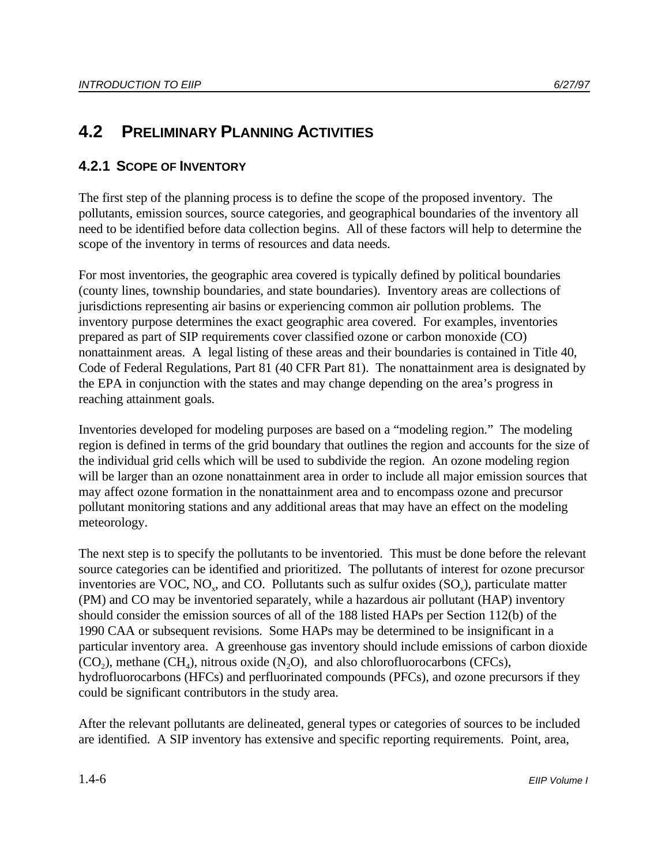# **4.2 PRELIMINARY PLANNING ACTIVITIES**

#### **4.2.1 SCOPE OF INVENTORY**

The first step of the planning process is to define the scope of the proposed inventory. The pollutants, emission sources, source categories, and geographical boundaries of the inventory all need to be identified before data collection begins. All of these factors will help to determine the scope of the inventory in terms of resources and data needs.

For most inventories, the geographic area covered is typically defined by political boundaries (county lines, township boundaries, and state boundaries). Inventory areas are collections of jurisdictions representing air basins or experiencing common air pollution problems. The inventory purpose determines the exact geographic area covered. For examples, inventories prepared as part of SIP requirements cover classified ozone or carbon monoxide (CO) nonattainment areas. A legal listing of these areas and their boundaries is contained in Title 40, Code of Federal Regulations, Part 81 (40 CFR Part 81). The nonattainment area is designated by the EPA in conjunction with the states and may change depending on the area's progress in reaching attainment goals.

Inventories developed for modeling purposes are based on a "modeling region." The modeling region is defined in terms of the grid boundary that outlines the region and accounts for the size of the individual grid cells which will be used to subdivide the region. An ozone modeling region will be larger than an ozone nonattainment area in order to include all major emission sources that may affect ozone formation in the nonattainment area and to encompass ozone and precursor pollutant monitoring stations and any additional areas that may have an effect on the modeling meteorology.

The next step is to specify the pollutants to be inventoried. This must be done before the relevant source categories can be identified and prioritized. The pollutants of interest for ozone precursor inventories are VOC, NO<sub> $<sub>v</sub>$ </sub>, and CO. Pollutants such as sulfur oxides (SO<sub> $<sub>v</sub>$ </sub>), particulate matter</sub></sub> (PM) and CO may be inventoried separately, while a hazardous air pollutant (HAP) inventory should consider the emission sources of all of the 188 listed HAPs per Section 112(b) of the 1990 CAA or subsequent revisions. Some HAPs may be determined to be insignificant in a particular inventory area. A greenhouse gas inventory should include emissions of carbon dioxide  $(CO<sub>2</sub>)$ , methane  $(CH<sub>4</sub>)$ , nitrous oxide  $(N<sub>2</sub>O)$ , and also chlorofluorocarbons (CFCs), hydrofluorocarbons (HFCs) and perfluorinated compounds (PFCs), and ozone precursors if they could be significant contributors in the study area.

After the relevant pollutants are delineated, general types or categories of sources to be included are identified. A SIP inventory has extensive and specific reporting requirements. Point, area,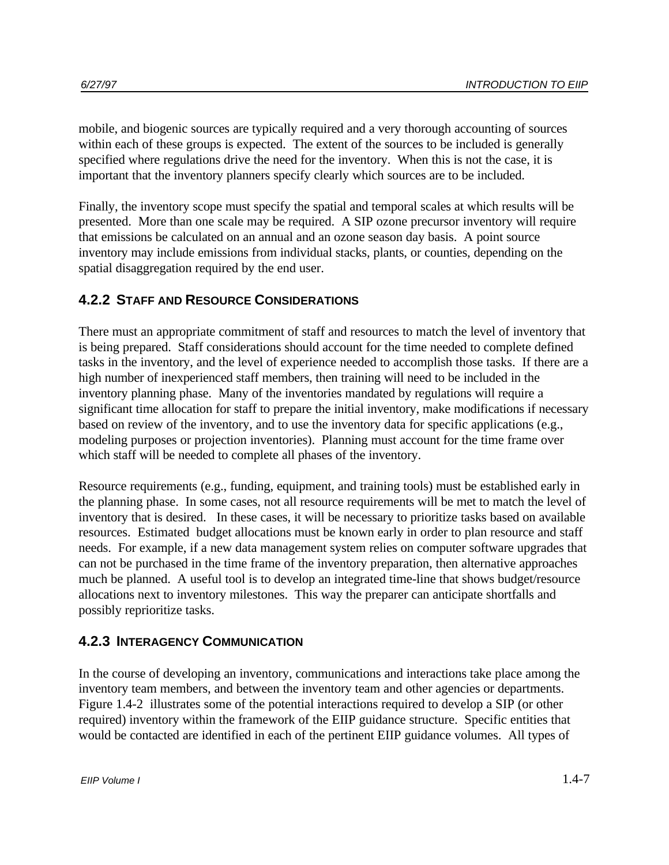mobile, and biogenic sources are typically required and a very thorough accounting of sources within each of these groups is expected. The extent of the sources to be included is generally specified where regulations drive the need for the inventory. When this is not the case, it is important that the inventory planners specify clearly which sources are to be included.

Finally, the inventory scope must specify the spatial and temporal scales at which results will be presented. More than one scale may be required. A SIP ozone precursor inventory will require that emissions be calculated on an annual and an ozone season day basis. A point source inventory may include emissions from individual stacks, plants, or counties, depending on the spatial disaggregation required by the end user.

#### **4.2.2 STAFF AND RESOURCE CONSIDERATIONS**

There must an appropriate commitment of staff and resources to match the level of inventory that is being prepared. Staff considerations should account for the time needed to complete defined tasks in the inventory, and the level of experience needed to accomplish those tasks. If there are a high number of inexperienced staff members, then training will need to be included in the inventory planning phase. Many of the inventories mandated by regulations will require a significant time allocation for staff to prepare the initial inventory, make modifications if necessary based on review of the inventory, and to use the inventory data for specific applications (e.g., modeling purposes or projection inventories). Planning must account for the time frame over which staff will be needed to complete all phases of the inventory.

Resource requirements (e.g., funding, equipment, and training tools) must be established early in the planning phase. In some cases, not all resource requirements will be met to match the level of inventory that is desired. In these cases, it will be necessary to prioritize tasks based on available resources. Estimated budget allocations must be known early in order to plan resource and staff needs. For example, if a new data management system relies on computer software upgrades that can not be purchased in the time frame of the inventory preparation, then alternative approaches much be planned. A useful tool is to develop an integrated time-line that shows budget/resource allocations next to inventory milestones. This way the preparer can anticipate shortfalls and possibly reprioritize tasks.

#### **4.2.3 INTERAGENCY COMMUNICATION**

In the course of developing an inventory, communications and interactions take place among the inventory team members, and between the inventory team and other agencies or departments. Figure 1.4-2 illustrates some of the potential interactions required to develop a SIP (or other required) inventory within the framework of the EIIP guidance structure. Specific entities that would be contacted are identified in each of the pertinent EIIP guidance volumes. All types of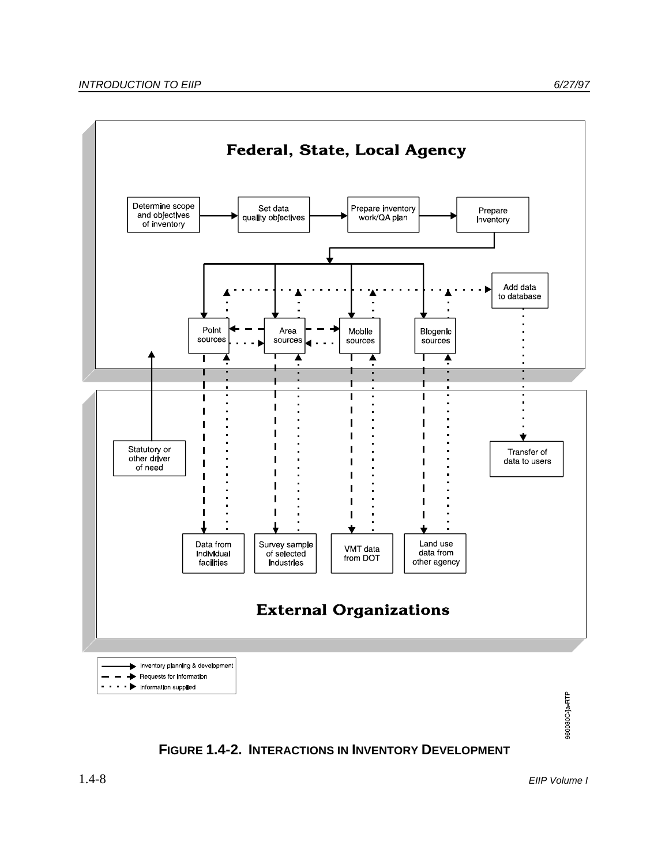

#### **FIGURE 1.4-2. INTERACTIONS IN INVENTORY DEVELOPMENT**

1.4-8 *EIIP Volume I*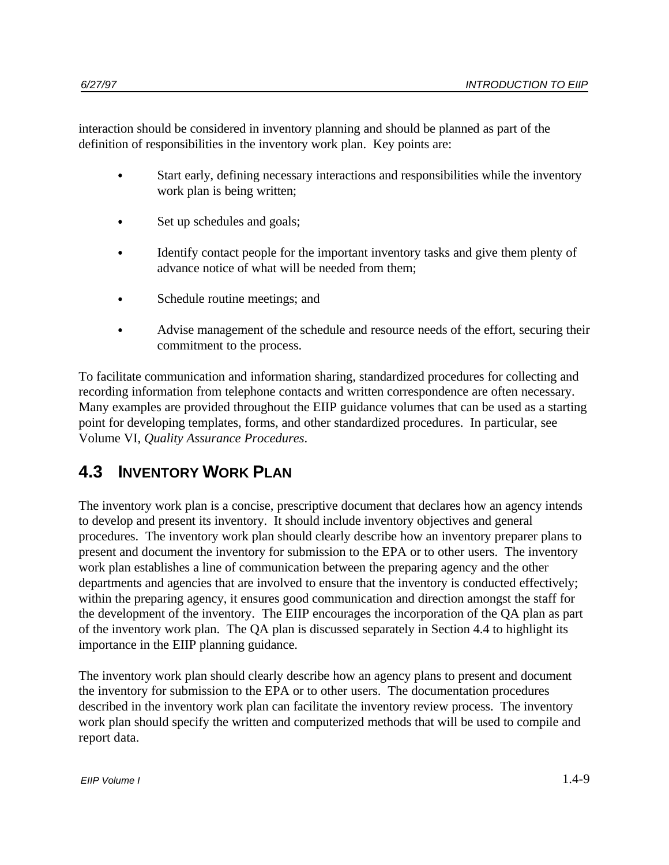interaction should be considered in inventory planning and should be planned as part of the definition of responsibilities in the inventory work plan. Key points are:

- Start early, defining necessary interactions and responsibilities while the inventory work plan is being written;
- Set up schedules and goals;
- Identify contact people for the important inventory tasks and give them plenty of  $\bullet$ advance notice of what will be needed from them;
- $\bullet$ Schedule routine meetings; and
- Advise management of the schedule and resource needs of the effort, securing their  $\bullet$ commitment to the process.

To facilitate communication and information sharing, standardized procedures for collecting and recording information from telephone contacts and written correspondence are often necessary. Many examples are provided throughout the EIIP guidance volumes that can be used as a starting point for developing templates, forms, and other standardized procedures. In particular, see Volume VI, *Quality Assurance Procedures*.

## **4.3 INVENTORY WORK PLAN**

The inventory work plan is a concise, prescriptive document that declares how an agency intends to develop and present its inventory. It should include inventory objectives and general procedures. The inventory work plan should clearly describe how an inventory preparer plans to present and document the inventory for submission to the EPA or to other users. The inventory work plan establishes a line of communication between the preparing agency and the other departments and agencies that are involved to ensure that the inventory is conducted effectively; within the preparing agency, it ensures good communication and direction amongst the staff for the development of the inventory. The EIIP encourages the incorporation of the QA plan as part of the inventory work plan. The QA plan is discussed separately in Section 4.4 to highlight its importance in the EIIP planning guidance.

The inventory work plan should clearly describe how an agency plans to present and document the inventory for submission to the EPA or to other users. The documentation procedures described in the inventory work plan can facilitate the inventory review process. The inventory work plan should specify the written and computerized methods that will be used to compile and report data.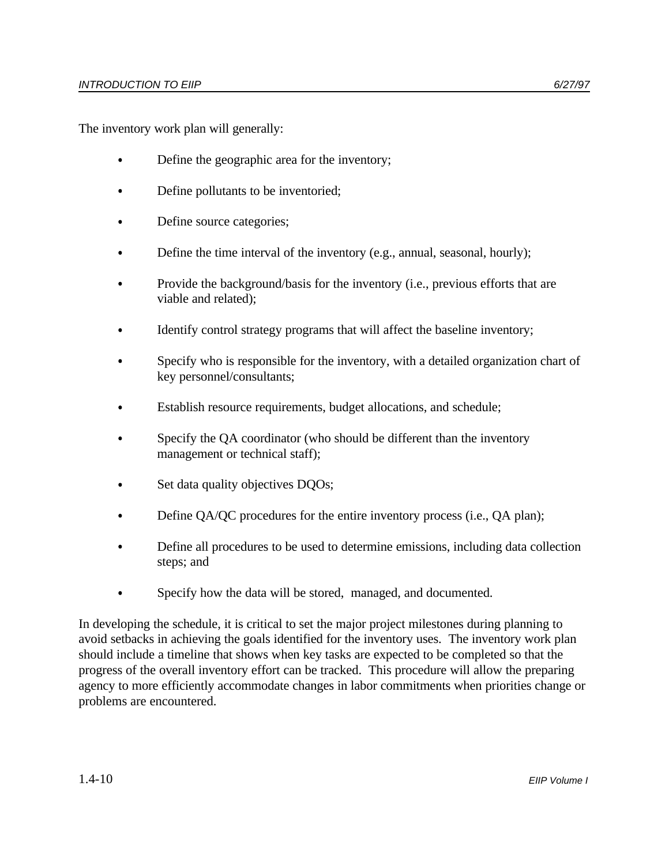The inventory work plan will generally:

- Define the geographic area for the inventory;  $\bullet$
- Define pollutants to be inventoried;
- Define source categories;
- $\bullet$ Define the time interval of the inventory (e.g., annual, seasonal, hourly);
- Provide the background/basis for the inventory (i.e., previous efforts that are viable and related);
- Identify control strategy programs that will affect the baseline inventory;
- Specify who is responsible for the inventory, with a detailed organization chart of key personnel/consultants;
- Establish resource requirements, budget allocations, and schedule;
- Specify the QA coordinator (who should be different than the inventory management or technical staff);
- $\bullet$ Set data quality objectives DQOs;
- Define QA/QC procedures for the entire inventory process (i.e., QA plan);
- Define all procedures to be used to determine emissions, including data collection steps; and
- Specify how the data will be stored, managed, and documented.

In developing the schedule, it is critical to set the major project milestones during planning to avoid setbacks in achieving the goals identified for the inventory uses. The inventory work plan should include a timeline that shows when key tasks are expected to be completed so that the progress of the overall inventory effort can be tracked. This procedure will allow the preparing agency to more efficiently accommodate changes in labor commitments when priorities change or problems are encountered.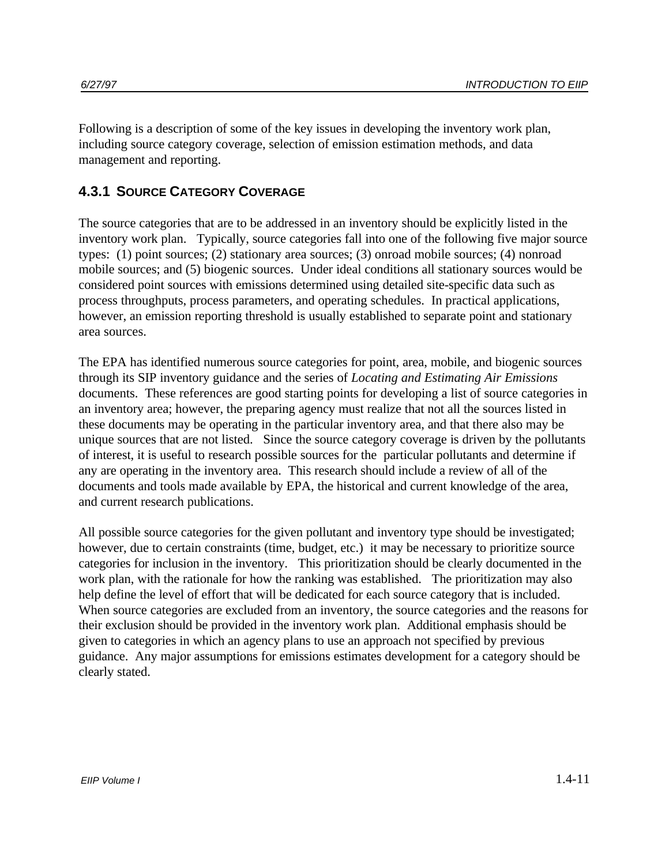Following is a description of some of the key issues in developing the inventory work plan, including source category coverage, selection of emission estimation methods, and data management and reporting.

### **4.3.1 SOURCE CATEGORY COVERAGE**

The source categories that are to be addressed in an inventory should be explicitly listed in the inventory work plan. Typically, source categories fall into one of the following five major source types: (1) point sources; (2) stationary area sources; (3) onroad mobile sources; (4) nonroad mobile sources; and (5) biogenic sources. Under ideal conditions all stationary sources would be considered point sources with emissions determined using detailed site-specific data such as process throughputs, process parameters, and operating schedules. In practical applications, however, an emission reporting threshold is usually established to separate point and stationary area sources.

The EPA has identified numerous source categories for point, area, mobile, and biogenic sources through its SIP inventory guidance and the series of *Locating and Estimating Air Emissions* documents. These references are good starting points for developing a list of source categories in an inventory area; however, the preparing agency must realize that not all the sources listed in these documents may be operating in the particular inventory area, and that there also may be unique sources that are not listed. Since the source category coverage is driven by the pollutants of interest, it is useful to research possible sources for the particular pollutants and determine if any are operating in the inventory area. This research should include a review of all of the documents and tools made available by EPA, the historical and current knowledge of the area, and current research publications.

All possible source categories for the given pollutant and inventory type should be investigated; however, due to certain constraints (time, budget, etc.) it may be necessary to prioritize source categories for inclusion in the inventory. This prioritization should be clearly documented in the work plan, with the rationale for how the ranking was established. The prioritization may also help define the level of effort that will be dedicated for each source category that is included. When source categories are excluded from an inventory, the source categories and the reasons for their exclusion should be provided in the inventory work plan. Additional emphasis should be given to categories in which an agency plans to use an approach not specified by previous guidance. Any major assumptions for emissions estimates development for a category should be clearly stated.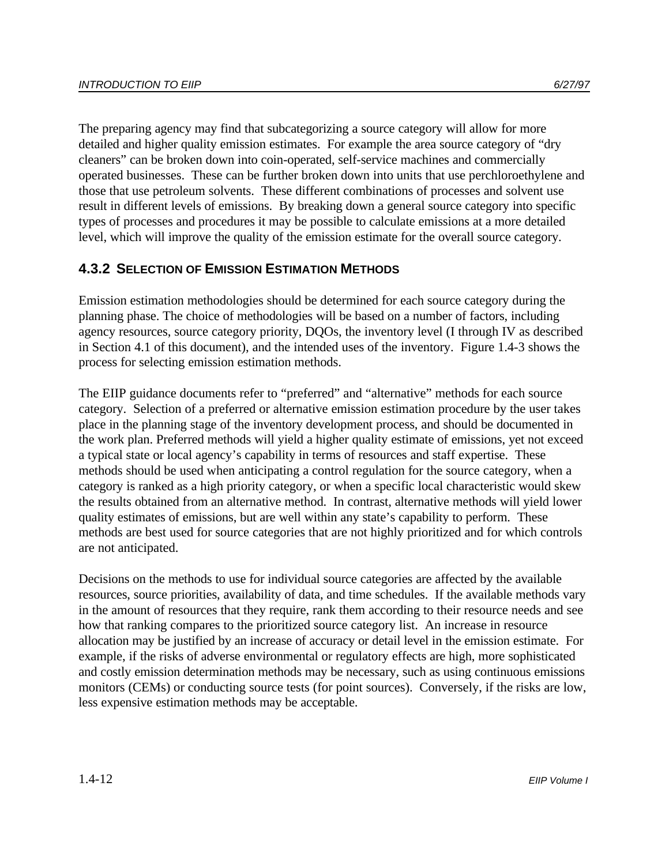The preparing agency may find that subcategorizing a source category will allow for more detailed and higher quality emission estimates. For example the area source category of "dry cleaners" can be broken down into coin-operated, self-service machines and commercially operated businesses. These can be further broken down into units that use perchloroethylene and those that use petroleum solvents. These different combinations of processes and solvent use result in different levels of emissions. By breaking down a general source category into specific types of processes and procedures it may be possible to calculate emissions at a more detailed level, which will improve the quality of the emission estimate for the overall source category.

#### **4.3.2 SELECTION OF EMISSION ESTIMATION METHODS**

Emission estimation methodologies should be determined for each source category during the planning phase. The choice of methodologies will be based on a number of factors, including agency resources, source category priority, DQOs, the inventory level (I through IV as described in Section 4.1 of this document), and the intended uses of the inventory. Figure 1.4-3 shows the process for selecting emission estimation methods.

The EIIP guidance documents refer to "preferred" and "alternative" methods for each source category. Selection of a preferred or alternative emission estimation procedure by the user takes place in the planning stage of the inventory development process, and should be documented in the work plan. Preferred methods will yield a higher quality estimate of emissions, yet not exceed a typical state or local agency's capability in terms of resources and staff expertise. These methods should be used when anticipating a control regulation for the source category, when a category is ranked as a high priority category, or when a specific local characteristic would skew the results obtained from an alternative method. In contrast, alternative methods will yield lower quality estimates of emissions, but are well within any state's capability to perform. These methods are best used for source categories that are not highly prioritized and for which controls are not anticipated.

Decisions on the methods to use for individual source categories are affected by the available resources, source priorities, availability of data, and time schedules. If the available methods vary in the amount of resources that they require, rank them according to their resource needs and see how that ranking compares to the prioritized source category list. An increase in resource allocation may be justified by an increase of accuracy or detail level in the emission estimate. For example, if the risks of adverse environmental or regulatory effects are high, more sophisticated and costly emission determination methods may be necessary, such as using continuous emissions monitors (CEMs) or conducting source tests (for point sources). Conversely, if the risks are low, less expensive estimation methods may be acceptable.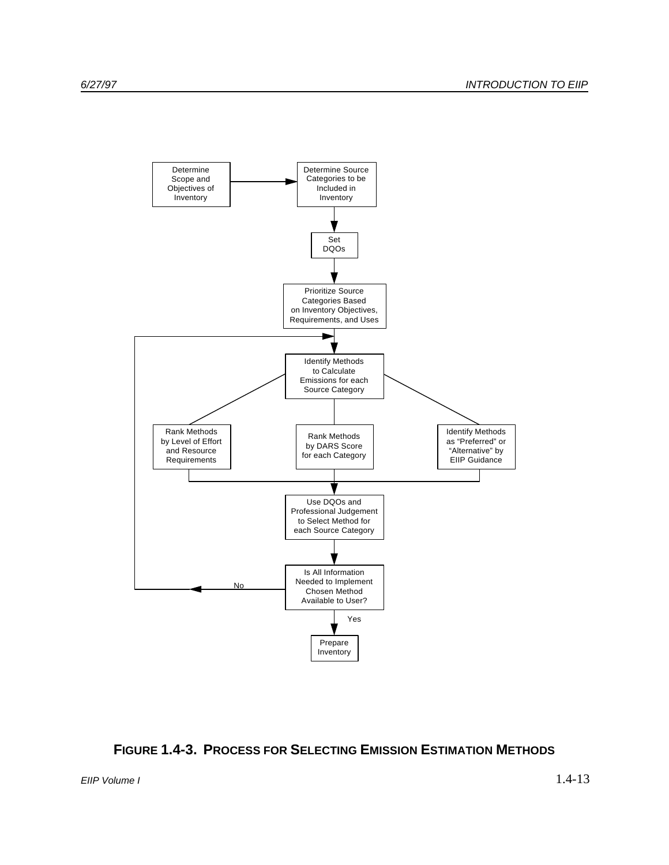



#### **FIGURE 1.4-3. PROCESS FOR SELECTING EMISSION ESTIMATION METHODS**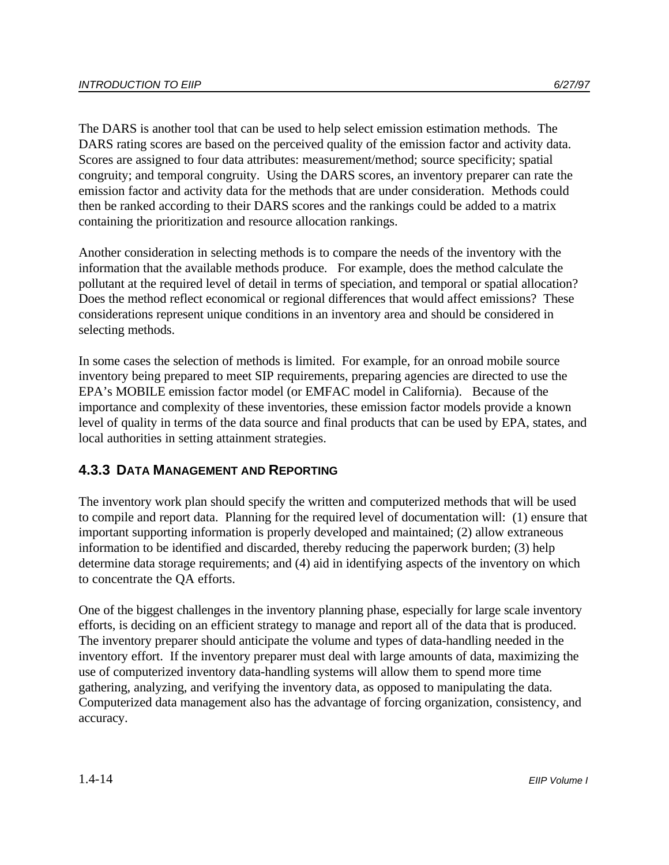The DARS is another tool that can be used to help select emission estimation methods. The DARS rating scores are based on the perceived quality of the emission factor and activity data. Scores are assigned to four data attributes: measurement/method; source specificity; spatial congruity; and temporal congruity. Using the DARS scores, an inventory preparer can rate the emission factor and activity data for the methods that are under consideration. Methods could then be ranked according to their DARS scores and the rankings could be added to a matrix containing the prioritization and resource allocation rankings.

Another consideration in selecting methods is to compare the needs of the inventory with the information that the available methods produce. For example, does the method calculate the pollutant at the required level of detail in terms of speciation, and temporal or spatial allocation? Does the method reflect economical or regional differences that would affect emissions? These considerations represent unique conditions in an inventory area and should be considered in selecting methods.

In some cases the selection of methods is limited. For example, for an onroad mobile source inventory being prepared to meet SIP requirements, preparing agencies are directed to use the EPA's MOBILE emission factor model (or EMFAC model in California). Because of the importance and complexity of these inventories, these emission factor models provide a known level of quality in terms of the data source and final products that can be used by EPA, states, and local authorities in setting attainment strategies.

#### **4.3.3 DATA MANAGEMENT AND REPORTING**

The inventory work plan should specify the written and computerized methods that will be used to compile and report data. Planning for the required level of documentation will: (1) ensure that important supporting information is properly developed and maintained; (2) allow extraneous information to be identified and discarded, thereby reducing the paperwork burden; (3) help determine data storage requirements; and (4) aid in identifying aspects of the inventory on which to concentrate the QA efforts.

One of the biggest challenges in the inventory planning phase, especially for large scale inventory efforts, is deciding on an efficient strategy to manage and report all of the data that is produced. The inventory preparer should anticipate the volume and types of data-handling needed in the inventory effort. If the inventory preparer must deal with large amounts of data, maximizing the use of computerized inventory data-handling systems will allow them to spend more time gathering, analyzing, and verifying the inventory data, as opposed to manipulating the data. Computerized data management also has the advantage of forcing organization, consistency, and accuracy.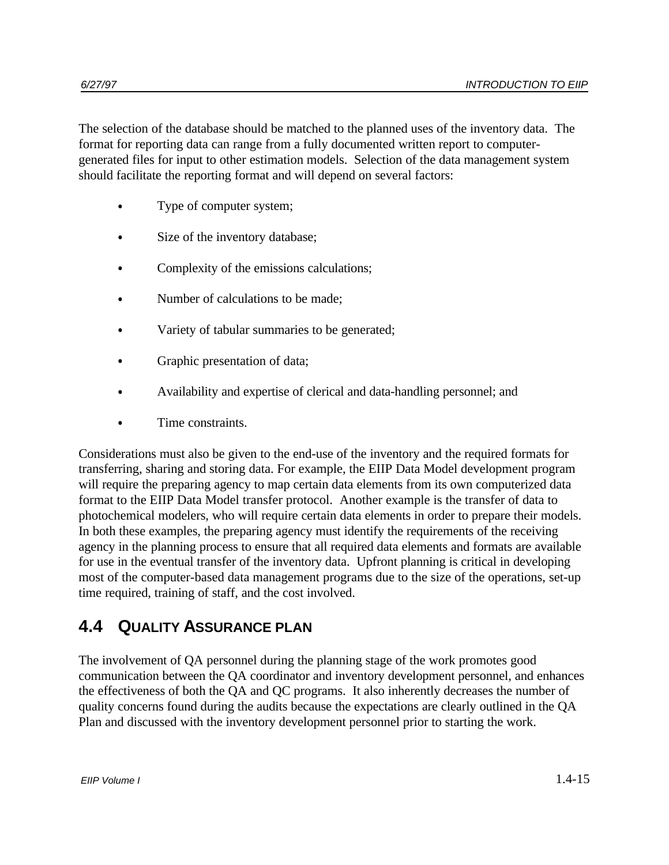The selection of the database should be matched to the planned uses of the inventory data. The

format for reporting data can range from a fully documented written report to computergenerated files for input to other estimation models. Selection of the data management system should facilitate the reporting format and will depend on several factors:

- Type of computer system;  $\bullet$
- Size of the inventory database;  $\bullet$
- Complexity of the emissions calculations;
- $\bullet$ Number of calculations to be made;
- Variety of tabular summaries to be generated;
- Graphic presentation of data;
- Availability and expertise of clerical and data-handling personnel; and
- Time constraints.  $\bullet$

Considerations must also be given to the end-use of the inventory and the required formats for transferring, sharing and storing data. For example, the EIIP Data Model development program will require the preparing agency to map certain data elements from its own computerized data format to the EIIP Data Model transfer protocol. Another example is the transfer of data to photochemical modelers, who will require certain data elements in order to prepare their models. In both these examples, the preparing agency must identify the requirements of the receiving agency in the planning process to ensure that all required data elements and formats are available for use in the eventual transfer of the inventory data. Upfront planning is critical in developing most of the computer-based data management programs due to the size of the operations, set-up time required, training of staff, and the cost involved.

# **4.4 QUALITY ASSURANCE PLAN**

The involvement of QA personnel during the planning stage of the work promotes good communication between the QA coordinator and inventory development personnel, and enhances the effectiveness of both the QA and QC programs. It also inherently decreases the number of quality concerns found during the audits because the expectations are clearly outlined in the QA Plan and discussed with the inventory development personnel prior to starting the work.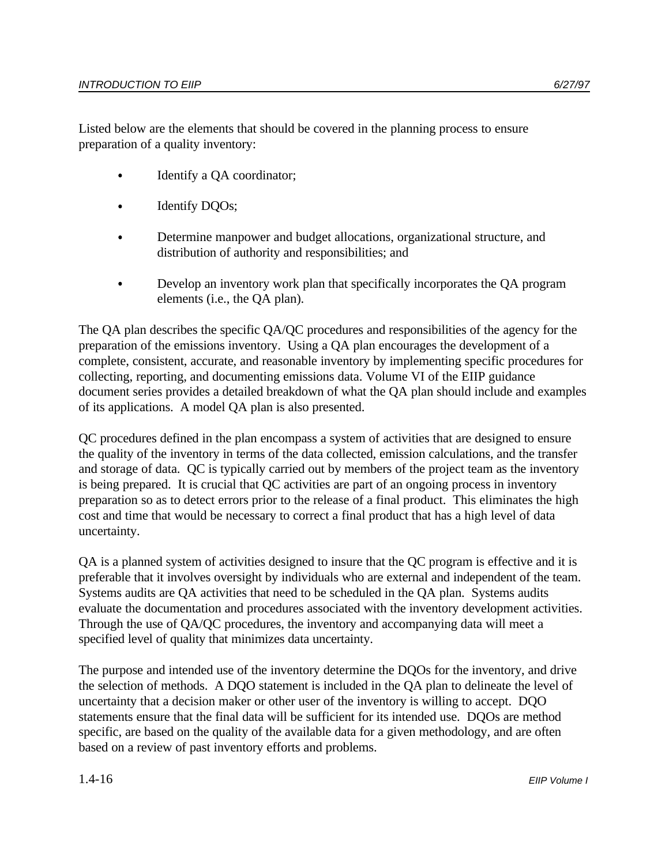Listed below are the elements that should be covered in the planning process to ensure preparation of a quality inventory:

- Identify a QA coordinator;
- Identify DQOs;  $\bullet$
- Determine manpower and budget allocations, organizational structure, and  $\bullet$ distribution of authority and responsibilities; and
- Develop an inventory work plan that specifically incorporates the QA program elements (i.e., the QA plan).

The QA plan describes the specific QA/QC procedures and responsibilities of the agency for the preparation of the emissions inventory. Using a QA plan encourages the development of a complete, consistent, accurate, and reasonable inventory by implementing specific procedures for collecting, reporting, and documenting emissions data. Volume VI of the EIIP guidance document series provides a detailed breakdown of what the QA plan should include and examples of its applications. A model QA plan is also presented.

QC procedures defined in the plan encompass a system of activities that are designed to ensure the quality of the inventory in terms of the data collected, emission calculations, and the transfer and storage of data. QC is typically carried out by members of the project team as the inventory is being prepared. It is crucial that QC activities are part of an ongoing process in inventory preparation so as to detect errors prior to the release of a final product. This eliminates the high cost and time that would be necessary to correct a final product that has a high level of data uncertainty.

QA is a planned system of activities designed to insure that the QC program is effective and it is preferable that it involves oversight by individuals who are external and independent of the team. Systems audits are QA activities that need to be scheduled in the QA plan. Systems audits evaluate the documentation and procedures associated with the inventory development activities. Through the use of QA/QC procedures, the inventory and accompanying data will meet a specified level of quality that minimizes data uncertainty.

The purpose and intended use of the inventory determine the DQOs for the inventory, and drive the selection of methods. A DQO statement is included in the QA plan to delineate the level of uncertainty that a decision maker or other user of the inventory is willing to accept. DQO statements ensure that the final data will be sufficient for its intended use. DQOs are method specific, are based on the quality of the available data for a given methodology, and are often based on a review of past inventory efforts and problems.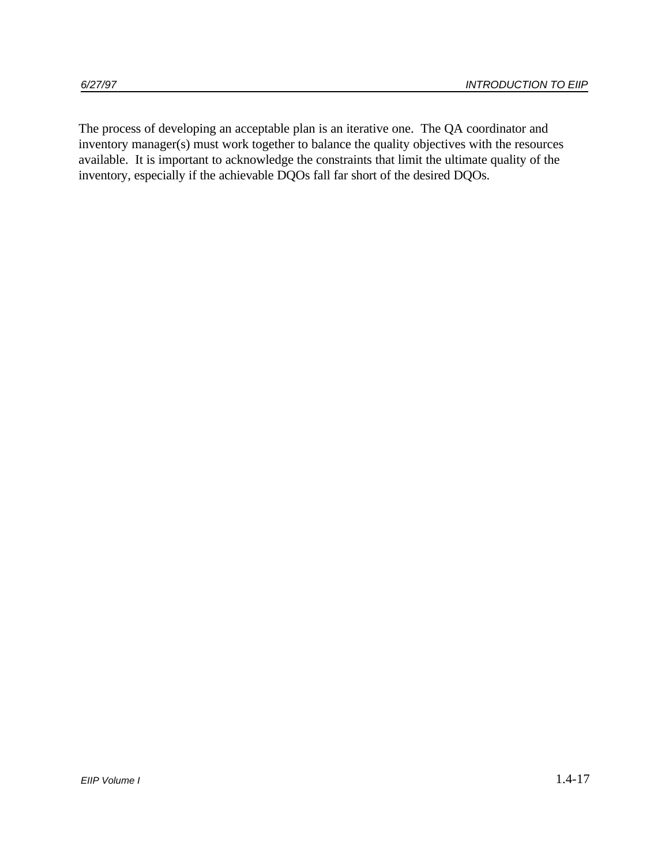The process of developing an acceptable plan is an iterative one. The QA coordinator and inventory manager(s) must work together to balance the quality objectives with the resources available. It is important to acknowledge the constraints that limit the ultimate quality of the inventory, especially if the achievable DQOs fall far short of the desired DQOs.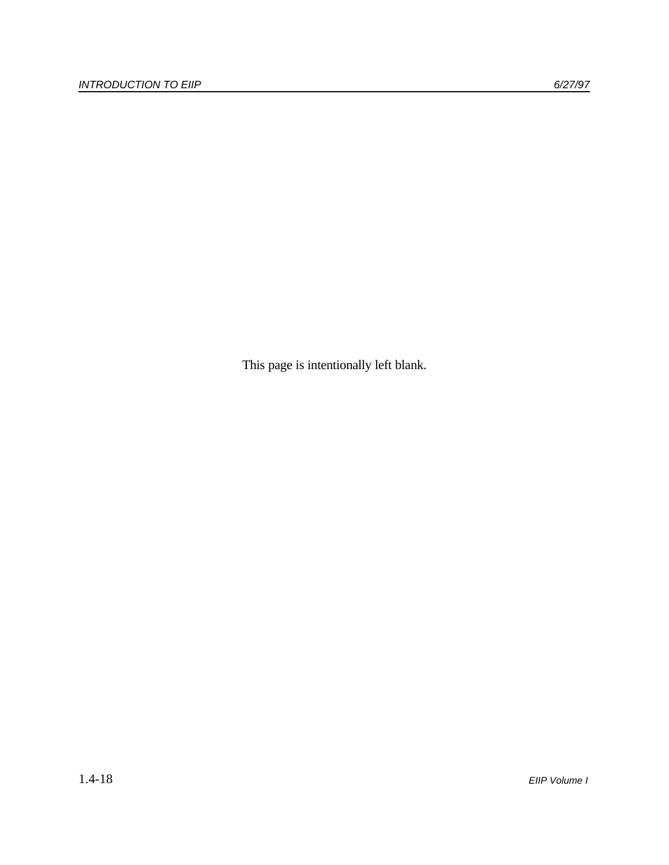This page is intentionally left blank.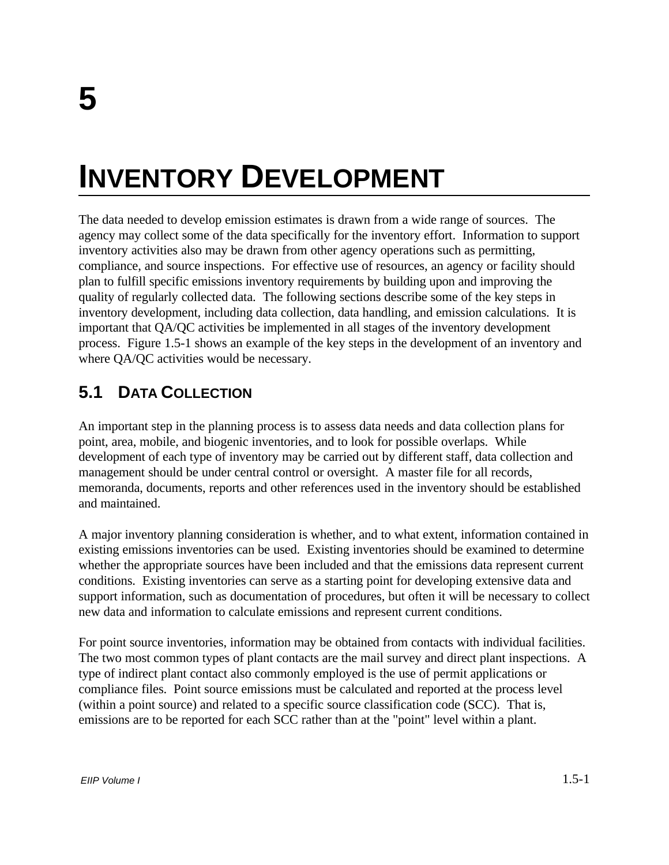# **INVENTORY DEVELOPMENT**

The data needed to develop emission estimates is drawn from a wide range of sources. The agency may collect some of the data specifically for the inventory effort. Information to support inventory activities also may be drawn from other agency operations such as permitting, compliance, and source inspections. For effective use of resources, an agency or facility should plan to fulfill specific emissions inventory requirements by building upon and improving the quality of regularly collected data. The following sections describe some of the key steps in inventory development, including data collection, data handling, and emission calculations. It is important that QA/QC activities be implemented in all stages of the inventory development process. Figure 1.5-1 shows an example of the key steps in the development of an inventory and where QA/QC activities would be necessary.

# **5.1 DATA COLLECTION**

An important step in the planning process is to assess data needs and data collection plans for point, area, mobile, and biogenic inventories, and to look for possible overlaps. While development of each type of inventory may be carried out by different staff, data collection and management should be under central control or oversight. A master file for all records, memoranda, documents, reports and other references used in the inventory should be established and maintained.

A major inventory planning consideration is whether, and to what extent, information contained in existing emissions inventories can be used. Existing inventories should be examined to determine whether the appropriate sources have been included and that the emissions data represent current conditions. Existing inventories can serve as a starting point for developing extensive data and support information, such as documentation of procedures, but often it will be necessary to collect new data and information to calculate emissions and represent current conditions.

For point source inventories, information may be obtained from contacts with individual facilities. The two most common types of plant contacts are the mail survey and direct plant inspections. A type of indirect plant contact also commonly employed is the use of permit applications or compliance files. Point source emissions must be calculated and reported at the process level (within a point source) and related to a specific source classification code (SCC). That is, emissions are to be reported for each SCC rather than at the "point" level within a plant.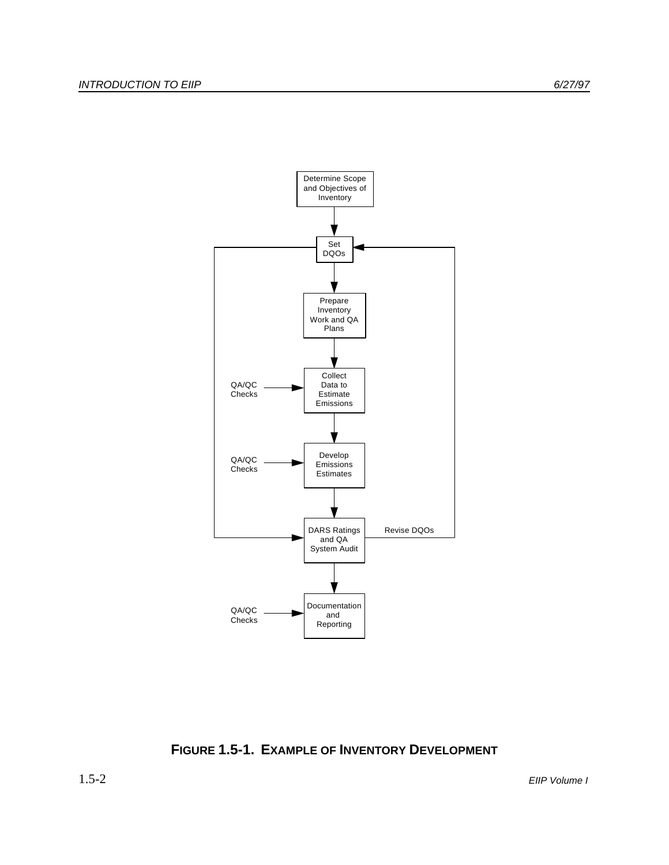

**FIGURE 1.5-1. EXAMPLE OF INVENTORY DEVELOPMENT**

1.5-2 *EIIP Volume I*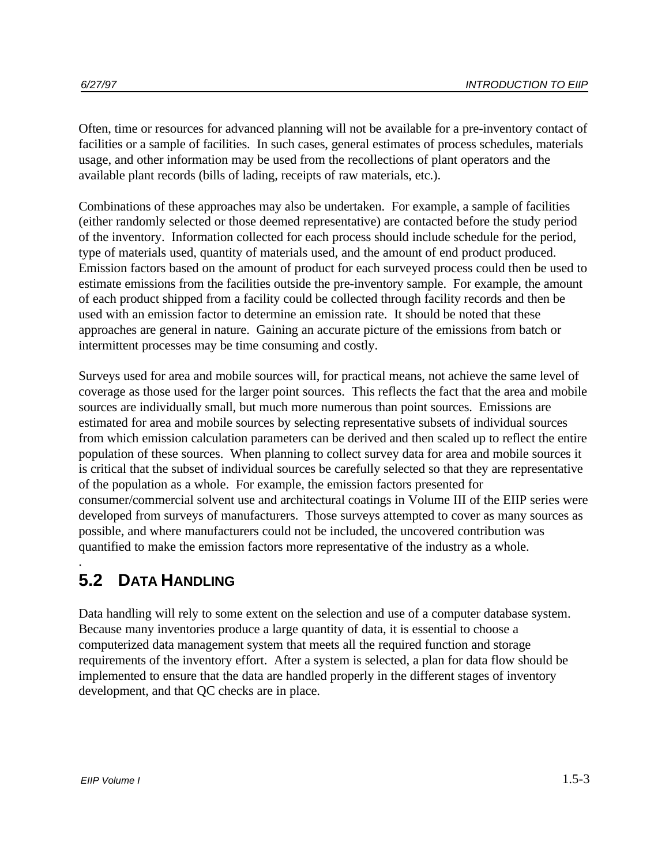Often, time or resources for advanced planning will not be available for a pre-inventory contact of facilities or a sample of facilities. In such cases, general estimates of process schedules, materials usage, and other information may be used from the recollections of plant operators and the available plant records (bills of lading, receipts of raw materials, etc.).

Combinations of these approaches may also be undertaken. For example, a sample of facilities (either randomly selected or those deemed representative) are contacted before the study period of the inventory. Information collected for each process should include schedule for the period, type of materials used, quantity of materials used, and the amount of end product produced. Emission factors based on the amount of product for each surveyed process could then be used to estimate emissions from the facilities outside the pre-inventory sample. For example, the amount of each product shipped from a facility could be collected through facility records and then be used with an emission factor to determine an emission rate. It should be noted that these approaches are general in nature. Gaining an accurate picture of the emissions from batch or intermittent processes may be time consuming and costly.

Surveys used for area and mobile sources will, for practical means, not achieve the same level of coverage as those used for the larger point sources. This reflects the fact that the area and mobile sources are individually small, but much more numerous than point sources. Emissions are estimated for area and mobile sources by selecting representative subsets of individual sources from which emission calculation parameters can be derived and then scaled up to reflect the entire population of these sources. When planning to collect survey data for area and mobile sources it is critical that the subset of individual sources be carefully selected so that they are representative of the population as a whole. For example, the emission factors presented for consumer/commercial solvent use and architectural coatings in Volume III of the EIIP series were developed from surveys of manufacturers. Those surveys attempted to cover as many sources as possible, and where manufacturers could not be included, the uncovered contribution was quantified to make the emission factors more representative of the industry as a whole.

### . **5.2 DATA HANDLING**

Data handling will rely to some extent on the selection and use of a computer database system. Because many inventories produce a large quantity of data, it is essential to choose a computerized data management system that meets all the required function and storage requirements of the inventory effort. After a system is selected, a plan for data flow should be implemented to ensure that the data are handled properly in the different stages of inventory development, and that QC checks are in place.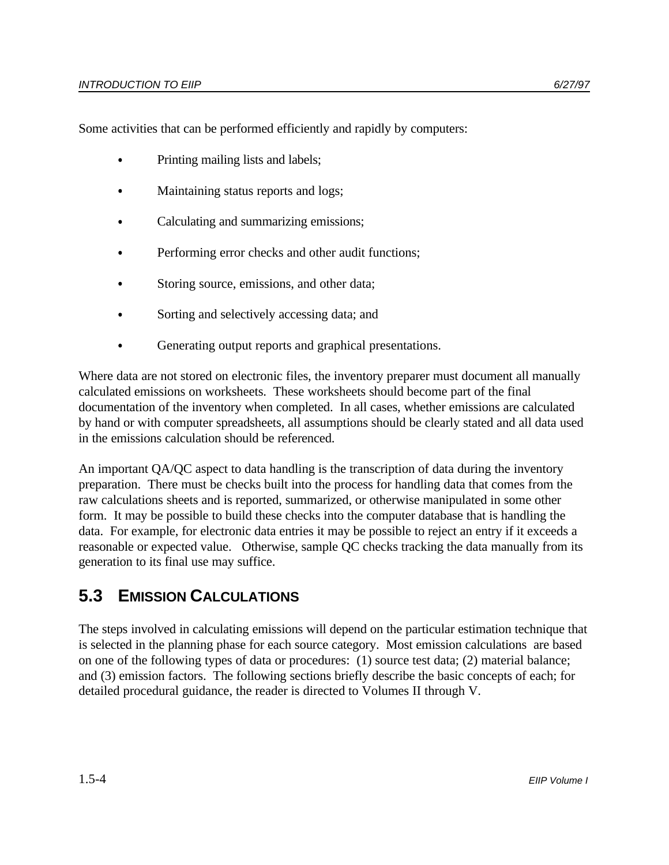Some activities that can be performed efficiently and rapidly by computers:

- Printing mailing lists and labels;
- Maintaining status reports and logs;
- Calculating and summarizing emissions;
- $\bullet$ Performing error checks and other audit functions;
- Storing source, emissions, and other data;
- Sorting and selectively accessing data; and
- Generating output reports and graphical presentations.

Where data are not stored on electronic files, the inventory preparer must document all manually calculated emissions on worksheets. These worksheets should become part of the final documentation of the inventory when completed. In all cases, whether emissions are calculated by hand or with computer spreadsheets, all assumptions should be clearly stated and all data used in the emissions calculation should be referenced.

An important QA/QC aspect to data handling is the transcription of data during the inventory preparation. There must be checks built into the process for handling data that comes from the raw calculations sheets and is reported, summarized, or otherwise manipulated in some other form. It may be possible to build these checks into the computer database that is handling the data. For example, for electronic data entries it may be possible to reject an entry if it exceeds a reasonable or expected value. Otherwise, sample QC checks tracking the data manually from its generation to its final use may suffice.

# **5.3 EMISSION CALCULATIONS**

The steps involved in calculating emissions will depend on the particular estimation technique that is selected in the planning phase for each source category. Most emission calculations are based on one of the following types of data or procedures: (1) source test data; (2) material balance; and (3) emission factors. The following sections briefly describe the basic concepts of each; for detailed procedural guidance, the reader is directed to Volumes II through V.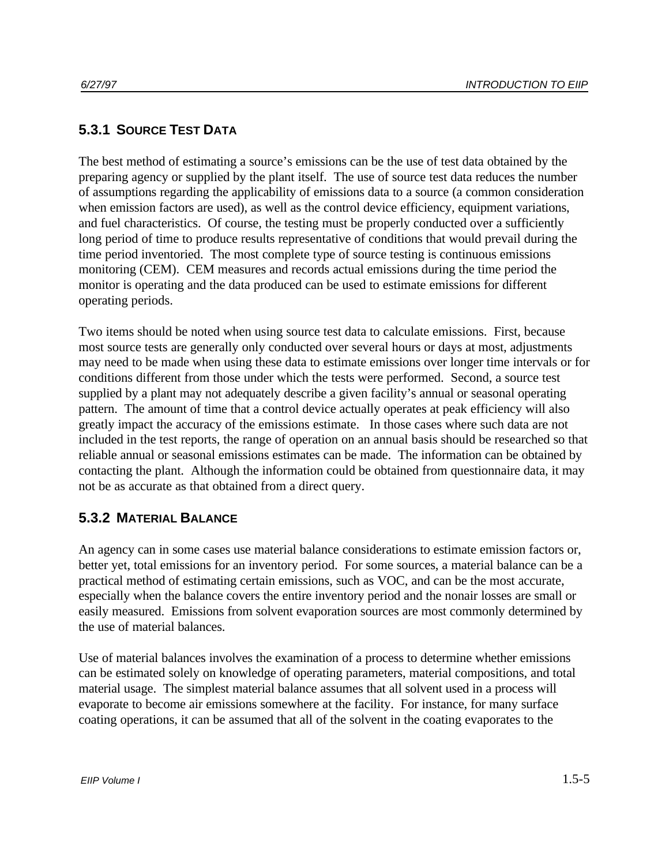#### **5.3.1 SOURCE TEST DATA**

The best method of estimating a source's emissions can be the use of test data obtained by the preparing agency or supplied by the plant itself. The use of source test data reduces the number of assumptions regarding the applicability of emissions data to a source (a common consideration when emission factors are used), as well as the control device efficiency, equipment variations, and fuel characteristics. Of course, the testing must be properly conducted over a sufficiently long period of time to produce results representative of conditions that would prevail during the time period inventoried. The most complete type of source testing is continuous emissions monitoring (CEM). CEM measures and records actual emissions during the time period the monitor is operating and the data produced can be used to estimate emissions for different operating periods.

Two items should be noted when using source test data to calculate emissions. First, because most source tests are generally only conducted over several hours or days at most, adjustments may need to be made when using these data to estimate emissions over longer time intervals or for conditions different from those under which the tests were performed. Second, a source test supplied by a plant may not adequately describe a given facility's annual or seasonal operating pattern. The amount of time that a control device actually operates at peak efficiency will also greatly impact the accuracy of the emissions estimate. In those cases where such data are not included in the test reports, the range of operation on an annual basis should be researched so that reliable annual or seasonal emissions estimates can be made. The information can be obtained by contacting the plant. Although the information could be obtained from questionnaire data, it may not be as accurate as that obtained from a direct query.

#### **5.3.2 MATERIAL BALANCE**

An agency can in some cases use material balance considerations to estimate emission factors or, better yet, total emissions for an inventory period. For some sources, a material balance can be a practical method of estimating certain emissions, such as VOC, and can be the most accurate, especially when the balance covers the entire inventory period and the nonair losses are small or easily measured. Emissions from solvent evaporation sources are most commonly determined by the use of material balances.

Use of material balances involves the examination of a process to determine whether emissions can be estimated solely on knowledge of operating parameters, material compositions, and total material usage. The simplest material balance assumes that all solvent used in a process will evaporate to become air emissions somewhere at the facility. For instance, for many surface coating operations, it can be assumed that all of the solvent in the coating evaporates to the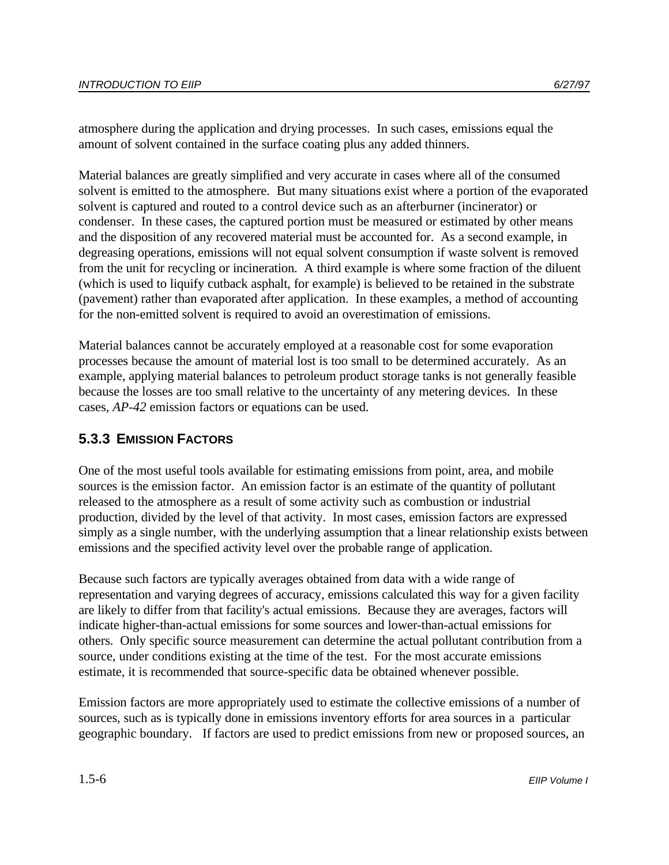atmosphere during the application and drying processes. In such cases, emissions equal the amount of solvent contained in the surface coating plus any added thinners.

Material balances are greatly simplified and very accurate in cases where all of the consumed solvent is emitted to the atmosphere. But many situations exist where a portion of the evaporated solvent is captured and routed to a control device such as an afterburner (incinerator) or condenser. In these cases, the captured portion must be measured or estimated by other means and the disposition of any recovered material must be accounted for. As a second example, in degreasing operations, emissions will not equal solvent consumption if waste solvent is removed from the unit for recycling or incineration. A third example is where some fraction of the diluent (which is used to liquify cutback asphalt, for example) is believed to be retained in the substrate (pavement) rather than evaporated after application. In these examples, a method of accounting for the non-emitted solvent is required to avoid an overestimation of emissions.

Material balances cannot be accurately employed at a reasonable cost for some evaporation processes because the amount of material lost is too small to be determined accurately. As an example, applying material balances to petroleum product storage tanks is not generally feasible because the losses are too small relative to the uncertainty of any metering devices. In these cases, *AP-42* emission factors or equations can be used.

#### **5.3.3 EMISSION FACTORS**

One of the most useful tools available for estimating emissions from point, area, and mobile sources is the emission factor. An emission factor is an estimate of the quantity of pollutant released to the atmosphere as a result of some activity such as combustion or industrial production, divided by the level of that activity. In most cases, emission factors are expressed simply as a single number, with the underlying assumption that a linear relationship exists between emissions and the specified activity level over the probable range of application.

Because such factors are typically averages obtained from data with a wide range of representation and varying degrees of accuracy, emissions calculated this way for a given facility are likely to differ from that facility's actual emissions. Because they are averages, factors will indicate higher-than-actual emissions for some sources and lower-than-actual emissions for others. Only specific source measurement can determine the actual pollutant contribution from a source, under conditions existing at the time of the test. For the most accurate emissions estimate, it is recommended that source-specific data be obtained whenever possible.

Emission factors are more appropriately used to estimate the collective emissions of a number of sources, such as is typically done in emissions inventory efforts for area sources in a particular geographic boundary. If factors are used to predict emissions from new or proposed sources, an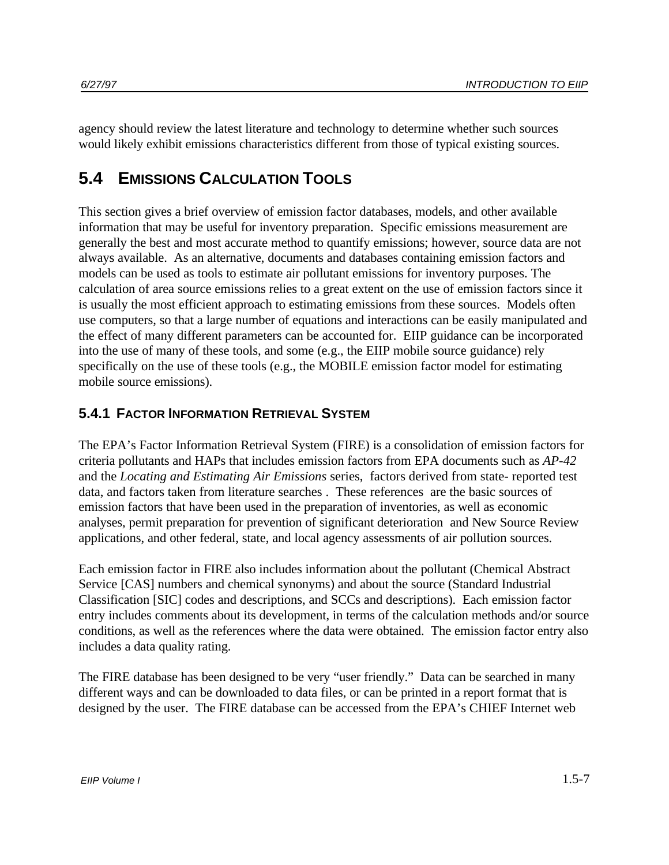agency should review the latest literature and technology to determine whether such sources would likely exhibit emissions characteristics different from those of typical existing sources.

# **5.4 EMISSIONS CALCULATION TOOLS**

This section gives a brief overview of emission factor databases, models, and other available information that may be useful for inventory preparation. Specific emissions measurement are generally the best and most accurate method to quantify emissions; however, source data are not always available. As an alternative, documents and databases containing emission factors and models can be used as tools to estimate air pollutant emissions for inventory purposes. The calculation of area source emissions relies to a great extent on the use of emission factors since it is usually the most efficient approach to estimating emissions from these sources. Models often use computers, so that a large number of equations and interactions can be easily manipulated and the effect of many different parameters can be accounted for. EIIP guidance can be incorporated into the use of many of these tools, and some (e.g., the EIIP mobile source guidance) rely specifically on the use of these tools (e.g., the MOBILE emission factor model for estimating mobile source emissions).

#### **5.4.1 FACTOR INFORMATION RETRIEVAL SYSTEM**

The EPA's Factor Information Retrieval System (FIRE) is a consolidation of emission factors for criteria pollutants and HAPs that includes emission factors from EPA documents such as *AP-42* and the *Locating and Estimating Air Emissions* series, factors derived from state- reported test data, and factors taken from literature searches . These references are the basic sources of emission factors that have been used in the preparation of inventories, as well as economic analyses, permit preparation for prevention of significant deterioration and New Source Review applications, and other federal, state, and local agency assessments of air pollution sources.

Each emission factor in FIRE also includes information about the pollutant (Chemical Abstract Service [CAS] numbers and chemical synonyms) and about the source (Standard Industrial Classification [SIC] codes and descriptions, and SCCs and descriptions). Each emission factor entry includes comments about its development, in terms of the calculation methods and/or source conditions, as well as the references where the data were obtained. The emission factor entry also includes a data quality rating.

The FIRE database has been designed to be very "user friendly." Data can be searched in many different ways and can be downloaded to data files, or can be printed in a report format that is designed by the user. The FIRE database can be accessed from the EPA's CHIEF Internet web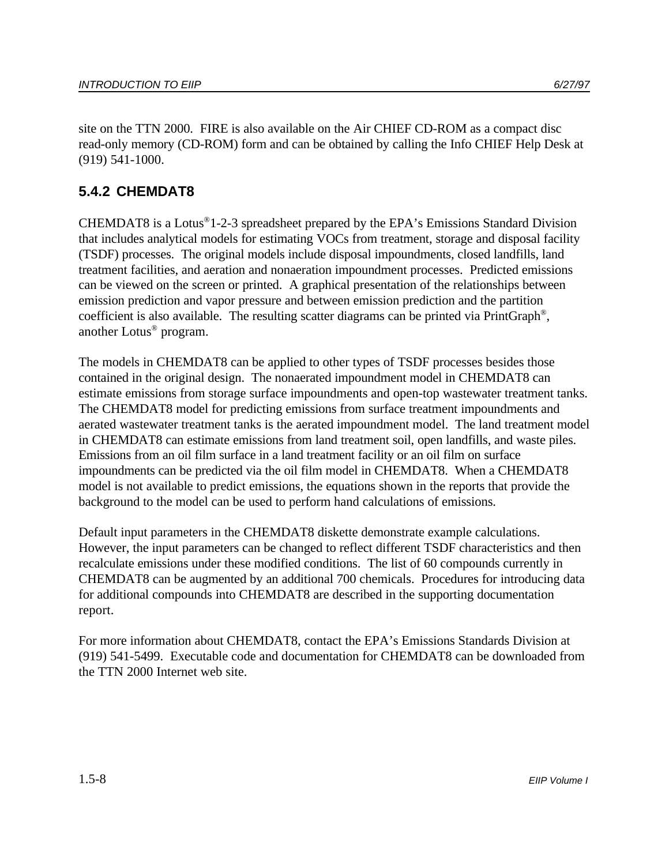site on the TTN 2000. FIRE is also available on the Air CHIEF CD-ROM as a compact disc read-only memory (CD-ROM) form and can be obtained by calling the Info CHIEF Help Desk at (919) 541-1000.

### **5.4.2 CHEMDAT8**

CHEMDAT8 is a Lotus<sup>®</sup>1-2-3 spreadsheet prepared by the EPA's Emissions Standard Division that includes analytical models for estimating VOCs from treatment, storage and disposal facility (TSDF) processes. The original models include disposal impoundments, closed landfills, land treatment facilities, and aeration and nonaeration impoundment processes. Predicted emissions can be viewed on the screen or printed. A graphical presentation of the relationships between emission prediction and vapor pressure and between emission prediction and the partition coefficient is also available. The resulting scatter diagrams can be printed via PrintGraph<sup>®</sup>, another Lotus<sup>®</sup> program.

The models in CHEMDAT8 can be applied to other types of TSDF processes besides those contained in the original design. The nonaerated impoundment model in CHEMDAT8 can estimate emissions from storage surface impoundments and open-top wastewater treatment tanks. The CHEMDAT8 model for predicting emissions from surface treatment impoundments and aerated wastewater treatment tanks is the aerated impoundment model. The land treatment model in CHEMDAT8 can estimate emissions from land treatment soil, open landfills, and waste piles. Emissions from an oil film surface in a land treatment facility or an oil film on surface impoundments can be predicted via the oil film model in CHEMDAT8. When a CHEMDAT8 model is not available to predict emissions, the equations shown in the reports that provide the background to the model can be used to perform hand calculations of emissions.

Default input parameters in the CHEMDAT8 diskette demonstrate example calculations. However, the input parameters can be changed to reflect different TSDF characteristics and then recalculate emissions under these modified conditions. The list of 60 compounds currently in CHEMDAT8 can be augmented by an additional 700 chemicals. Procedures for introducing data for additional compounds into CHEMDAT8 are described in the supporting documentation report.

For more information about CHEMDAT8, contact the EPA's Emissions Standards Division at (919) 541-5499. Executable code and documentation for CHEMDAT8 can be downloaded from the TTN 2000 Internet web site.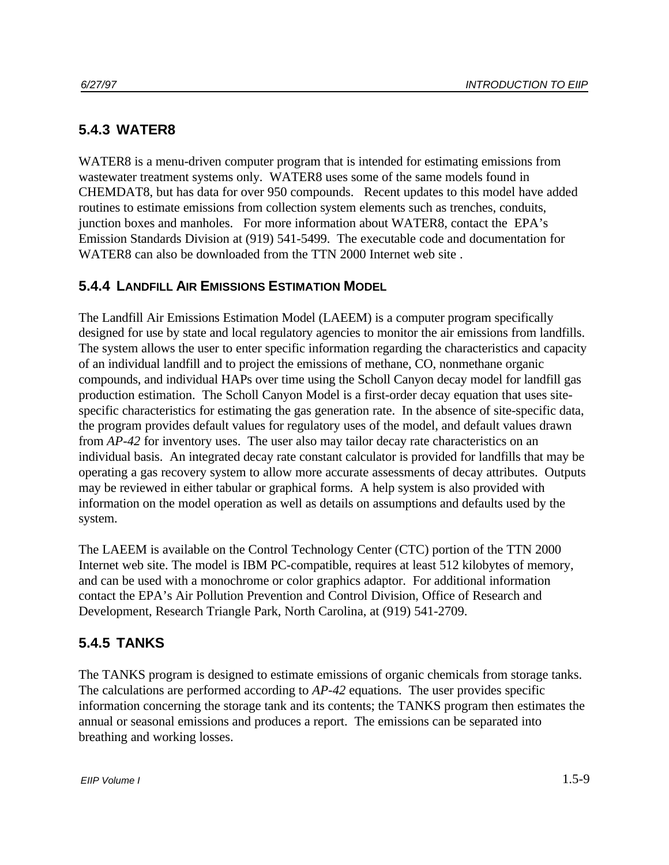### **5.4.3 WATER8**

WATER8 is a menu-driven computer program that is intended for estimating emissions from wastewater treatment systems only. WATER8 uses some of the same models found in CHEMDAT8, but has data for over 950 compounds. Recent updates to this model have added routines to estimate emissions from collection system elements such as trenches, conduits, junction boxes and manholes. For more information about WATER8, contact the EPA's Emission Standards Division at (919) 541-5499. The executable code and documentation for WATER8 can also be downloaded from the TTN 2000 Internet web site.

#### **5.4.4 LANDFILL AIR EMISSIONS ESTIMATION MODEL**

The Landfill Air Emissions Estimation Model (LAEEM) is a computer program specifically designed for use by state and local regulatory agencies to monitor the air emissions from landfills. The system allows the user to enter specific information regarding the characteristics and capacity of an individual landfill and to project the emissions of methane, CO, nonmethane organic compounds, and individual HAPs over time using the Scholl Canyon decay model for landfill gas production estimation. The Scholl Canyon Model is a first-order decay equation that uses sitespecific characteristics for estimating the gas generation rate. In the absence of site-specific data, the program provides default values for regulatory uses of the model, and default values drawn from *AP-42* for inventory uses. The user also may tailor decay rate characteristics on an individual basis. An integrated decay rate constant calculator is provided for landfills that may be operating a gas recovery system to allow more accurate assessments of decay attributes. Outputs may be reviewed in either tabular or graphical forms. A help system is also provided with information on the model operation as well as details on assumptions and defaults used by the system.

The LAEEM is available on the Control Technology Center (CTC) portion of the TTN 2000 Internet web site. The model is IBM PC-compatible, requires at least 512 kilobytes of memory, and can be used with a monochrome or color graphics adaptor. For additional information contact the EPA's Air Pollution Prevention and Control Division, Office of Research and Development, Research Triangle Park, North Carolina, at (919) 541-2709.

### **5.4.5 TANKS**

The TANKS program is designed to estimate emissions of organic chemicals from storage tanks. The calculations are performed according to *AP-42* equations. The user provides specific information concerning the storage tank and its contents; the TANKS program then estimates the annual or seasonal emissions and produces a report. The emissions can be separated into breathing and working losses.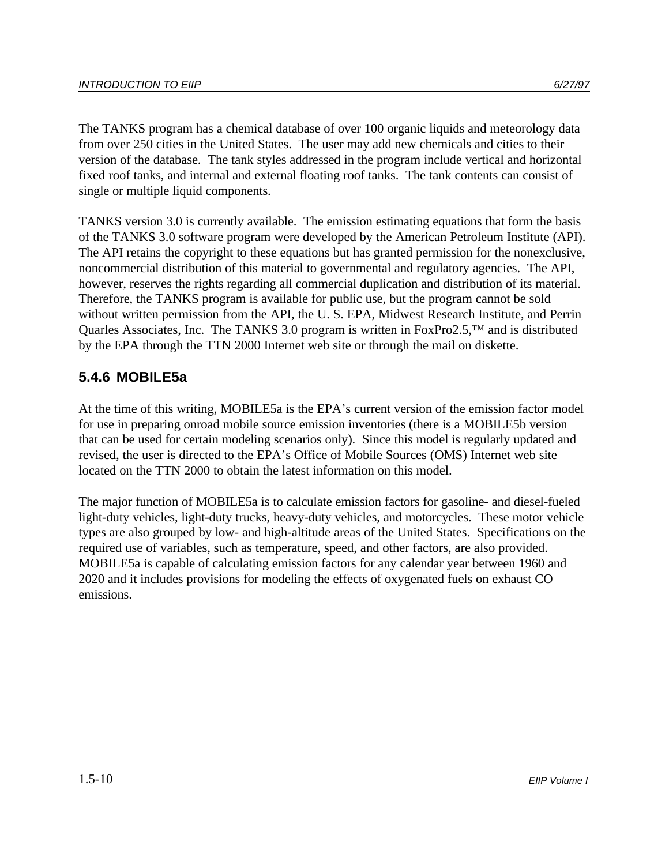The TANKS program has a chemical database of over 100 organic liquids and meteorology data from over 250 cities in the United States. The user may add new chemicals and cities to their version of the database. The tank styles addressed in the program include vertical and horizontal fixed roof tanks, and internal and external floating roof tanks. The tank contents can consist of single or multiple liquid components.

TANKS version 3.0 is currently available. The emission estimating equations that form the basis of the TANKS 3.0 software program were developed by the American Petroleum Institute (API). The API retains the copyright to these equations but has granted permission for the nonexclusive, noncommercial distribution of this material to governmental and regulatory agencies. The API, however, reserves the rights regarding all commercial duplication and distribution of its material. Therefore, the TANKS program is available for public use, but the program cannot be sold without written permission from the API, the U. S. EPA, Midwest Research Institute, and Perrin Quarles Associates, Inc. The TANKS 3.0 program is written in FoxPro2.5,™ and is distributed by the EPA through the TTN 2000 Internet web site or through the mail on diskette.

### **5.4.6 MOBILE5a**

At the time of this writing, MOBILE5a is the EPA's current version of the emission factor model for use in preparing onroad mobile source emission inventories (there is a MOBILE5b version that can be used for certain modeling scenarios only). Since this model is regularly updated and revised, the user is directed to the EPA's Office of Mobile Sources (OMS) Internet web site located on the TTN 2000 to obtain the latest information on this model.

The major function of MOBILE5a is to calculate emission factors for gasoline- and diesel-fueled light-duty vehicles, light-duty trucks, heavy-duty vehicles, and motorcycles. These motor vehicle types are also grouped by low- and high-altitude areas of the United States. Specifications on the required use of variables, such as temperature, speed, and other factors, are also provided. MOBILE5a is capable of calculating emission factors for any calendar year between 1960 and 2020 and it includes provisions for modeling the effects of oxygenated fuels on exhaust CO emissions.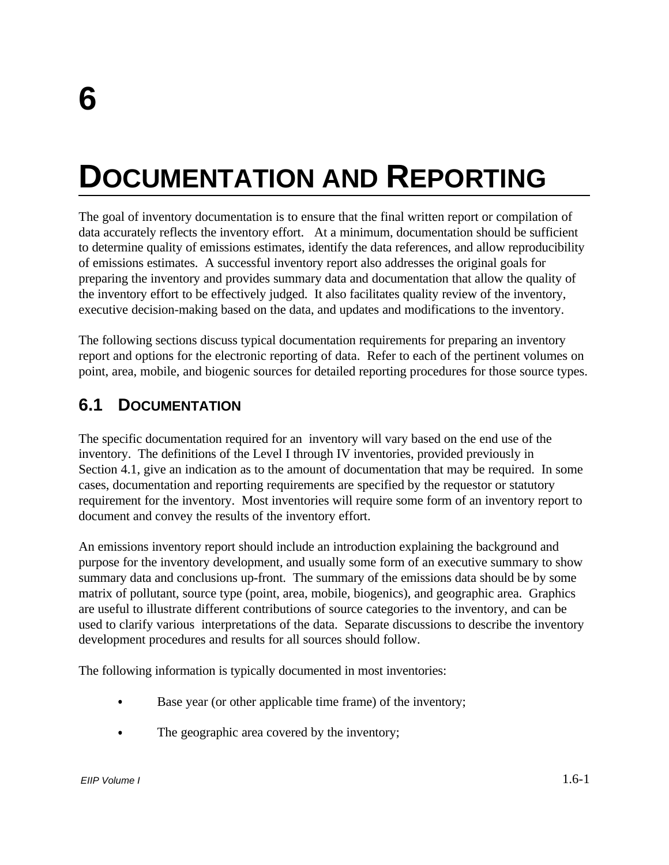# **DOCUMENTATION AND REPORTING**

The goal of inventory documentation is to ensure that the final written report or compilation of data accurately reflects the inventory effort. At a minimum, documentation should be sufficient to determine quality of emissions estimates, identify the data references, and allow reproducibility of emissions estimates. A successful inventory report also addresses the original goals for preparing the inventory and provides summary data and documentation that allow the quality of the inventory effort to be effectively judged. It also facilitates quality review of the inventory, executive decision-making based on the data, and updates and modifications to the inventory.

The following sections discuss typical documentation requirements for preparing an inventory report and options for the electronic reporting of data. Refer to each of the pertinent volumes on point, area, mobile, and biogenic sources for detailed reporting procedures for those source types.

## **6.1 DOCUMENTATION**

The specific documentation required for an inventory will vary based on the end use of the inventory. The definitions of the Level I through IV inventories, provided previously in Section 4.1, give an indication as to the amount of documentation that may be required. In some cases, documentation and reporting requirements are specified by the requestor or statutory requirement for the inventory. Most inventories will require some form of an inventory report to document and convey the results of the inventory effort.

An emissions inventory report should include an introduction explaining the background and purpose for the inventory development, and usually some form of an executive summary to show summary data and conclusions up-front. The summary of the emissions data should be by some matrix of pollutant, source type (point, area, mobile, biogenics), and geographic area. Graphics are useful to illustrate different contributions of source categories to the inventory, and can be used to clarify various interpretations of the data. Separate discussions to describe the inventory development procedures and results for all sources should follow.

The following information is typically documented in most inventories:

- Base year (or other applicable time frame) of the inventory;  $\bullet$
- The geographic area covered by the inventory;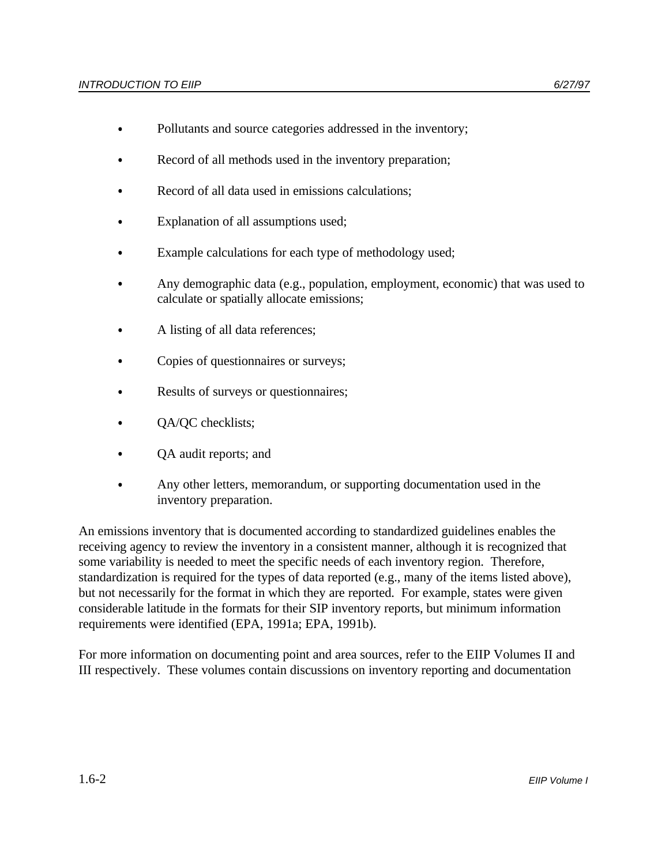- $\bullet$ Pollutants and source categories addressed in the inventory;
- Record of all methods used in the inventory preparation;  $\bullet$
- Record of all data used in emissions calculations;
- Explanation of all assumptions used;
- Example calculations for each type of methodology used;  $\bullet$
- Any demographic data (e.g., population, employment, economic) that was used to calculate or spatially allocate emissions;
- A listing of all data references;
- Copies of questionnaires or surveys;
- Results of surveys or questionnaires;
- QA/QC checklists;  $\bullet$
- QA audit reports; and
- Any other letters, memorandum, or supporting documentation used in the inventory preparation.

An emissions inventory that is documented according to standardized guidelines enables the receiving agency to review the inventory in a consistent manner, although it is recognized that some variability is needed to meet the specific needs of each inventory region. Therefore, standardization is required for the types of data reported (e.g., many of the items listed above), but not necessarily for the format in which they are reported. For example, states were given considerable latitude in the formats for their SIP inventory reports, but minimum information requirements were identified (EPA, 1991a; EPA, 1991b).

For more information on documenting point and area sources, refer to the EIIP Volumes II and III respectively. These volumes contain discussions on inventory reporting and documentation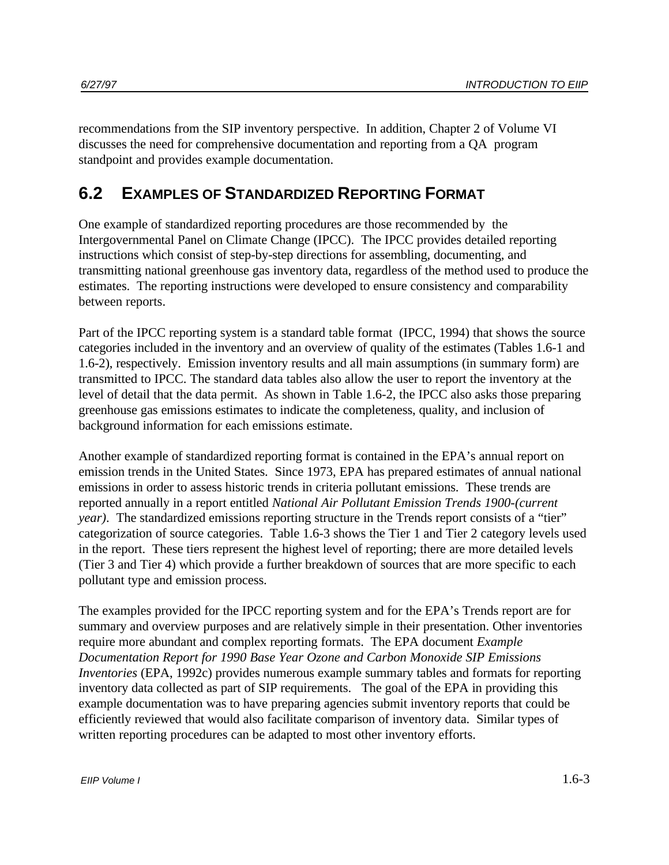recommendations from the SIP inventory perspective. In addition, Chapter 2 of Volume VI discusses the need for comprehensive documentation and reporting from a QA program standpoint and provides example documentation.

# **6.2 EXAMPLES OF STANDARDIZED REPORTING FORMAT**

One example of standardized reporting procedures are those recommended by the Intergovernmental Panel on Climate Change (IPCC). The IPCC provides detailed reporting instructions which consist of step-by-step directions for assembling, documenting, and transmitting national greenhouse gas inventory data, regardless of the method used to produce the estimates. The reporting instructions were developed to ensure consistency and comparability between reports.

Part of the IPCC reporting system is a standard table format (IPCC, 1994) that shows the source categories included in the inventory and an overview of quality of the estimates (Tables 1.6-1 and 1.6-2), respectively. Emission inventory results and all main assumptions (in summary form) are transmitted to IPCC. The standard data tables also allow the user to report the inventory at the level of detail that the data permit. As shown in Table 1.6-2, the IPCC also asks those preparing greenhouse gas emissions estimates to indicate the completeness, quality, and inclusion of background information for each emissions estimate.

Another example of standardized reporting format is contained in the EPA's annual report on emission trends in the United States. Since 1973, EPA has prepared estimates of annual national emissions in order to assess historic trends in criteria pollutant emissions. These trends are reported annually in a report entitled *National Air Pollutant Emission Trends 1900-(current year*). The standardized emissions reporting structure in the Trends report consists of a "tier" categorization of source categories. Table 1.6-3 shows the Tier 1 and Tier 2 category levels used in the report. These tiers represent the highest level of reporting; there are more detailed levels (Tier 3 and Tier 4) which provide a further breakdown of sources that are more specific to each pollutant type and emission process.

The examples provided for the IPCC reporting system and for the EPA's Trends report are for summary and overview purposes and are relatively simple in their presentation. Other inventories require more abundant and complex reporting formats. The EPA document *Example Documentation Report for 1990 Base Year Ozone and Carbon Monoxide SIP Emissions Inventories* (EPA, 1992c) provides numerous example summary tables and formats for reporting inventory data collected as part of SIP requirements. The goal of the EPA in providing this example documentation was to have preparing agencies submit inventory reports that could be efficiently reviewed that would also facilitate comparison of inventory data. Similar types of written reporting procedures can be adapted to most other inventory efforts.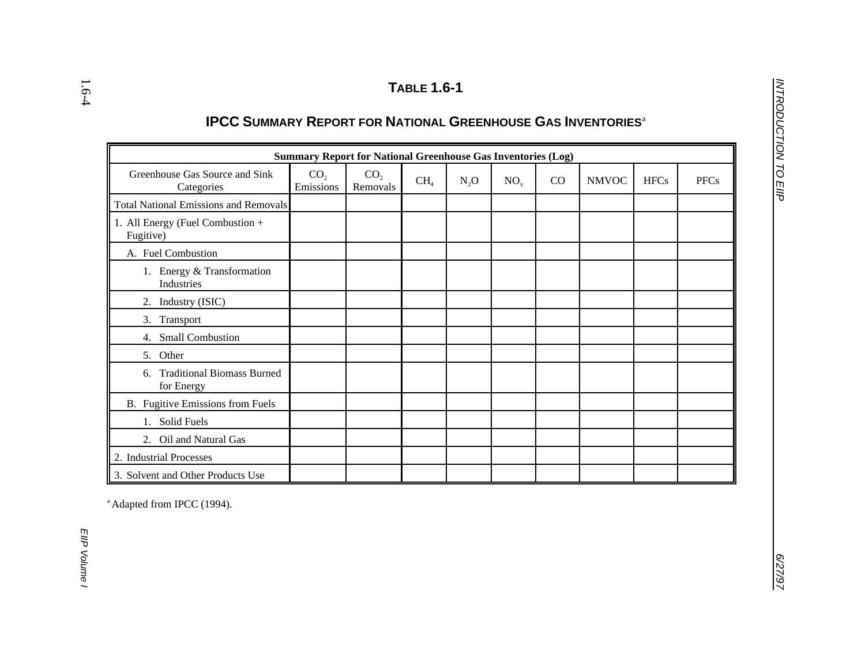| Greenhouse Gas Source and Sink<br>Categories  | CO <sub>2</sub><br>Emissions | CO <sub>2</sub><br>Removals | CH <sub>4</sub> | $N_2O$ | NO <sub>x</sub> | CO | <b>NMVOC</b> | <b>HFCs</b> | <b>PFCs</b> |
|-----------------------------------------------|------------------------------|-----------------------------|-----------------|--------|-----------------|----|--------------|-------------|-------------|
| <b>Total National Emissions and Removals</b>  |                              |                             |                 |        |                 |    |              |             |             |
| 1. All Energy (Fuel Combustion +<br>Fugitive) |                              |                             |                 |        |                 |    |              |             |             |
| A. Fuel Combustion                            |                              |                             |                 |        |                 |    |              |             |             |
| 1. Energy & Transformation<br>Industries      |                              |                             |                 |        |                 |    |              |             |             |
| 2. Industry (ISIC)                            |                              |                             |                 |        |                 |    |              |             |             |
| 3. Transport                                  |                              |                             |                 |        |                 |    |              |             |             |
| 4. Small Combustion                           |                              |                             |                 |        |                 |    |              |             |             |
| 5. Other                                      |                              |                             |                 |        |                 |    |              |             |             |
| 6. Traditional Biomass Burned<br>for Energy   |                              |                             |                 |        |                 |    |              |             |             |
| B. Fugitive Emissions from Fuels              |                              |                             |                 |        |                 |    |              |             |             |
| 1. Solid Fuels                                |                              |                             |                 |        |                 |    |              |             |             |
| 2. Oil and Natural Gas                        |                              |                             |                 |        |                 |    |              |             |             |
| 2. Industrial Processes                       |                              |                             |                 |        |                 |    |              |             |             |
| 3. Solvent and Other Products Use             |                              |                             |                 |        |                 |    |              |             |             |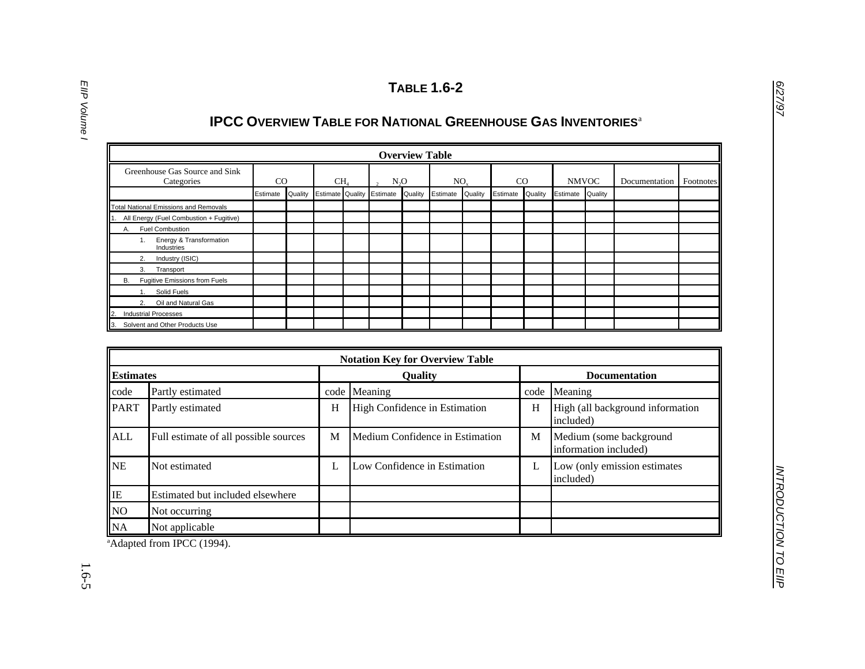| <b>Overview Table</b>                        |          |         |                                  |  |                  |         |                 |         |             |         |              |         |               |           |
|----------------------------------------------|----------|---------|----------------------------------|--|------------------|---------|-----------------|---------|-------------|---------|--------------|---------|---------------|-----------|
| Greenhouse Gas Source and Sink<br>Categories | CO       |         | CH <sub>4</sub>                  |  | N <sub>2</sub> O |         | NO <sub>x</sub> |         | $_{\rm CO}$ |         | <b>NMVOC</b> |         | Documentation | Footnotes |
|                                              | Estimate | Quality | <b>Estimate Quality Estimate</b> |  |                  | Quality | Estimate        | Quality | Estimate    | Quality | Estimate     | Quality |               |           |
| Total National Emissions and Removals        |          |         |                                  |  |                  |         |                 |         |             |         |              |         |               |           |
| 1. All Energy (Fuel Combustion + Fugitive)   |          |         |                                  |  |                  |         |                 |         |             |         |              |         |               |           |
| <b>Fuel Combustion</b><br>A.                 |          |         |                                  |  |                  |         |                 |         |             |         |              |         |               |           |
| Energy & Transformation<br>Industries        |          |         |                                  |  |                  |         |                 |         |             |         |              |         |               |           |
| Industry (ISIC)<br>2.                        |          |         |                                  |  |                  |         |                 |         |             |         |              |         |               |           |
| Transport<br>3.                              |          |         |                                  |  |                  |         |                 |         |             |         |              |         |               |           |
| Fugitive Emissions from Fuels<br>В.          |          |         |                                  |  |                  |         |                 |         |             |         |              |         |               |           |
| Solid Fuels                                  |          |         |                                  |  |                  |         |                 |         |             |         |              |         |               |           |
| Oil and Natural Gas<br>2.                    |          |         |                                  |  |                  |         |                 |         |             |         |              |         |               |           |
| <b>Industrial Processes</b><br>2.            |          |         |                                  |  |                  |         |                 |         |             |         |              |         |               |           |
| Solvent and Other Products Use<br>3.         |          |         |                                  |  |                  |         |                 |         |             |         |              |         |               |           |

|                                                                                             |                                              |          |         |                  |                                        | <b>Overview Table</b> |          |         |          |         |              |         |                                                  |           |
|---------------------------------------------------------------------------------------------|----------------------------------------------|----------|---------|------------------|----------------------------------------|-----------------------|----------|---------|----------|---------|--------------|---------|--------------------------------------------------|-----------|
|                                                                                             | Greenhouse Gas Source and Sink<br>Categories | CO       |         | CH <sub>4</sub>  | N <sub>2</sub> O                       |                       | NO.      |         |          | CO      | <b>NMVOC</b> |         | Documentation                                    | Footnotes |
|                                                                                             |                                              | Estimate | Quality | Estimate Quality | Estimate                               | Quality               | Estimate | Quality | Estimate | Quality | Estimate     | Quality |                                                  |           |
|                                                                                             | <b>Total National Emissions and Removals</b> |          |         |                  |                                        |                       |          |         |          |         |              |         |                                                  |           |
|                                                                                             | All Energy (Fuel Combustion + Fugitive)      |          |         |                  |                                        |                       |          |         |          |         |              |         |                                                  |           |
| Α.                                                                                          | Fuel Combustion                              |          |         |                  |                                        |                       |          |         |          |         |              |         |                                                  |           |
|                                                                                             | 1. Energy & Transformation<br>Industries     |          |         |                  |                                        |                       |          |         |          |         |              |         |                                                  |           |
| 2.                                                                                          | Industry (ISIC)                              |          |         |                  |                                        |                       |          |         |          |         |              |         |                                                  |           |
| 3.                                                                                          | Transport                                    |          |         |                  |                                        |                       |          |         |          |         |              |         |                                                  |           |
| <b>B.</b>                                                                                   | Fugitive Emissions from Fuels                |          |         |                  |                                        |                       |          |         |          |         |              |         |                                                  |           |
| 1.<br>2.                                                                                    | Solid Fuels<br>Oil and Natural Gas           |          |         |                  |                                        |                       |          |         |          |         |              |         |                                                  |           |
|                                                                                             | <b>Industrial Processes</b>                  |          |         |                  |                                        |                       |          |         |          |         |              |         |                                                  |           |
|                                                                                             | Solvent and Other Products Use               |          |         |                  |                                        |                       |          |         |          |         |              |         |                                                  |           |
|                                                                                             |                                              |          |         |                  |                                        |                       |          |         |          |         |              |         |                                                  |           |
|                                                                                             |                                              |          |         |                  | <b>Notation Key for Overview Table</b> | Quality               |          |         |          |         |              |         | <b>Documentation</b>                             |           |
|                                                                                             | Partly estimated                             |          |         |                  | code Meaning                           |                       |          |         |          | code    | Meaning      |         |                                                  |           |
|                                                                                             | Partly estimated                             |          |         | H                | High Confidence in Estimation          |                       |          |         |          | H       | included)    |         | High (all background information                 |           |
|                                                                                             | Full estimate of all possible sources        |          |         | M                | Medium Confidence in Estimation        |                       |          |         |          | М       |              |         | Medium (some background<br>information included) |           |
|                                                                                             | Not estimated                                |          |         | L                | Low Confidence in Estimation           |                       |          |         |          | L       | included)    |         | Low (only emission estimates                     |           |
|                                                                                             | Estimated but included elsewhere             |          |         |                  |                                        |                       |          |         |          |         |              |         |                                                  |           |
| <b>Estimates</b><br>code<br><b>PART</b><br><b>ALL</b><br><b>NE</b><br>IE<br>NO <sub>1</sub> | Not occurring                                |          |         |                  |                                        |                       |          |         |          |         |              |         |                                                  |           |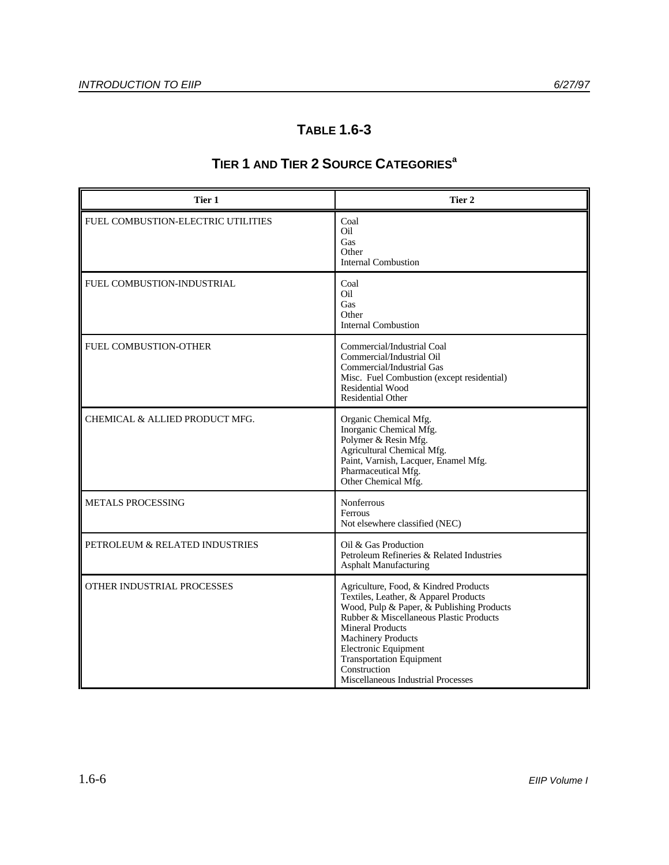### **TABLE 1.6-3**

## **TIER 1 AND TIER 2 SOURCE CATEGORIES<sup>a</sup>**

| Tier 1                             | Tier 2                                                                                                                                                                                                                                                                                                                                                 |
|------------------------------------|--------------------------------------------------------------------------------------------------------------------------------------------------------------------------------------------------------------------------------------------------------------------------------------------------------------------------------------------------------|
| FUEL COMBUSTION-ELECTRIC UTILITIES | Coal<br>Oil<br>Gas<br>Other<br><b>Internal Combustion</b>                                                                                                                                                                                                                                                                                              |
| <b>FUEL COMBUSTION-INDUSTRIAL</b>  | Coal<br>Oil<br>Gas<br>Other<br><b>Internal Combustion</b>                                                                                                                                                                                                                                                                                              |
| <b>FUEL COMBUSTION-OTHER</b>       | Commercial/Industrial Coal<br>Commercial/Industrial Oil<br>Commercial/Industrial Gas<br>Misc. Fuel Combustion (except residential)<br><b>Residential Wood</b><br><b>Residential Other</b>                                                                                                                                                              |
| CHEMICAL & ALLIED PRODUCT MFG.     | Organic Chemical Mfg.<br>Inorganic Chemical Mfg.<br>Polymer & Resin Mfg.<br>Agricultural Chemical Mfg.<br>Paint, Varnish, Lacquer, Enamel Mfg.<br>Pharmaceutical Mfg.<br>Other Chemical Mfg.                                                                                                                                                           |
| <b>METALS PROCESSING</b>           | Nonferrous<br>Ferrous<br>Not elsewhere classified (NEC)                                                                                                                                                                                                                                                                                                |
| PETROLEUM & RELATED INDUSTRIES     | Oil & Gas Production<br>Petroleum Refineries & Related Industries<br><b>Asphalt Manufacturing</b>                                                                                                                                                                                                                                                      |
| OTHER INDUSTRIAL PROCESSES         | Agriculture, Food, & Kindred Products<br>Textiles, Leather, & Apparel Products<br>Wood, Pulp & Paper, & Publishing Products<br>Rubber & Miscellaneous Plastic Products<br><b>Mineral Products</b><br><b>Machinery Products</b><br>Electronic Equipment<br><b>Transportation Equipment</b><br>Construction<br><b>Miscellaneous Industrial Processes</b> |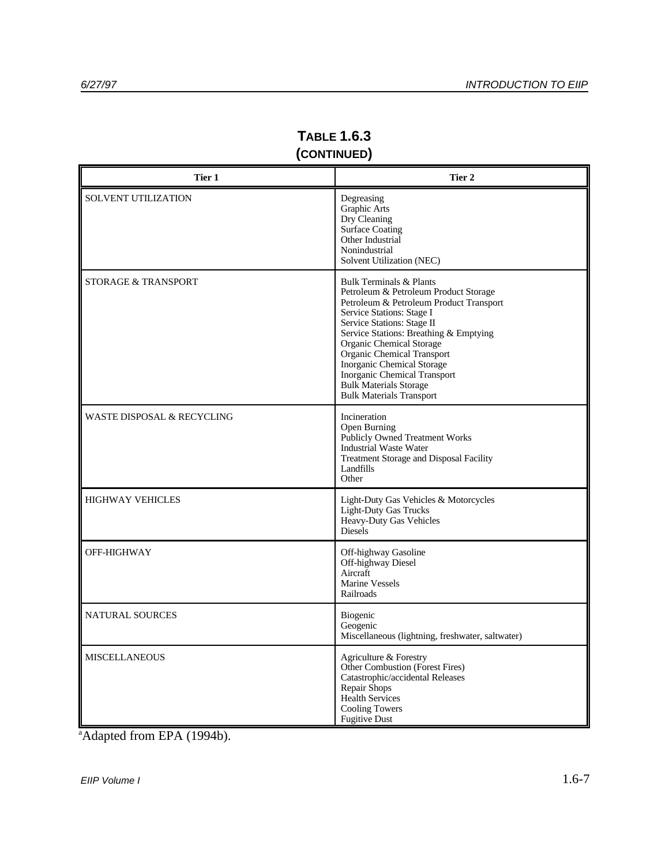| Tier 1                         | Tier 2                                                                                                                                                                                                                                                                                                                                                                                                       |
|--------------------------------|--------------------------------------------------------------------------------------------------------------------------------------------------------------------------------------------------------------------------------------------------------------------------------------------------------------------------------------------------------------------------------------------------------------|
| SOLVENT UTILIZATION            | Degreasing<br>Graphic Arts<br>Dry Cleaning<br><b>Surface Coating</b><br>Other Industrial<br>Nonindustrial<br><b>Solvent Utilization (NEC)</b>                                                                                                                                                                                                                                                                |
| <b>STORAGE &amp; TRANSPORT</b> | Bulk Terminals & Plants<br>Petroleum & Petroleum Product Storage<br>Petroleum & Petroleum Product Transport<br>Service Stations: Stage I<br>Service Stations: Stage II<br>Service Stations: Breathing & Emptying<br>Organic Chemical Storage<br>Organic Chemical Transport<br>Inorganic Chemical Storage<br>Inorganic Chemical Transport<br><b>Bulk Materials Storage</b><br><b>Bulk Materials Transport</b> |
| WASTE DISPOSAL & RECYCLING     | Incineration<br>Open Burning<br>Publicly Owned Treatment Works<br><b>Industrial Waste Water</b><br>Treatment Storage and Disposal Facility<br>Landfills<br>Other                                                                                                                                                                                                                                             |
| <b>HIGHWAY VEHICLES</b>        | Light-Duty Gas Vehicles & Motorcycles<br><b>Light-Duty Gas Trucks</b><br>Heavy-Duty Gas Vehicles<br><b>Diesels</b>                                                                                                                                                                                                                                                                                           |
| OFF-HIGHWAY                    | Off-highway Gasoline<br>Off-highway Diesel<br>Aircraft<br><b>Marine Vessels</b><br>Railroads                                                                                                                                                                                                                                                                                                                 |
| <b>NATURAL SOURCES</b>         | Biogenic<br>Geogenic<br>Miscellaneous (lightning, freshwater, saltwater)                                                                                                                                                                                                                                                                                                                                     |
| <b>MISCELLANEOUS</b>           | Agriculture & Forestry<br>Other Combustion (Forest Fires)<br>Catastrophic/accidental Releases<br>Repair Shops<br><b>Health Services</b><br><b>Cooling Towers</b><br><b>Fugitive Dust</b>                                                                                                                                                                                                                     |

### **TABLE 1.6.3 (CONTINUED)**

<sup>a</sup>Adapted from EPA (1994b).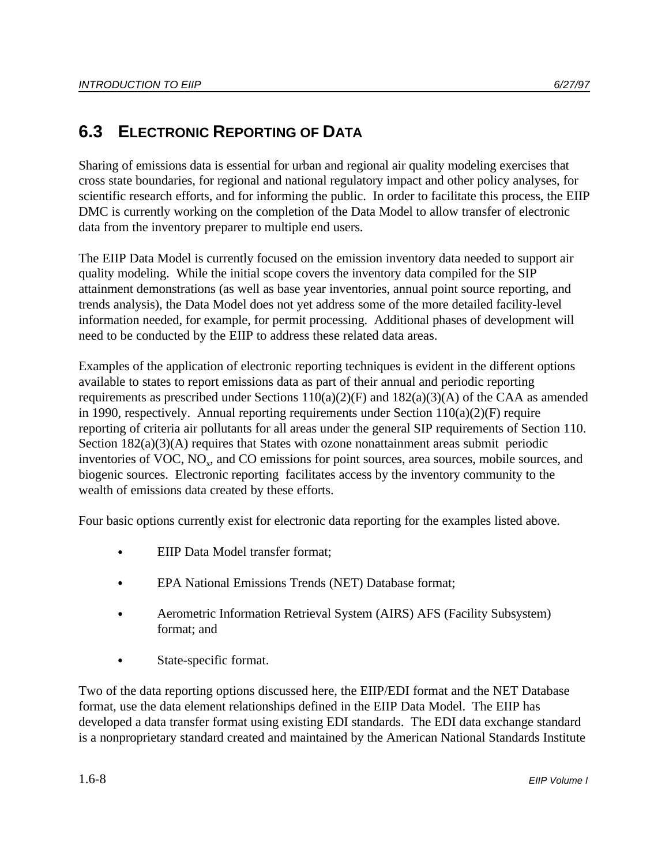# **6.3 ELECTRONIC REPORTING OF DATA**

Sharing of emissions data is essential for urban and regional air quality modeling exercises that cross state boundaries, for regional and national regulatory impact and other policy analyses, for scientific research efforts, and for informing the public. In order to facilitate this process, the EIIP DMC is currently working on the completion of the Data Model to allow transfer of electronic data from the inventory preparer to multiple end users.

The EIIP Data Model is currently focused on the emission inventory data needed to support air quality modeling. While the initial scope covers the inventory data compiled for the SIP attainment demonstrations (as well as base year inventories, annual point source reporting, and trends analysis), the Data Model does not yet address some of the more detailed facility-level information needed, for example, for permit processing. Additional phases of development will need to be conducted by the EIIP to address these related data areas.

Examples of the application of electronic reporting techniques is evident in the different options available to states to report emissions data as part of their annual and periodic reporting requirements as prescribed under Sections  $110(a)(2)(F)$  and  $182(a)(3)(A)$  of the CAA as amended in 1990, respectively. Annual reporting requirements under Section  $110(a)(2)(F)$  require reporting of criteria air pollutants for all areas under the general SIP requirements of Section 110. Section  $182(a)(3)(A)$  requires that States with ozone nonattainment areas submit periodic inventories of VOC, NO<sub>x</sub>, and CO emissions for point sources, area sources, mobile sources, and biogenic sources. Electronic reporting facilitates access by the inventory community to the wealth of emissions data created by these efforts.

Four basic options currently exist for electronic data reporting for the examples listed above.

- $\bullet$ EIIP Data Model transfer format;
- EPA National Emissions Trends (NET) Database format;  $\bullet$
- Aerometric Information Retrieval System (AIRS) AFS (Facility Subsystem)  $\bullet$ format; and
- State-specific format.

Two of the data reporting options discussed here, the EIIP/EDI format and the NET Database format, use the data element relationships defined in the EIIP Data Model. The EIIP has developed a data transfer format using existing EDI standards. The EDI data exchange standard is a nonproprietary standard created and maintained by the American National Standards Institute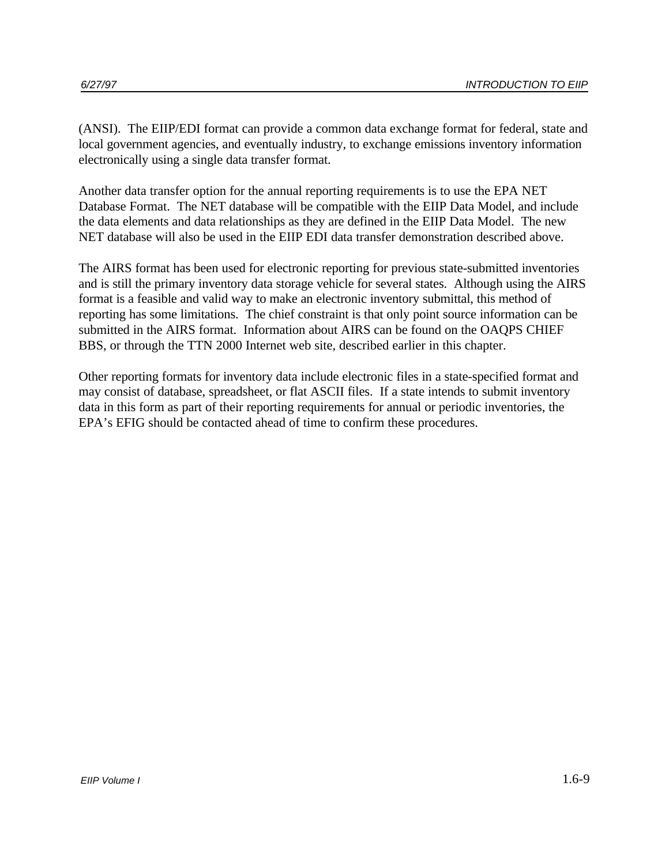(ANSI). The EIIP/EDI format can provide a common data exchange format for federal, state and local government agencies, and eventually industry, to exchange emissions inventory information electronically using a single data transfer format.

Another data transfer option for the annual reporting requirements is to use the EPA NET Database Format. The NET database will be compatible with the EIIP Data Model, and include the data elements and data relationships as they are defined in the EIIP Data Model. The new NET database will also be used in the EIIP EDI data transfer demonstration described above.

The AIRS format has been used for electronic reporting for previous state-submitted inventories and is still the primary inventory data storage vehicle for several states. Although using the AIRS format is a feasible and valid way to make an electronic inventory submittal, this method of reporting has some limitations. The chief constraint is that only point source information can be submitted in the AIRS format. Information about AIRS can be found on the OAQPS CHIEF BBS, or through the TTN 2000 Internet web site, described earlier in this chapter.

Other reporting formats for inventory data include electronic files in a state-specified format and may consist of database, spreadsheet, or flat ASCII files. If a state intends to submit inventory data in this form as part of their reporting requirements for annual or periodic inventories, the EPA's EFIG should be contacted ahead of time to confirm these procedures.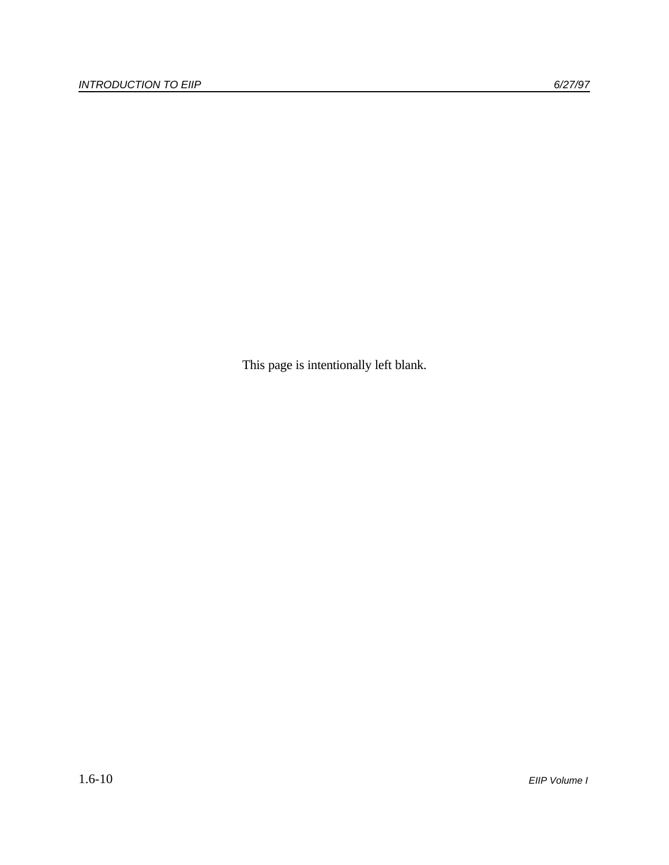This page is intentionally left blank.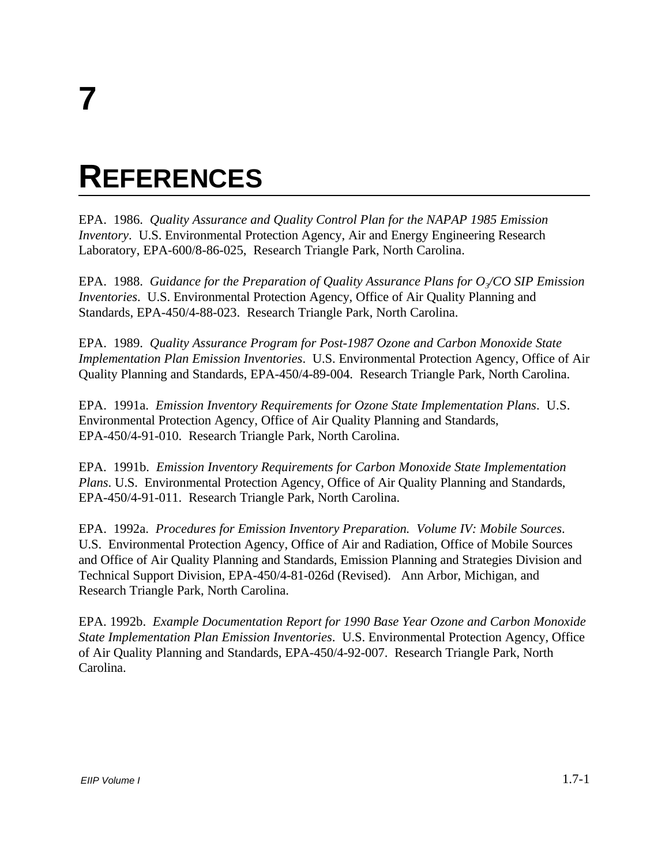# **REFERENCES**

EPA. 1986. *Quality Assurance and Quality Control Plan for the NAPAP 1985 Emission Inventory*. U.S. Environmental Protection Agency, Air and Energy Engineering Research Laboratory, EPA-600/8-86-025, Research Triangle Park, North Carolina.

EPA. 1988. *Guidance for the Preparation of Quality Assurance Plans for O<sup>3</sup> /CO SIP Emission Inventories*. U.S. Environmental Protection Agency, Office of Air Quality Planning and Standards, EPA-450/4-88-023. Research Triangle Park, North Carolina.

EPA. 1989. *Quality Assurance Program for Post-1987 Ozone and Carbon Monoxide State Implementation Plan Emission Inventories*. U.S. Environmental Protection Agency, Office of Air Quality Planning and Standards, EPA-450/4-89-004. Research Triangle Park, North Carolina.

EPA. 1991a. *Emission Inventory Requirements for Ozone State Implementation Plans*. U.S. Environmental Protection Agency, Office of Air Quality Planning and Standards, EPA-450/4-91-010. Research Triangle Park, North Carolina.

EPA. 1991b. *Emission Inventory Requirements for Carbon Monoxide State Implementation Plans*. U.S. Environmental Protection Agency, Office of Air Quality Planning and Standards, EPA-450/4-91-011. Research Triangle Park, North Carolina.

EPA. 1992a. *Procedures for Emission Inventory Preparation. Volume IV: Mobile Sources*. U.S. Environmental Protection Agency, Office of Air and Radiation, Office of Mobile Sources and Office of Air Quality Planning and Standards, Emission Planning and Strategies Division and Technical Support Division, EPA-450/4-81-026d (Revised). Ann Arbor, Michigan, and Research Triangle Park, North Carolina.

EPA. 1992b. *Example Documentation Report for 1990 Base Year Ozone and Carbon Monoxide State Implementation Plan Emission Inventories*. U.S. Environmental Protection Agency, Office of Air Quality Planning and Standards, EPA-450/4-92-007. Research Triangle Park, North Carolina.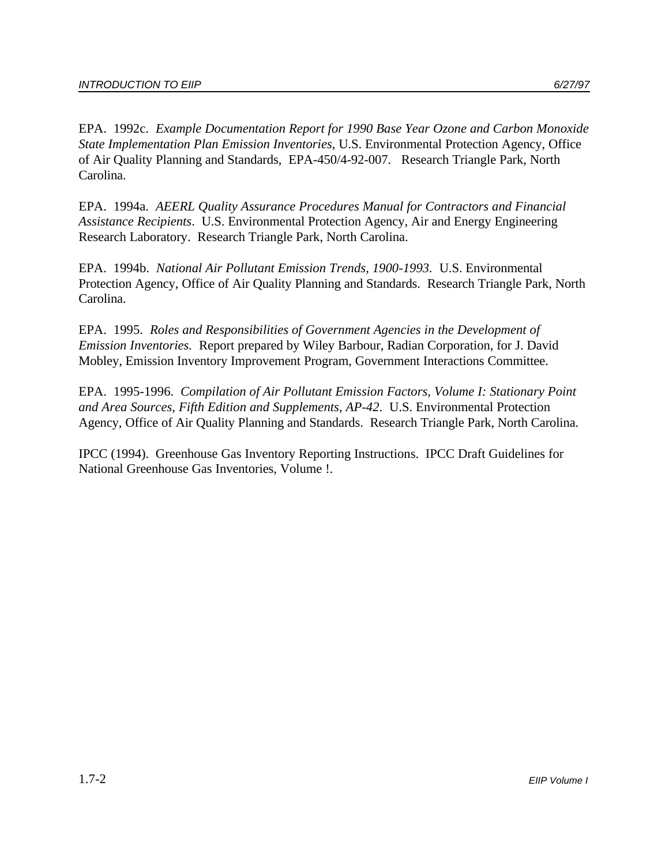EPA. 1992c. *Example Documentation Report for 1990 Base Year Ozone and Carbon Monoxide State Implementation Plan Emission Inventories*, U.S. Environmental Protection Agency, Office of Air Quality Planning and Standards, EPA-450/4-92-007. Research Triangle Park, North Carolina.

EPA. 1994a. *AEERL Quality Assurance Procedures Manual for Contractors and Financial Assistance Recipients*. U.S. Environmental Protection Agency, Air and Energy Engineering Research Laboratory. Research Triangle Park, North Carolina.

EPA. 1994b. *National Air Pollutant Emission Trends, 1900-1993.* U.S. Environmental Protection Agency, Office of Air Quality Planning and Standards. Research Triangle Park, North Carolina.

EPA. 1995. *Roles and Responsibilities of Government Agencies in the Development of Emission Inventories.* Report prepared by Wiley Barbour, Radian Corporation, for J. David Mobley, Emission Inventory Improvement Program, Government Interactions Committee.

EPA. 1995-1996. *Compilation of Air Pollutant Emission Factors, Volume I: Stationary Point and Area Sources, Fifth Edition and Supplements, AP-42*. U.S. Environmental Protection Agency, Office of Air Quality Planning and Standards. Research Triangle Park, North Carolina.

IPCC (1994). Greenhouse Gas Inventory Reporting Instructions. IPCC Draft Guidelines for National Greenhouse Gas Inventories, Volume !.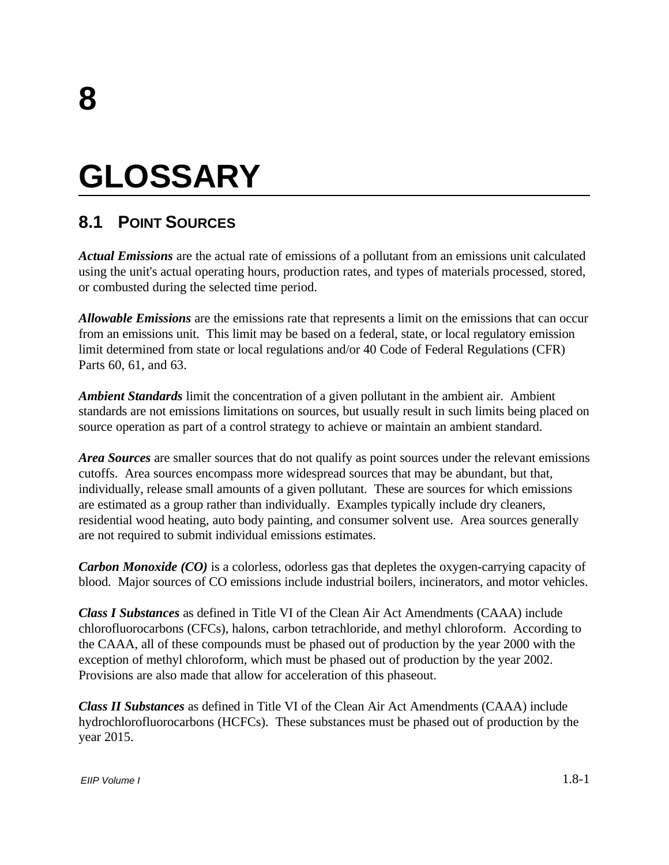# **GLOSSARY**

## **8.1 POINT SOURCES**

*Actual Emissions* are the actual rate of emissions of a pollutant from an emissions unit calculated using the unit's actual operating hours, production rates, and types of materials processed, stored, or combusted during the selected time period.

*Allowable Emissions* are the emissions rate that represents a limit on the emissions that can occur from an emissions unit. This limit may be based on a federal, state, or local regulatory emission limit determined from state or local regulations and/or 40 Code of Federal Regulations (CFR) Parts 60, 61, and 63.

*Ambient Standards* limit the concentration of a given pollutant in the ambient air. Ambient standards are not emissions limitations on sources, but usually result in such limits being placed on source operation as part of a control strategy to achieve or maintain an ambient standard.

*Area Sources* are smaller sources that do not qualify as point sources under the relevant emissions cutoffs. Area sources encompass more widespread sources that may be abundant, but that, individually, release small amounts of a given pollutant. These are sources for which emissions are estimated as a group rather than individually. Examples typically include dry cleaners, residential wood heating, auto body painting, and consumer solvent use. Area sources generally are not required to submit individual emissions estimates.

*Carbon Monoxide (CO)* is a colorless, odorless gas that depletes the oxygen-carrying capacity of blood. Major sources of CO emissions include industrial boilers, incinerators, and motor vehicles.

*Class I Substances* as defined in Title VI of the Clean Air Act Amendments (CAAA) include chlorofluorocarbons (CFCs), halons, carbon tetrachloride, and methyl chloroform. According to the CAAA, all of these compounds must be phased out of production by the year 2000 with the exception of methyl chloroform, which must be phased out of production by the year 2002. Provisions are also made that allow for acceleration of this phaseout.

*Class II Substances* as defined in Title VI of the Clean Air Act Amendments (CAAA) include hydrochlorofluorocarbons (HCFCs). These substances must be phased out of production by the year 2015.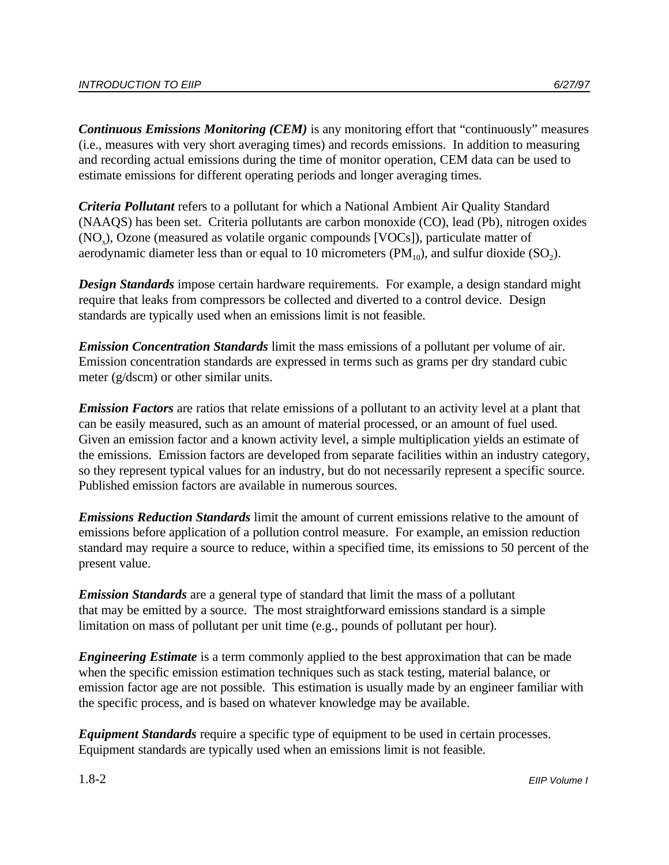*Continuous Emissions Monitoring (CEM)* is any monitoring effort that "continuously" measures (i.e., measures with very short averaging times) and records emissions. In addition to measuring and recording actual emissions during the time of monitor operation, CEM data can be used to estimate emissions for different operating periods and longer averaging times.

*Criteria Pollutant* refers to a pollutant for which a National Ambient Air Quality Standard (NAAQS) has been set. Criteria pollutants are carbon monoxide (CO), lead (Pb), nitrogen oxides  $(NO<sub>v</sub>)$ , Ozone (measured as volatile organic compounds [VOCs]), particulate matter of aerodynamic diameter less than or equal to 10 micrometers  $(PM_{10})$ , and sulfur dioxide  $(SO_2)$ .

*Design Standards* impose certain hardware requirements. For example, a design standard might require that leaks from compressors be collected and diverted to a control device. Design standards are typically used when an emissions limit is not feasible.

*Emission Concentration Standards* limit the mass emissions of a pollutant per volume of air. Emission concentration standards are expressed in terms such as grams per dry standard cubic meter (g/dscm) or other similar units.

*Emission Factors* are ratios that relate emissions of a pollutant to an activity level at a plant that can be easily measured, such as an amount of material processed, or an amount of fuel used. Given an emission factor and a known activity level, a simple multiplication yields an estimate of the emissions. Emission factors are developed from separate facilities within an industry category, so they represent typical values for an industry, but do not necessarily represent a specific source. Published emission factors are available in numerous sources.

*Emissions Reduction Standards* limit the amount of current emissions relative to the amount of emissions before application of a pollution control measure. For example, an emission reduction standard may require a source to reduce, within a specified time, its emissions to 50 percent of the present value.

*Emission Standards* are a general type of standard that limit the mass of a pollutant that may be emitted by a source. The most straightforward emissions standard is a simple limitation on mass of pollutant per unit time (e.g., pounds of pollutant per hour).

*Engineering Estimate* is a term commonly applied to the best approximation that can be made when the specific emission estimation techniques such as stack testing, material balance, or emission factor age are not possible. This estimation is usually made by an engineer familiar with the specific process, and is based on whatever knowledge may be available.

*Equipment Standards* require a specific type of equipment to be used in certain processes. Equipment standards are typically used when an emissions limit is not feasible.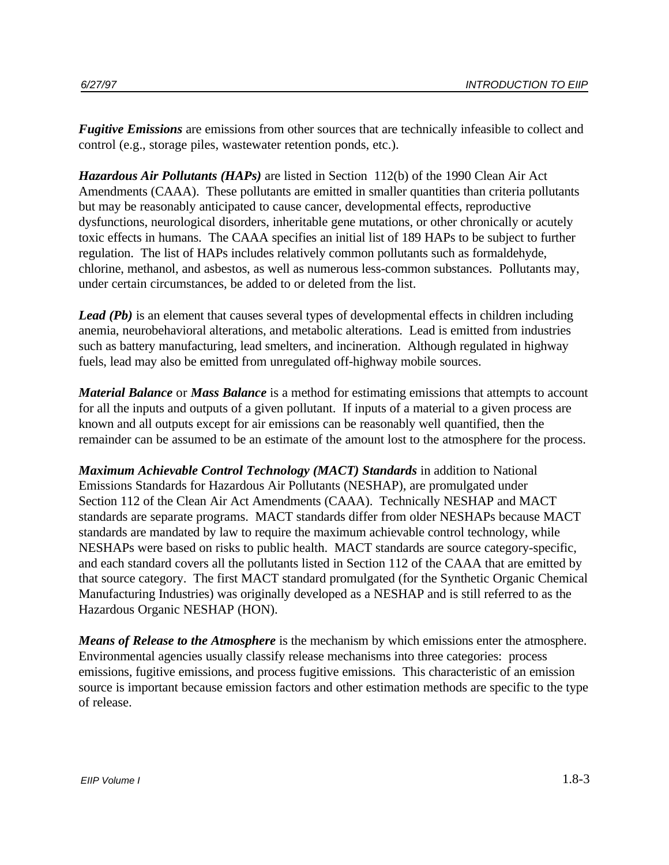*Fugitive Emissions* are emissions from other sources that are technically infeasible to collect and control (e.g., storage piles, wastewater retention ponds, etc.).

*Hazardous Air Pollutants (HAPs)* are listed in Section 112(b) of the 1990 Clean Air Act Amendments (CAAA). These pollutants are emitted in smaller quantities than criteria pollutants but may be reasonably anticipated to cause cancer, developmental effects, reproductive dysfunctions, neurological disorders, inheritable gene mutations, or other chronically or acutely toxic effects in humans. The CAAA specifies an initial list of 189 HAPs to be subject to further regulation. The list of HAPs includes relatively common pollutants such as formaldehyde, chlorine, methanol, and asbestos, as well as numerous less-common substances. Pollutants may, under certain circumstances, be added to or deleted from the list.

*Lead (Pb)* is an element that causes several types of developmental effects in children including anemia, neurobehavioral alterations, and metabolic alterations. Lead is emitted from industries such as battery manufacturing, lead smelters, and incineration. Although regulated in highway fuels, lead may also be emitted from unregulated off-highway mobile sources.

*Material Balance* or *Mass Balance* is a method for estimating emissions that attempts to account for all the inputs and outputs of a given pollutant. If inputs of a material to a given process are known and all outputs except for air emissions can be reasonably well quantified, then the remainder can be assumed to be an estimate of the amount lost to the atmosphere for the process.

*Maximum Achievable Control Technology (MACT) Standards* in addition to National Emissions Standards for Hazardous Air Pollutants (NESHAP), are promulgated under Section 112 of the Clean Air Act Amendments (CAAA). Technically NESHAP and MACT standards are separate programs. MACT standards differ from older NESHAPs because MACT standards are mandated by law to require the maximum achievable control technology, while NESHAPs were based on risks to public health. MACT standards are source category-specific, and each standard covers all the pollutants listed in Section 112 of the CAAA that are emitted by that source category. The first MACT standard promulgated (for the Synthetic Organic Chemical Manufacturing Industries) was originally developed as a NESHAP and is still referred to as the Hazardous Organic NESHAP (HON).

*Means of Release to the Atmosphere* is the mechanism by which emissions enter the atmosphere. Environmental agencies usually classify release mechanisms into three categories: process emissions, fugitive emissions, and process fugitive emissions. This characteristic of an emission source is important because emission factors and other estimation methods are specific to the type of release.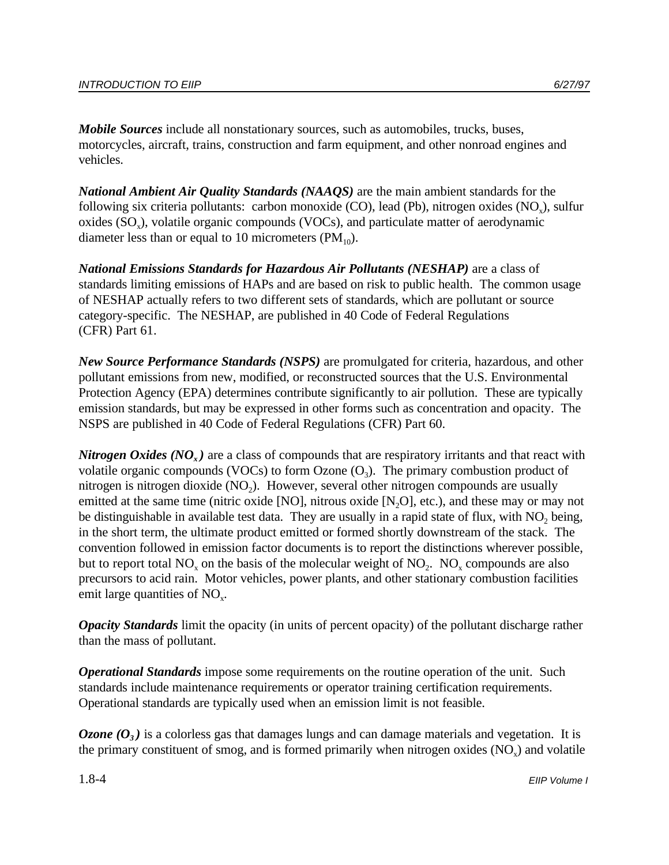*Mobile Sources* include all nonstationary sources, such as automobiles, trucks, buses, motorcycles, aircraft, trains, construction and farm equipment, and other nonroad engines and vehicles.

*National Ambient Air Quality Standards (NAAQS)* are the main ambient standards for the following six criteria pollutants: carbon monoxide  $(CO)$ , lead  $(Pb)$ , nitrogen oxides  $(NO_x)$ , sulfur oxides  $(SO_x)$ , volatile organic compounds (VOCs), and particulate matter of aerodynamic diameter less than or equal to 10 micrometers  $(PM_{10})$ .

*National Emissions Standards for Hazardous Air Pollutants (NESHAP)* are a class of standards limiting emissions of HAPs and are based on risk to public health. The common usage of NESHAP actually refers to two different sets of standards, which are pollutant or source category-specific. The NESHAP, are published in 40 Code of Federal Regulations (CFR) Part 61.

*New Source Performance Standards (NSPS)* are promulgated for criteria, hazardous, and other pollutant emissions from new, modified, or reconstructed sources that the U.S. Environmental Protection Agency (EPA) determines contribute significantly to air pollution. These are typically emission standards, but may be expressed in other forms such as concentration and opacity. The NSPS are published in 40 Code of Federal Regulations (CFR) Part 60.

*Nitrogen Oxides (NO<sup>x</sup> )* are a class of compounds that are respiratory irritants and that react with volatile organic compounds (VOCs) to form Ozone  $(O_3)$ . The primary combustion product of nitrogen is nitrogen dioxide  $(NO<sub>2</sub>)$ . However, several other nitrogen compounds are usually emitted at the same time (nitric oxide [NO], nitrous oxide  $[N_2O]$ , etc.), and these may or may not be distinguishable in available test data. They are usually in a rapid state of flux, with NO<sub>2</sub> being, in the short term, the ultimate product emitted or formed shortly downstream of the stack. The convention followed in emission factor documents is to report the distinctions wherever possible, but to report total  $NO_x$  on the basis of the molecular weight of  $NO_2$ .  $NO_x$  compounds are also precursors to acid rain. Motor vehicles, power plants, and other stationary combustion facilities emit large quantities of  $NO<sub>x</sub>$ .

*Opacity Standards* limit the opacity (in units of percent opacity) of the pollutant discharge rather than the mass of pollutant.

*Operational Standards* impose some requirements on the routine operation of the unit. Such standards include maintenance requirements or operator training certification requirements. Operational standards are typically used when an emission limit is not feasible.

*Ozone*  $(O_3)$  is a colorless gas that damages lungs and can damage materials and vegetation. It is the primary constituent of smog, and is formed primarily when nitrogen oxides  $(NO_x)$  and volatile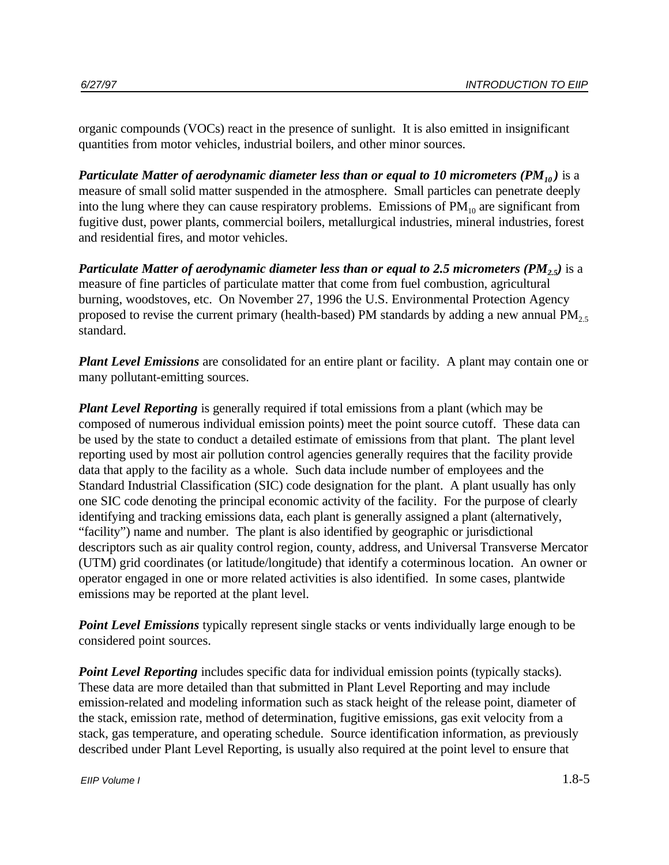organic compounds (VOCs) react in the presence of sunlight. It is also emitted in insignificant quantities from motor vehicles, industrial boilers, and other minor sources.

*Particulate Matter of aerodynamic diameter less than or equal to 10 micrometers (PM<sub>10</sub>) is a* measure of small solid matter suspended in the atmosphere. Small particles can penetrate deeply into the lung where they can cause respiratory problems. Emissions of  $PM_{10}$  are significant from fugitive dust, power plants, commercial boilers, metallurgical industries, mineral industries, forest and residential fires, and motor vehicles.

*Particulate Matter of aerodynamic diameter less than or equal to 2.5 micrometers (PM2.5)* is a measure of fine particles of particulate matter that come from fuel combustion, agricultural burning, woodstoves, etc. On November 27, 1996 the U.S. Environmental Protection Agency proposed to revise the current primary (health-based) PM standards by adding a new annual PM<sub>2.5</sub> standard.

*Plant Level Emissions* are consolidated for an entire plant or facility. A plant may contain one or many pollutant-emitting sources.

*Plant Level Reporting* is generally required if total emissions from a plant (which may be composed of numerous individual emission points) meet the point source cutoff. These data can be used by the state to conduct a detailed estimate of emissions from that plant. The plant level reporting used by most air pollution control agencies generally requires that the facility provide data that apply to the facility as a whole. Such data include number of employees and the Standard Industrial Classification (SIC) code designation for the plant. A plant usually has only one SIC code denoting the principal economic activity of the facility. For the purpose of clearly identifying and tracking emissions data, each plant is generally assigned a plant (alternatively, "facility") name and number. The plant is also identified by geographic or jurisdictional descriptors such as air quality control region, county, address, and Universal Transverse Mercator (UTM) grid coordinates (or latitude/longitude) that identify a coterminous location. An owner or operator engaged in one or more related activities is also identified. In some cases, plantwide emissions may be reported at the plant level.

*Point Level Emissions* typically represent single stacks or vents individually large enough to be considered point sources.

*Point Level Reporting* includes specific data for individual emission points (typically stacks). These data are more detailed than that submitted in Plant Level Reporting and may include emission-related and modeling information such as stack height of the release point, diameter of the stack, emission rate, method of determination, fugitive emissions, gas exit velocity from a stack, gas temperature, and operating schedule. Source identification information, as previously described under Plant Level Reporting, is usually also required at the point level to ensure that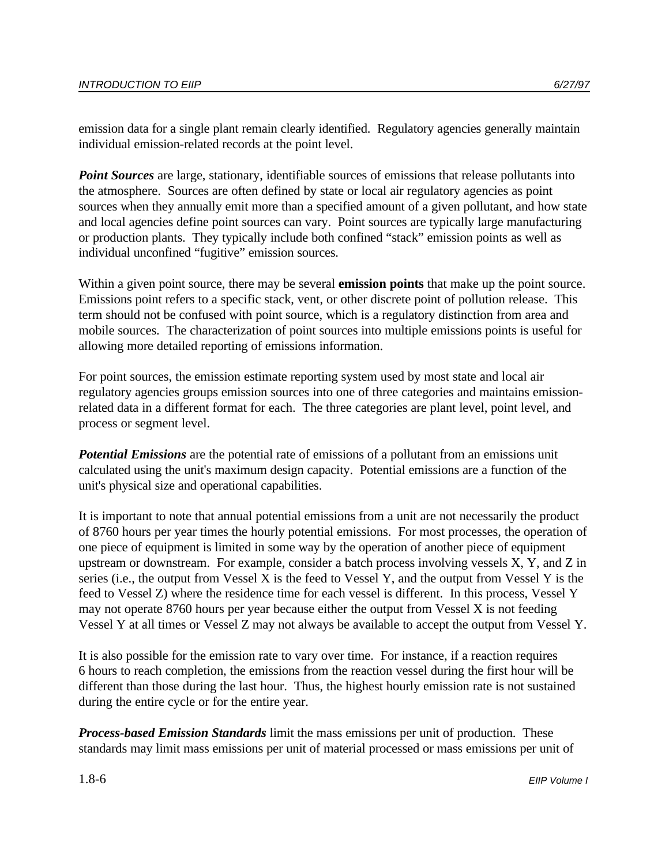emission data for a single plant remain clearly identified. Regulatory agencies generally maintain individual emission-related records at the point level.

*Point Sources* are large, stationary, identifiable sources of emissions that release pollutants into the atmosphere. Sources are often defined by state or local air regulatory agencies as point sources when they annually emit more than a specified amount of a given pollutant, and how state and local agencies define point sources can vary. Point sources are typically large manufacturing or production plants. They typically include both confined "stack" emission points as well as individual unconfined "fugitive" emission sources.

Within a given point source, there may be several **emission points** that make up the point source. Emissions point refers to a specific stack, vent, or other discrete point of pollution release. This term should not be confused with point source, which is a regulatory distinction from area and mobile sources. The characterization of point sources into multiple emissions points is useful for allowing more detailed reporting of emissions information.

For point sources, the emission estimate reporting system used by most state and local air regulatory agencies groups emission sources into one of three categories and maintains emissionrelated data in a different format for each. The three categories are plant level, point level, and process or segment level.

*Potential Emissions* are the potential rate of emissions of a pollutant from an emissions unit calculated using the unit's maximum design capacity. Potential emissions are a function of the unit's physical size and operational capabilities.

It is important to note that annual potential emissions from a unit are not necessarily the product of 8760 hours per year times the hourly potential emissions. For most processes, the operation of one piece of equipment is limited in some way by the operation of another piece of equipment upstream or downstream. For example, consider a batch process involving vessels X, Y, and Z in series (i.e., the output from Vessel X is the feed to Vessel Y, and the output from Vessel Y is the feed to Vessel Z) where the residence time for each vessel is different. In this process, Vessel Y may not operate 8760 hours per year because either the output from Vessel X is not feeding Vessel Y at all times or Vessel Z may not always be available to accept the output from Vessel Y.

It is also possible for the emission rate to vary over time. For instance, if a reaction requires 6 hours to reach completion, the emissions from the reaction vessel during the first hour will be different than those during the last hour. Thus, the highest hourly emission rate is not sustained during the entire cycle or for the entire year.

*Process-based Emission Standards* limit the mass emissions per unit of production. These standards may limit mass emissions per unit of material processed or mass emissions per unit of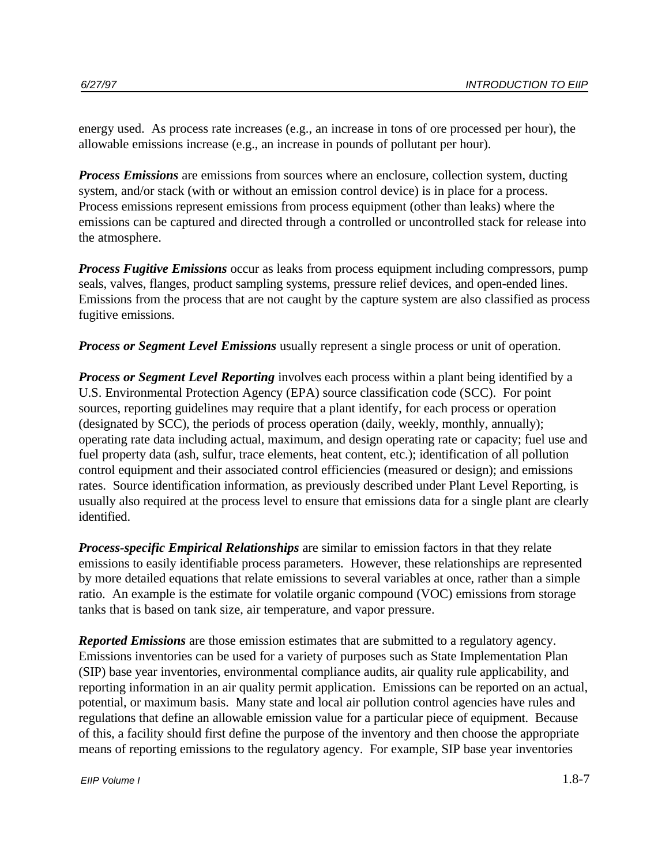energy used. As process rate increases (e.g., an increase in tons of ore processed per hour), the allowable emissions increase (e.g., an increase in pounds of pollutant per hour).

*Process Emissions* are emissions from sources where an enclosure, collection system, ducting system, and/or stack (with or without an emission control device) is in place for a process. Process emissions represent emissions from process equipment (other than leaks) where the emissions can be captured and directed through a controlled or uncontrolled stack for release into the atmosphere.

*Process Fugitive Emissions* occur as leaks from process equipment including compressors, pump seals, valves, flanges, product sampling systems, pressure relief devices, and open-ended lines. Emissions from the process that are not caught by the capture system are also classified as process fugitive emissions.

*Process or Segment Level Emissions* usually represent a single process or unit of operation.

*Process or Segment Level Reporting* involves each process within a plant being identified by a U.S. Environmental Protection Agency (EPA) source classification code (SCC). For point sources, reporting guidelines may require that a plant identify, for each process or operation (designated by SCC), the periods of process operation (daily, weekly, monthly, annually); operating rate data including actual, maximum, and design operating rate or capacity; fuel use and fuel property data (ash, sulfur, trace elements, heat content, etc.); identification of all pollution control equipment and their associated control efficiencies (measured or design); and emissions rates. Source identification information, as previously described under Plant Level Reporting, is usually also required at the process level to ensure that emissions data for a single plant are clearly identified.

*Process-specific Empirical Relationships* are similar to emission factors in that they relate emissions to easily identifiable process parameters. However, these relationships are represented by more detailed equations that relate emissions to several variables at once, rather than a simple ratio. An example is the estimate for volatile organic compound (VOC) emissions from storage tanks that is based on tank size, air temperature, and vapor pressure.

*Reported Emissions* are those emission estimates that are submitted to a regulatory agency. Emissions inventories can be used for a variety of purposes such as State Implementation Plan (SIP) base year inventories, environmental compliance audits, air quality rule applicability, and reporting information in an air quality permit application. Emissions can be reported on an actual, potential, or maximum basis. Many state and local air pollution control agencies have rules and regulations that define an allowable emission value for a particular piece of equipment. Because of this, a facility should first define the purpose of the inventory and then choose the appropriate means of reporting emissions to the regulatory agency. For example, SIP base year inventories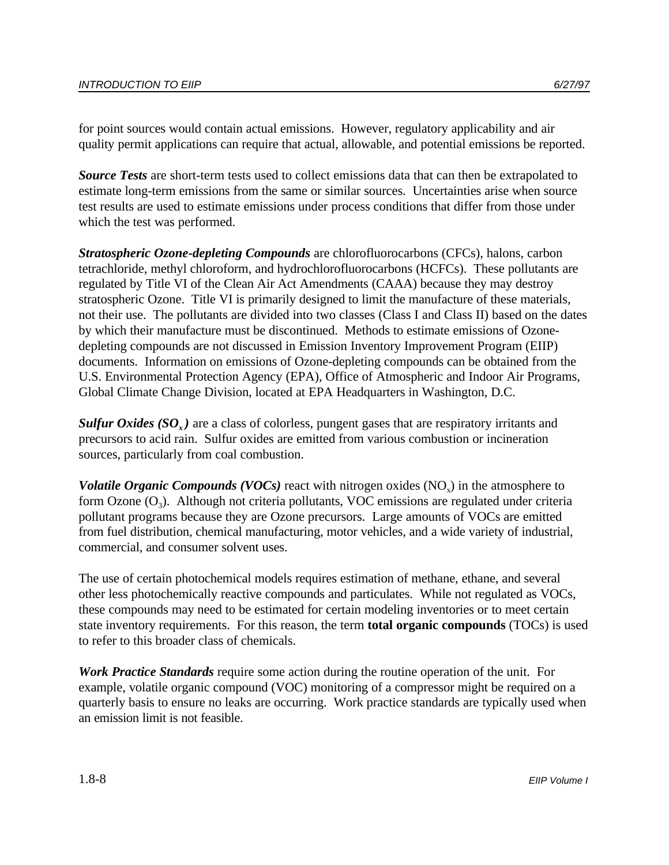for point sources would contain actual emissions. However, regulatory applicability and air quality permit applications can require that actual, allowable, and potential emissions be reported.

*Source Tests* are short-term tests used to collect emissions data that can then be extrapolated to estimate long-term emissions from the same or similar sources. Uncertainties arise when source test results are used to estimate emissions under process conditions that differ from those under which the test was performed.

*Stratospheric Ozone-depleting Compounds* are chlorofluorocarbons (CFCs), halons, carbon tetrachloride, methyl chloroform, and hydrochlorofluorocarbons (HCFCs). These pollutants are regulated by Title VI of the Clean Air Act Amendments (CAAA) because they may destroy stratospheric Ozone. Title VI is primarily designed to limit the manufacture of these materials, not their use. The pollutants are divided into two classes (Class I and Class II) based on the dates by which their manufacture must be discontinued. Methods to estimate emissions of Ozonedepleting compounds are not discussed in Emission Inventory Improvement Program (EIIP) documents. Information on emissions of Ozone-depleting compounds can be obtained from the U.S. Environmental Protection Agency (EPA), Office of Atmospheric and Indoor Air Programs, Global Climate Change Division, located at EPA Headquarters in Washington, D.C.

*Sulfur Oxides (SO<sup>x</sup> )* are a class of colorless, pungent gases that are respiratory irritants and precursors to acid rain. Sulfur oxides are emitted from various combustion or incineration sources, particularly from coal combustion.

*Volatile Organic Compounds (VOCs)* react with nitrogen oxides (NO<sub>x</sub>) in the atmosphere to form Ozone  $(O_3)$ . Although not criteria pollutants, VOC emissions are regulated under criteria pollutant programs because they are Ozone precursors. Large amounts of VOCs are emitted from fuel distribution, chemical manufacturing, motor vehicles, and a wide variety of industrial, commercial, and consumer solvent uses.

The use of certain photochemical models requires estimation of methane, ethane, and several other less photochemically reactive compounds and particulates. While not regulated as VOCs, these compounds may need to be estimated for certain modeling inventories or to meet certain state inventory requirements. For this reason, the term **total organic compounds** (TOCs) is used to refer to this broader class of chemicals.

*Work Practice Standards* require some action during the routine operation of the unit. For example, volatile organic compound (VOC) monitoring of a compressor might be required on a quarterly basis to ensure no leaks are occurring. Work practice standards are typically used when an emission limit is not feasible.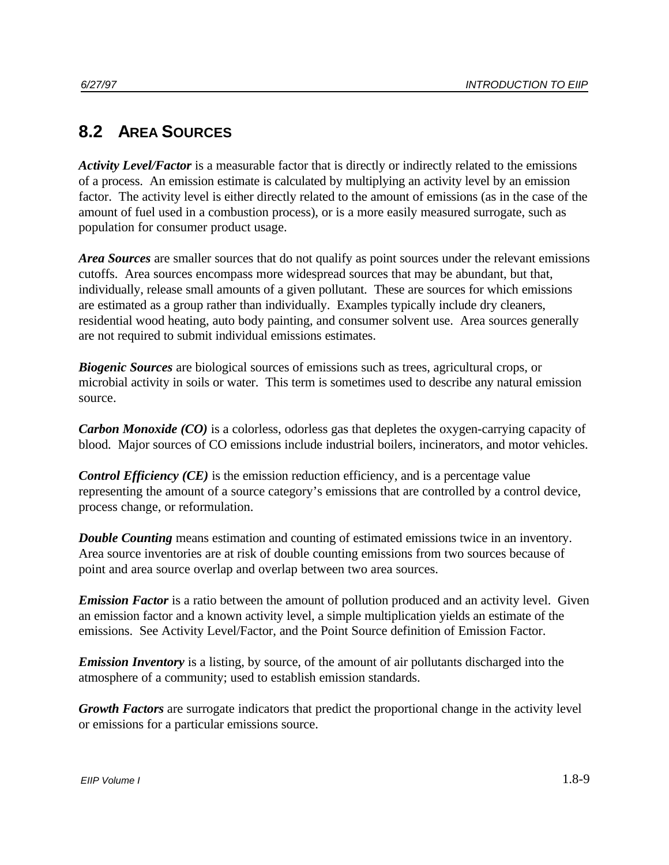## **8.2 AREA SOURCES**

*Activity Level/Factor* is a measurable factor that is directly or indirectly related to the emissions of a process. An emission estimate is calculated by multiplying an activity level by an emission factor. The activity level is either directly related to the amount of emissions (as in the case of the amount of fuel used in a combustion process), or is a more easily measured surrogate, such as population for consumer product usage.

*Area Sources* are smaller sources that do not qualify as point sources under the relevant emissions cutoffs. Area sources encompass more widespread sources that may be abundant, but that, individually, release small amounts of a given pollutant. These are sources for which emissions are estimated as a group rather than individually. Examples typically include dry cleaners, residential wood heating, auto body painting, and consumer solvent use. Area sources generally are not required to submit individual emissions estimates.

*Biogenic Sources* are biological sources of emissions such as trees, agricultural crops, or microbial activity in soils or water. This term is sometimes used to describe any natural emission source.

*Carbon Monoxide (CO)* is a colorless, odorless gas that depletes the oxygen-carrying capacity of blood. Major sources of CO emissions include industrial boilers, incinerators, and motor vehicles.

*Control Efficiency (CE)* is the emission reduction efficiency, and is a percentage value representing the amount of a source category's emissions that are controlled by a control device, process change, or reformulation.

*Double Counting* means estimation and counting of estimated emissions twice in an inventory. Area source inventories are at risk of double counting emissions from two sources because of point and area source overlap and overlap between two area sources.

*Emission Factor* is a ratio between the amount of pollution produced and an activity level. Given an emission factor and a known activity level, a simple multiplication yields an estimate of the emissions. See Activity Level/Factor, and the Point Source definition of Emission Factor.

*Emission Inventory* is a listing, by source, of the amount of air pollutants discharged into the atmosphere of a community; used to establish emission standards.

*Growth Factors* are surrogate indicators that predict the proportional change in the activity level or emissions for a particular emissions source.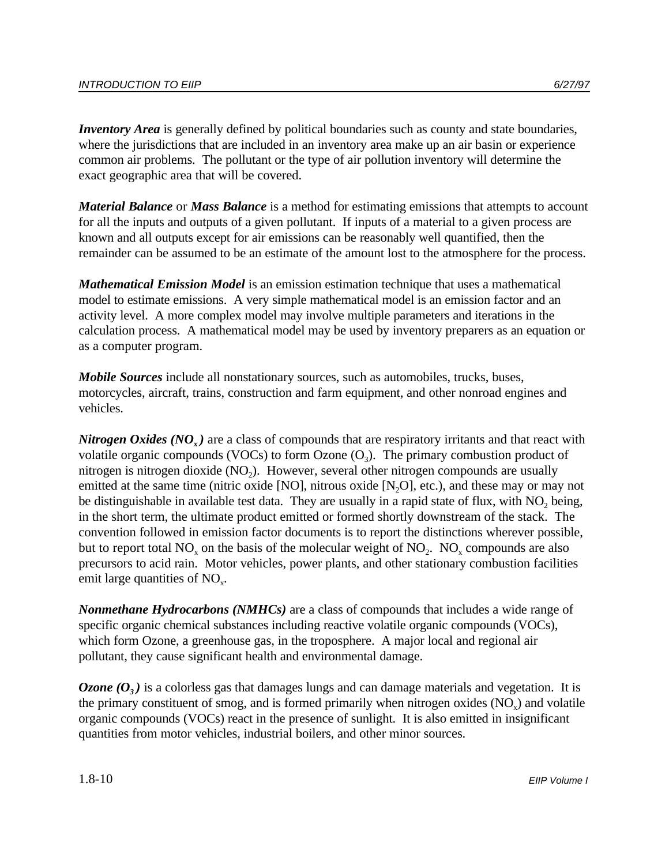*Inventory Area* is generally defined by political boundaries such as county and state boundaries, where the jurisdictions that are included in an inventory area make up an air basin or experience common air problems. The pollutant or the type of air pollution inventory will determine the exact geographic area that will be covered.

*Material Balance* or *Mass Balance* is a method for estimating emissions that attempts to account for all the inputs and outputs of a given pollutant. If inputs of a material to a given process are known and all outputs except for air emissions can be reasonably well quantified, then the remainder can be assumed to be an estimate of the amount lost to the atmosphere for the process.

*Mathematical Emission Model* is an emission estimation technique that uses a mathematical model to estimate emissions. A very simple mathematical model is an emission factor and an activity level. A more complex model may involve multiple parameters and iterations in the calculation process. A mathematical model may be used by inventory preparers as an equation or as a computer program.

*Mobile Sources* include all nonstationary sources, such as automobiles, trucks, buses, motorcycles, aircraft, trains, construction and farm equipment, and other nonroad engines and vehicles.

*Nitrogen Oxides (NO<sup>x</sup> )* are a class of compounds that are respiratory irritants and that react with volatile organic compounds (VOCs) to form Ozone  $(O_3)$ . The primary combustion product of nitrogen is nitrogen dioxide  $(NO<sub>2</sub>)$ . However, several other nitrogen compounds are usually emitted at the same time (nitric oxide [NO], nitrous oxide  $[N_2O]$ , etc.), and these may or may not be distinguishable in available test data. They are usually in a rapid state of flux, with NO<sub>2</sub> being, in the short term, the ultimate product emitted or formed shortly downstream of the stack. The convention followed in emission factor documents is to report the distinctions wherever possible, but to report total  $NO_x$  on the basis of the molecular weight of  $NO_2$ .  $NO_x$  compounds are also precursors to acid rain. Motor vehicles, power plants, and other stationary combustion facilities emit large quantities of  $NO<sub>x</sub>$ .

*Nonmethane Hydrocarbons (NMHCs)* are a class of compounds that includes a wide range of specific organic chemical substances including reactive volatile organic compounds (VOCs), which form Ozone, a greenhouse gas, in the troposphere. A major local and regional air pollutant, they cause significant health and environmental damage.

*Ozone*  $(O_3)$  is a colorless gas that damages lungs and can damage materials and vegetation. It is the primary constituent of smog, and is formed primarily when nitrogen oxides  $(NO_x)$  and volatile organic compounds (VOCs) react in the presence of sunlight. It is also emitted in insignificant quantities from motor vehicles, industrial boilers, and other minor sources.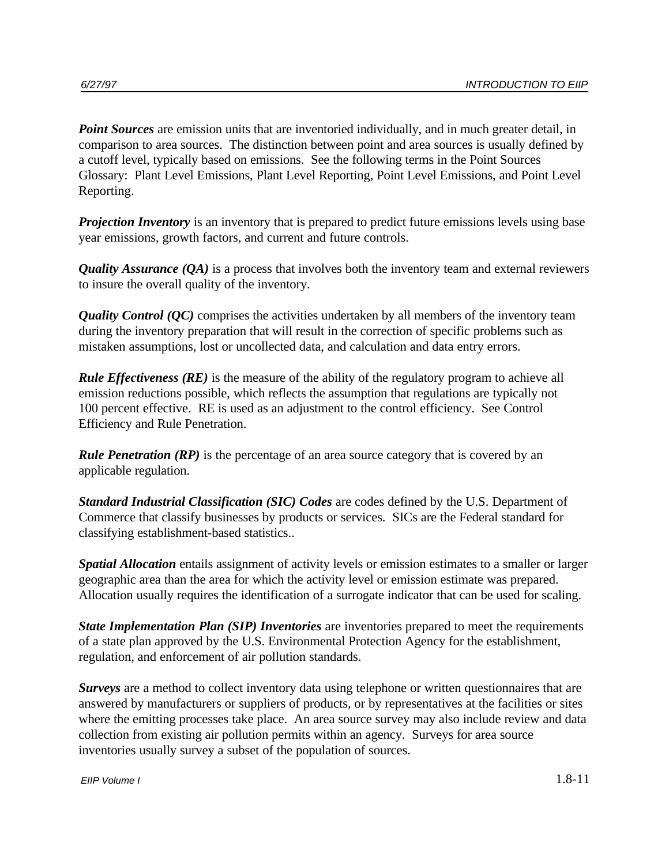*Point Sources* are emission units that are inventoried individually, and in much greater detail, in comparison to area sources. The distinction between point and area sources is usually defined by a cutoff level, typically based on emissions. See the following terms in the Point Sources Glossary: Plant Level Emissions, Plant Level Reporting, Point Level Emissions, and Point Level Reporting.

*Projection Inventory* is an inventory that is prepared to predict future emissions levels using base year emissions, growth factors, and current and future controls.

*Quality Assurance (QA)* is a process that involves both the inventory team and external reviewers to insure the overall quality of the inventory.

*Quality Control (QC)* comprises the activities undertaken by all members of the inventory team during the inventory preparation that will result in the correction of specific problems such as mistaken assumptions, lost or uncollected data, and calculation and data entry errors.

*Rule Effectiveness (RE)* is the measure of the ability of the regulatory program to achieve all emission reductions possible, which reflects the assumption that regulations are typically not 100 percent effective. RE is used as an adjustment to the control efficiency. See Control Efficiency and Rule Penetration.

*Rule Penetration (RP)* is the percentage of an area source category that is covered by an applicable regulation.

*Standard Industrial Classification (SIC) Codes* are codes defined by the U.S. Department of Commerce that classify businesses by products or services. SICs are the Federal standard for classifying establishment-based statistics..

*Spatial Allocation* entails assignment of activity levels or emission estimates to a smaller or larger geographic area than the area for which the activity level or emission estimate was prepared. Allocation usually requires the identification of a surrogate indicator that can be used for scaling.

*State Implementation Plan (SIP) Inventories* are inventories prepared to meet the requirements of a state plan approved by the U.S. Environmental Protection Agency for the establishment, regulation, and enforcement of air pollution standards.

*Surveys* are a method to collect inventory data using telephone or written questionnaires that are answered by manufacturers or suppliers of products, or by representatives at the facilities or sites where the emitting processes take place. An area source survey may also include review and data collection from existing air pollution permits within an agency. Surveys for area source inventories usually survey a subset of the population of sources.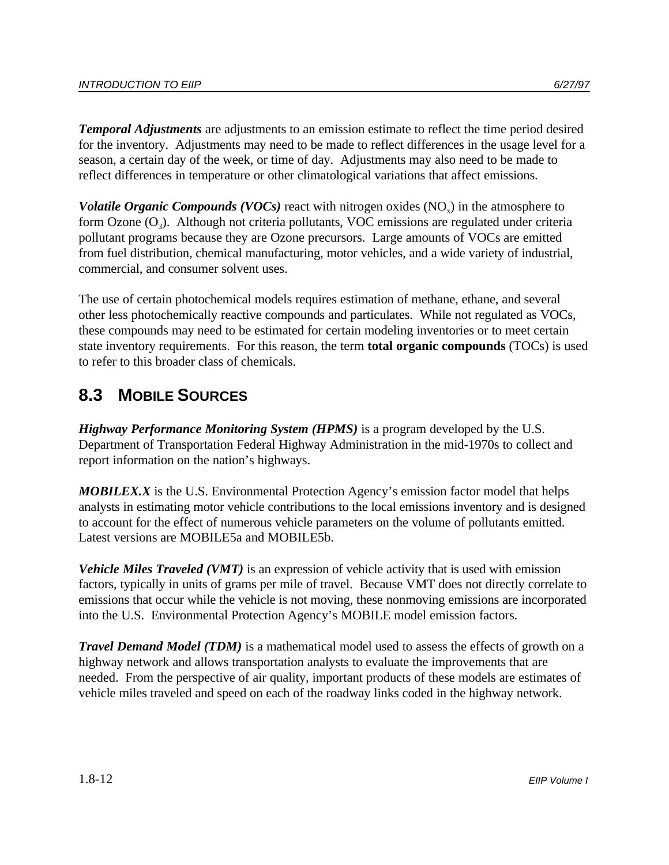*Temporal Adjustments* are adjustments to an emission estimate to reflect the time period desired for the inventory. Adjustments may need to be made to reflect differences in the usage level for a season, a certain day of the week, or time of day. Adjustments may also need to be made to reflect differences in temperature or other climatological variations that affect emissions.

*Volatile Organic Compounds (VOCs)* react with nitrogen oxides (NO<sub>x</sub>) in the atmosphere to form Ozone  $(O_3)$ . Although not criteria pollutants, VOC emissions are regulated under criteria pollutant programs because they are Ozone precursors. Large amounts of VOCs are emitted from fuel distribution, chemical manufacturing, motor vehicles, and a wide variety of industrial, commercial, and consumer solvent uses.

The use of certain photochemical models requires estimation of methane, ethane, and several other less photochemically reactive compounds and particulates. While not regulated as VOCs, these compounds may need to be estimated for certain modeling inventories or to meet certain state inventory requirements. For this reason, the term **total organic compounds** (TOCs) is used to refer to this broader class of chemicals.

## **8.3 MOBILE SOURCES**

*Highway Performance Monitoring System (HPMS)* is a program developed by the U.S. Department of Transportation Federal Highway Administration in the mid-1970s to collect and report information on the nation's highways.

*MOBILEX.X* is the U.S. Environmental Protection Agency's emission factor model that helps analysts in estimating motor vehicle contributions to the local emissions inventory and is designed to account for the effect of numerous vehicle parameters on the volume of pollutants emitted. Latest versions are MOBILE5a and MOBILE5b.

*Vehicle Miles Traveled (VMT)* is an expression of vehicle activity that is used with emission factors, typically in units of grams per mile of travel. Because VMT does not directly correlate to emissions that occur while the vehicle is not moving, these nonmoving emissions are incorporated into the U.S. Environmental Protection Agency's MOBILE model emission factors.

*Travel Demand Model (TDM)* is a mathematical model used to assess the effects of growth on a highway network and allows transportation analysts to evaluate the improvements that are needed. From the perspective of air quality, important products of these models are estimates of vehicle miles traveled and speed on each of the roadway links coded in the highway network.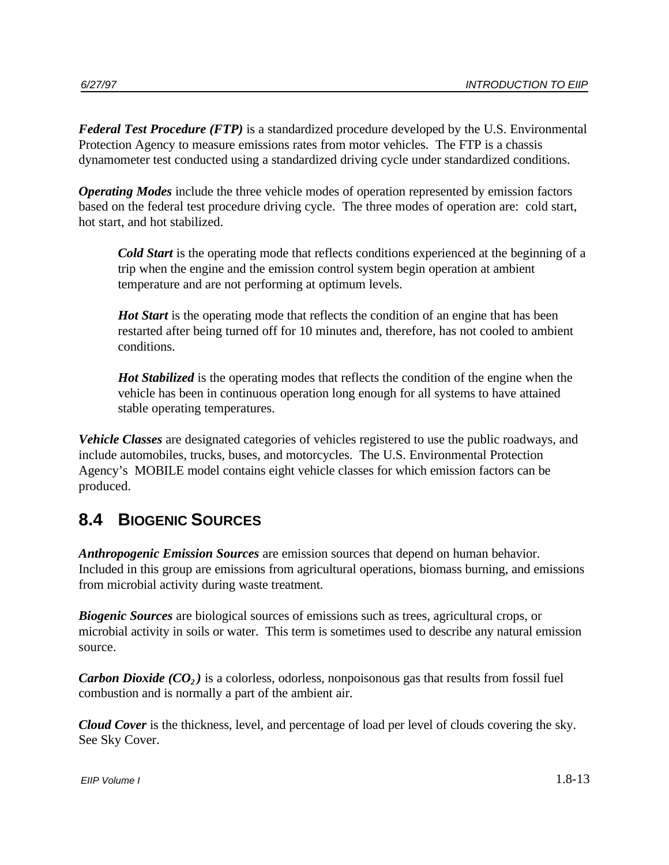*Federal Test Procedure (FTP)* is a standardized procedure developed by the U.S. Environmental Protection Agency to measure emissions rates from motor vehicles. The FTP is a chassis dynamometer test conducted using a standardized driving cycle under standardized conditions.

*Operating Modes* include the three vehicle modes of operation represented by emission factors based on the federal test procedure driving cycle. The three modes of operation are: cold start, hot start, and hot stabilized.

*Cold Start* is the operating mode that reflects conditions experienced at the beginning of a trip when the engine and the emission control system begin operation at ambient temperature and are not performing at optimum levels.

*Hot Start* is the operating mode that reflects the condition of an engine that has been restarted after being turned off for 10 minutes and, therefore, has not cooled to ambient conditions.

*Hot Stabilized* is the operating modes that reflects the condition of the engine when the vehicle has been in continuous operation long enough for all systems to have attained stable operating temperatures.

*Vehicle Classes* are designated categories of vehicles registered to use the public roadways, and include automobiles, trucks, buses, and motorcycles. The U.S. Environmental Protection Agency's MOBILE model contains eight vehicle classes for which emission factors can be produced.

## **8.4 BIOGENIC SOURCES**

*Anthropogenic Emission Sources* are emission sources that depend on human behavior. Included in this group are emissions from agricultural operations, biomass burning, and emissions from microbial activity during waste treatment.

*Biogenic Sources* are biological sources of emissions such as trees, agricultural crops, or microbial activity in soils or water. This term is sometimes used to describe any natural emission source.

*Carbon Dioxide* (*CO*<sub>2</sub>) is a colorless, odorless, nonpoisonous gas that results from fossil fuel combustion and is normally a part of the ambient air.

*Cloud Cover* is the thickness, level, and percentage of load per level of clouds covering the sky. See Sky Cover.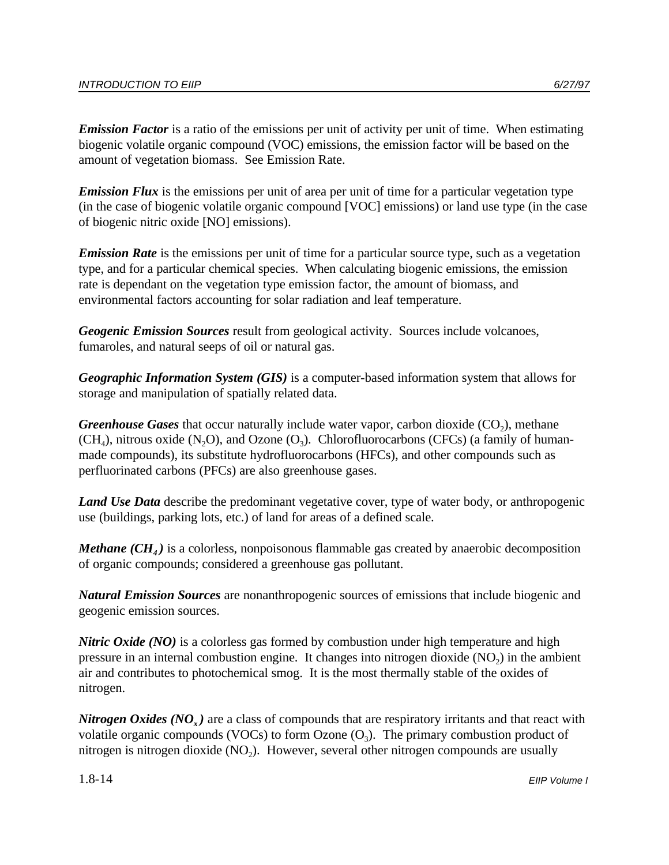*Emission Factor* is a ratio of the emissions per unit of activity per unit of time. When estimating biogenic volatile organic compound (VOC) emissions, the emission factor will be based on the amount of vegetation biomass. See Emission Rate.

*Emission Flux* is the emissions per unit of area per unit of time for a particular vegetation type (in the case of biogenic volatile organic compound [VOC] emissions) or land use type (in the case of biogenic nitric oxide [NO] emissions).

*Emission Rate* is the emissions per unit of time for a particular source type, such as a vegetation type, and for a particular chemical species. When calculating biogenic emissions, the emission rate is dependant on the vegetation type emission factor, the amount of biomass, and environmental factors accounting for solar radiation and leaf temperature.

*Geogenic Emission Sources* result from geological activity. Sources include volcanoes, fumaroles, and natural seeps of oil or natural gas.

*Geographic Information System (GIS)* is a computer-based information system that allows for storage and manipulation of spatially related data.

Greenhouse Gases that occur naturally include water vapor, carbon dioxide (CO<sub>2</sub>), methane  $(CH<sub>4</sub>)$ , nitrous oxide  $(N<sub>2</sub>O)$ , and Ozone  $(O<sub>3</sub>)$ . Chlorofluorocarbons (CFCs) (a family of humanmade compounds), its substitute hydrofluorocarbons (HFCs), and other compounds such as perfluorinated carbons (PFCs) are also greenhouse gases.

*Land Use Data* describe the predominant vegetative cover, type of water body, or anthropogenic use (buildings, parking lots, etc.) of land for areas of a defined scale.

*Methane (CH<sup>4</sup> )* is a colorless, nonpoisonous flammable gas created by anaerobic decomposition of organic compounds; considered a greenhouse gas pollutant.

*Natural Emission Sources* are nonanthropogenic sources of emissions that include biogenic and geogenic emission sources.

*Nitric Oxide (NO)* is a colorless gas formed by combustion under high temperature and high pressure in an internal combustion engine. It changes into nitrogen dioxide  $(NO<sub>2</sub>)$  in the ambient air and contributes to photochemical smog. It is the most thermally stable of the oxides of nitrogen.

*Nitrogen Oxides (NO<sup>x</sup> )* are a class of compounds that are respiratory irritants and that react with volatile organic compounds (VOCs) to form Ozone  $(O_3)$ . The primary combustion product of nitrogen is nitrogen dioxide  $(NO<sub>2</sub>)$ . However, several other nitrogen compounds are usually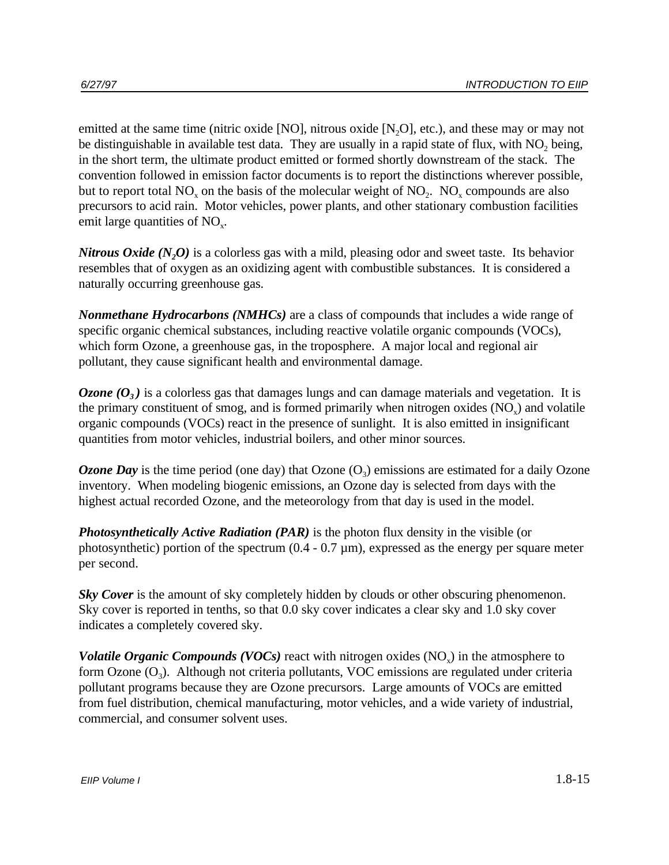emitted at the same time (nitric oxide [NO], nitrous oxide  $[N, O]$ , etc.), and these may or may not be distinguishable in available test data. They are usually in a rapid state of flux, with NO<sub>2</sub> being, in the short term, the ultimate product emitted or formed shortly downstream of the stack. The convention followed in emission factor documents is to report the distinctions wherever possible, but to report total  $NO_x$  on the basis of the molecular weight of  $NO_2$ .  $NO_x$  compounds are also precursors to acid rain. Motor vehicles, power plants, and other stationary combustion facilities emit large quantities of  $NO<sub>x</sub>$ .

*Nitrous Oxide (N<sub>2</sub>O)* is a colorless gas with a mild, pleasing odor and sweet taste. Its behavior resembles that of oxygen as an oxidizing agent with combustible substances. It is considered a naturally occurring greenhouse gas.

*Nonmethane Hydrocarbons (NMHCs)* are a class of compounds that includes a wide range of specific organic chemical substances, including reactive volatile organic compounds (VOCs), which form Ozone, a greenhouse gas, in the troposphere. A major local and regional air pollutant, they cause significant health and environmental damage.

*Ozone*  $(O_3)$  is a colorless gas that damages lungs and can damage materials and vegetation. It is the primary constituent of smog, and is formed primarily when nitrogen oxides  $(NO_x)$  and volatile organic compounds (VOCs) react in the presence of sunlight. It is also emitted in insignificant quantities from motor vehicles, industrial boilers, and other minor sources.

*Ozone Day* is the time period (one day) that Ozone  $(O_3)$  emissions are estimated for a daily Ozone inventory. When modeling biogenic emissions, an Ozone day is selected from days with the highest actual recorded Ozone, and the meteorology from that day is used in the model.

*Photosynthetically Active Radiation (PAR)* is the photon flux density in the visible (or photosynthetic) portion of the spectrum  $(0.4 - 0.7 \,\mu\text{m})$ , expressed as the energy per square meter per second.

**Sky Cover** is the amount of sky completely hidden by clouds or other obscuring phenomenon. Sky cover is reported in tenths, so that 0.0 sky cover indicates a clear sky and 1.0 sky cover indicates a completely covered sky.

*Volatile Organic Compounds (VOCs)* react with nitrogen oxides (NO<sub>x</sub>) in the atmosphere to form Ozone  $(O_3)$ . Although not criteria pollutants, VOC emissions are regulated under criteria pollutant programs because they are Ozone precursors. Large amounts of VOCs are emitted from fuel distribution, chemical manufacturing, motor vehicles, and a wide variety of industrial, commercial, and consumer solvent uses.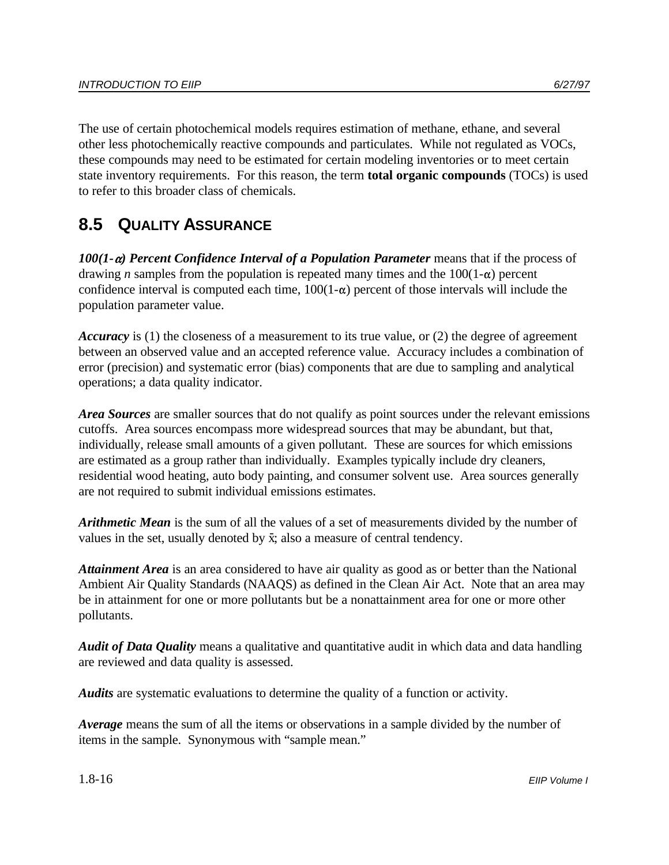The use of certain photochemical models requires estimation of methane, ethane, and several other less photochemically reactive compounds and particulates. While not regulated as VOCs, these compounds may need to be estimated for certain modeling inventories or to meet certain state inventory requirements. For this reason, the term **total organic compounds** (TOCs) is used to refer to this broader class of chemicals.

## **8.5 QUALITY ASSURANCE**

*100(1- ) Percent Confidence Interval of a Population Parameter* means that if the process of drawing *n* samples from the population is repeated many times and the  $100(1-\alpha)$  percent confidence interval is computed each time,  $100(1-\alpha)$  percent of those intervals will include the population parameter value.

*Accuracy* is (1) the closeness of a measurement to its true value, or (2) the degree of agreement between an observed value and an accepted reference value. Accuracy includes a combination of error (precision) and systematic error (bias) components that are due to sampling and analytical operations; a data quality indicator.

*Area Sources* are smaller sources that do not qualify as point sources under the relevant emissions cutoffs. Area sources encompass more widespread sources that may be abundant, but that, individually, release small amounts of a given pollutant. These are sources for which emissions are estimated as a group rather than individually. Examples typically include dry cleaners, residential wood heating, auto body painting, and consumer solvent use. Area sources generally are not required to submit individual emissions estimates.

*Arithmetic Mean* is the sum of all the values of a set of measurements divided by the number of values in the set, usually denoted by  $\bar{x}$ ; also a measure of central tendency.

*Attainment Area* is an area considered to have air quality as good as or better than the National Ambient Air Quality Standards (NAAQS) as defined in the Clean Air Act. Note that an area may be in attainment for one or more pollutants but be a nonattainment area for one or more other pollutants.

*Audit of Data Quality* means a qualitative and quantitative audit in which data and data handling are reviewed and data quality is assessed.

*Audits* are systematic evaluations to determine the quality of a function or activity.

*Average* means the sum of all the items or observations in a sample divided by the number of items in the sample. Synonymous with "sample mean."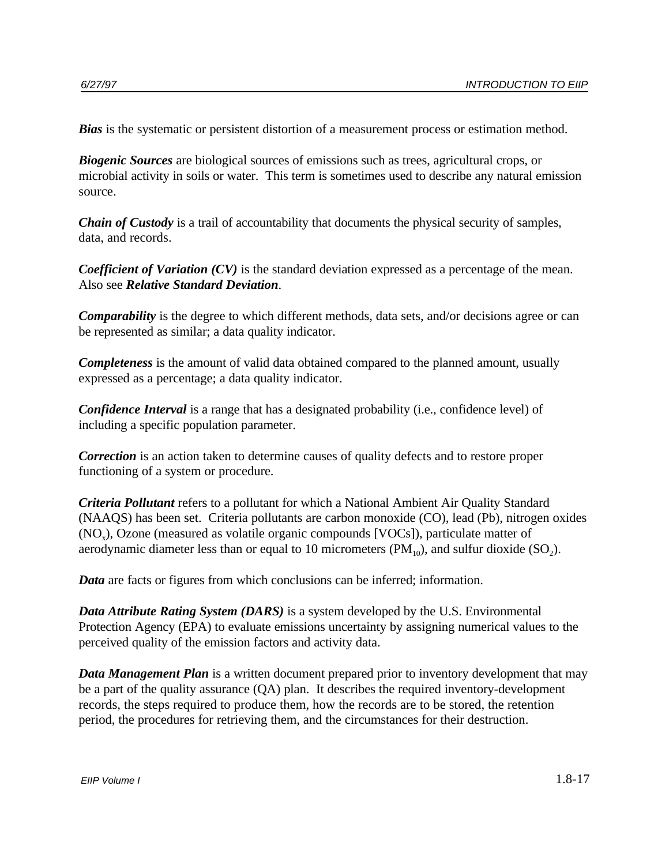*Bias* is the systematic or persistent distortion of a measurement process or estimation method.

*Biogenic Sources* are biological sources of emissions such as trees, agricultural crops, or microbial activity in soils or water. This term is sometimes used to describe any natural emission source.

*Chain of Custody* is a trail of accountability that documents the physical security of samples, data, and records.

*Coefficient of Variation (CV)* is the standard deviation expressed as a percentage of the mean. Also see *Relative Standard Deviation*.

*Comparability* is the degree to which different methods, data sets, and/or decisions agree or can be represented as similar; a data quality indicator.

*Completeness* is the amount of valid data obtained compared to the planned amount, usually expressed as a percentage; a data quality indicator.

*Confidence Interval* is a range that has a designated probability (i.e., confidence level) of including a specific population parameter.

*Correction* is an action taken to determine causes of quality defects and to restore proper functioning of a system or procedure.

*Criteria Pollutant* refers to a pollutant for which a National Ambient Air Quality Standard (NAAQS) has been set. Criteria pollutants are carbon monoxide (CO), lead (Pb), nitrogen oxides  $(NO<sub>x</sub>)$ , Ozone (measured as volatile organic compounds [VOCs]), particulate matter of aerodynamic diameter less than or equal to 10 micrometers  $(PM_{10})$ , and sulfur dioxide  $(SO_2)$ .

*Data* are facts or figures from which conclusions can be inferred; information.

*Data Attribute Rating System (DARS)* is a system developed by the U.S. Environmental Protection Agency (EPA) to evaluate emissions uncertainty by assigning numerical values to the perceived quality of the emission factors and activity data.

*Data Management Plan* is a written document prepared prior to inventory development that may be a part of the quality assurance (QA) plan. It describes the required inventory-development records, the steps required to produce them, how the records are to be stored, the retention period, the procedures for retrieving them, and the circumstances for their destruction.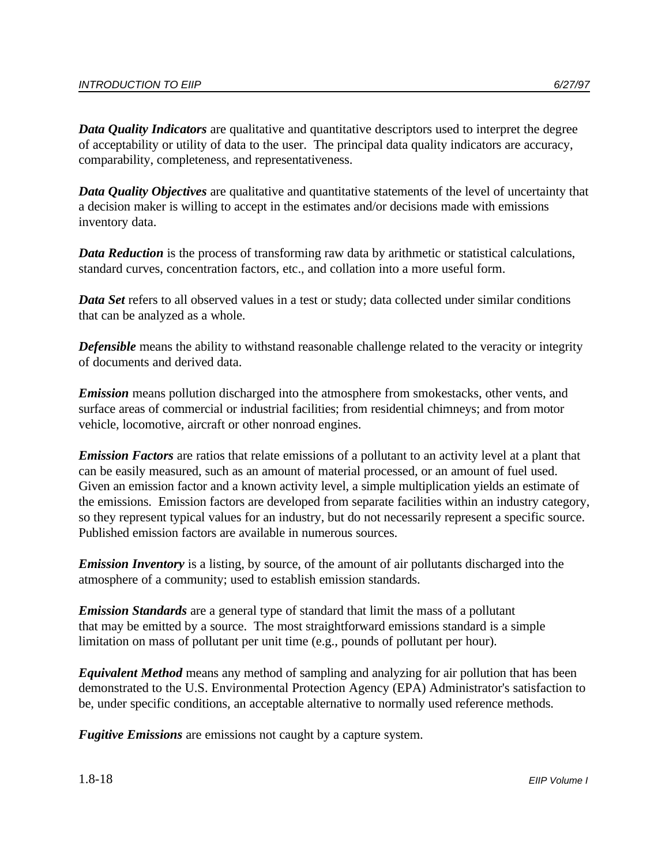*Data Quality Indicators* are qualitative and quantitative descriptors used to interpret the degree of acceptability or utility of data to the user. The principal data quality indicators are accuracy, comparability, completeness, and representativeness.

*Data Quality Objectives* are qualitative and quantitative statements of the level of uncertainty that a decision maker is willing to accept in the estimates and/or decisions made with emissions inventory data.

*Data Reduction* is the process of transforming raw data by arithmetic or statistical calculations, standard curves, concentration factors, etc., and collation into a more useful form.

*Data Set* refers to all observed values in a test or study; data collected under similar conditions that can be analyzed as a whole.

*Defensible* means the ability to withstand reasonable challenge related to the veracity or integrity of documents and derived data.

*Emission* means pollution discharged into the atmosphere from smokestacks, other vents, and surface areas of commercial or industrial facilities; from residential chimneys; and from motor vehicle, locomotive, aircraft or other nonroad engines.

*Emission Factors* are ratios that relate emissions of a pollutant to an activity level at a plant that can be easily measured, such as an amount of material processed, or an amount of fuel used. Given an emission factor and a known activity level, a simple multiplication yields an estimate of the emissions. Emission factors are developed from separate facilities within an industry category, so they represent typical values for an industry, but do not necessarily represent a specific source. Published emission factors are available in numerous sources.

*Emission Inventory* is a listing, by source, of the amount of air pollutants discharged into the atmosphere of a community; used to establish emission standards.

*Emission Standards* are a general type of standard that limit the mass of a pollutant that may be emitted by a source. The most straightforward emissions standard is a simple limitation on mass of pollutant per unit time (e.g., pounds of pollutant per hour).

*Equivalent Method* means any method of sampling and analyzing for air pollution that has been demonstrated to the U.S. Environmental Protection Agency (EPA) Administrator's satisfaction to be, under specific conditions, an acceptable alternative to normally used reference methods.

*Fugitive Emissions* are emissions not caught by a capture system.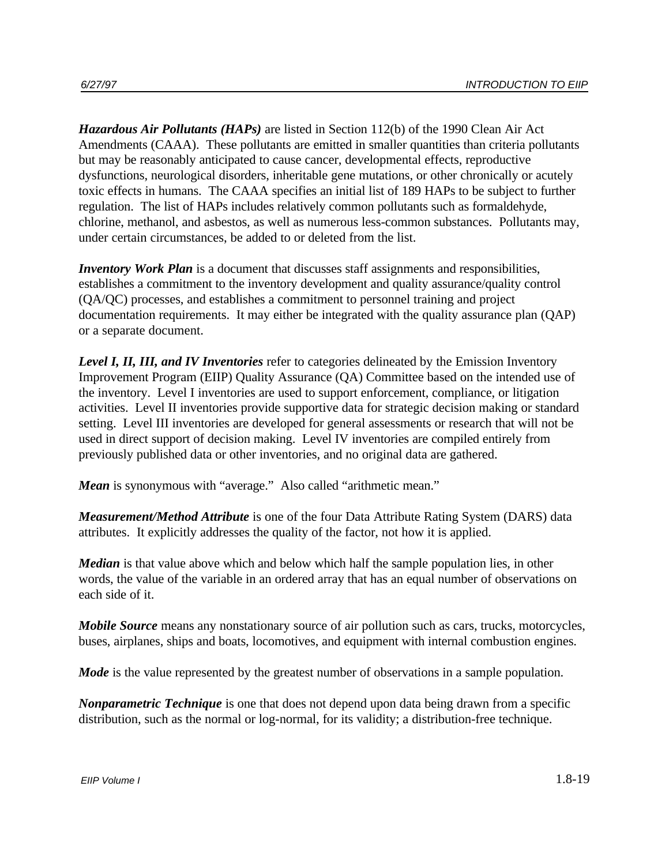*Hazardous Air Pollutants (HAPs)* are listed in Section 112(b) of the 1990 Clean Air Act Amendments (CAAA). These pollutants are emitted in smaller quantities than criteria pollutants but may be reasonably anticipated to cause cancer, developmental effects, reproductive dysfunctions, neurological disorders, inheritable gene mutations, or other chronically or acutely toxic effects in humans. The CAAA specifies an initial list of 189 HAPs to be subject to further regulation. The list of HAPs includes relatively common pollutants such as formaldehyde, chlorine, methanol, and asbestos, as well as numerous less-common substances. Pollutants may, under certain circumstances, be added to or deleted from the list.

*Inventory Work Plan* is a document that discusses staff assignments and responsibilities, establishes a commitment to the inventory development and quality assurance/quality control (QA/QC) processes, and establishes a commitment to personnel training and project documentation requirements. It may either be integrated with the quality assurance plan (QAP) or a separate document.

*Level I, II, III, and IV Inventories* refer to categories delineated by the Emission Inventory Improvement Program (EIIP) Quality Assurance (QA) Committee based on the intended use of the inventory. Level I inventories are used to support enforcement, compliance, or litigation activities. Level II inventories provide supportive data for strategic decision making or standard setting. Level III inventories are developed for general assessments or research that will not be used in direct support of decision making. Level IV inventories are compiled entirely from previously published data or other inventories, and no original data are gathered.

*Mean* is synonymous with "average." Also called "arithmetic mean."

*Measurement/Method Attribute* is one of the four Data Attribute Rating System (DARS) data attributes. It explicitly addresses the quality of the factor, not how it is applied.

*Median* is that value above which and below which half the sample population lies, in other words, the value of the variable in an ordered array that has an equal number of observations on each side of it.

*Mobile Source* means any nonstationary source of air pollution such as cars, trucks, motorcycles, buses, airplanes, ships and boats, locomotives, and equipment with internal combustion engines.

*Mode* is the value represented by the greatest number of observations in a sample population.

*Nonparametric Technique* is one that does not depend upon data being drawn from a specific distribution, such as the normal or log-normal, for its validity; a distribution-free technique.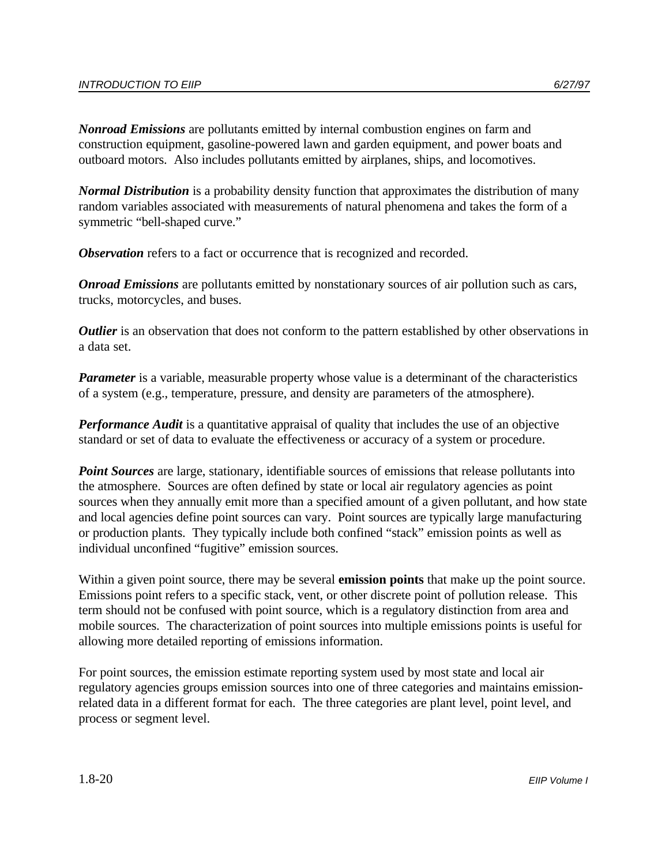*Nonroad Emissions* are pollutants emitted by internal combustion engines on farm and construction equipment, gasoline-powered lawn and garden equipment, and power boats and outboard motors. Also includes pollutants emitted by airplanes, ships, and locomotives.

*Normal Distribution* is a probability density function that approximates the distribution of many random variables associated with measurements of natural phenomena and takes the form of a symmetric "bell-shaped curve."

*Observation* refers to a fact or occurrence that is recognized and recorded.

*Onroad Emissions* are pollutants emitted by nonstationary sources of air pollution such as cars, trucks, motorcycles, and buses.

*Outlier* is an observation that does not conform to the pattern established by other observations in a data set.

*Parameter* is a variable, measurable property whose value is a determinant of the characteristics of a system (e.g., temperature, pressure, and density are parameters of the atmosphere).

*Performance Audit* is a quantitative appraisal of quality that includes the use of an objective standard or set of data to evaluate the effectiveness or accuracy of a system or procedure.

**Point Sources** are large, stationary, identifiable sources of emissions that release pollutants into the atmosphere. Sources are often defined by state or local air regulatory agencies as point sources when they annually emit more than a specified amount of a given pollutant, and how state and local agencies define point sources can vary. Point sources are typically large manufacturing or production plants. They typically include both confined "stack" emission points as well as individual unconfined "fugitive" emission sources.

Within a given point source, there may be several **emission points** that make up the point source. Emissions point refers to a specific stack, vent, or other discrete point of pollution release. This term should not be confused with point source, which is a regulatory distinction from area and mobile sources. The characterization of point sources into multiple emissions points is useful for allowing more detailed reporting of emissions information.

For point sources, the emission estimate reporting system used by most state and local air regulatory agencies groups emission sources into one of three categories and maintains emissionrelated data in a different format for each. The three categories are plant level, point level, and process or segment level.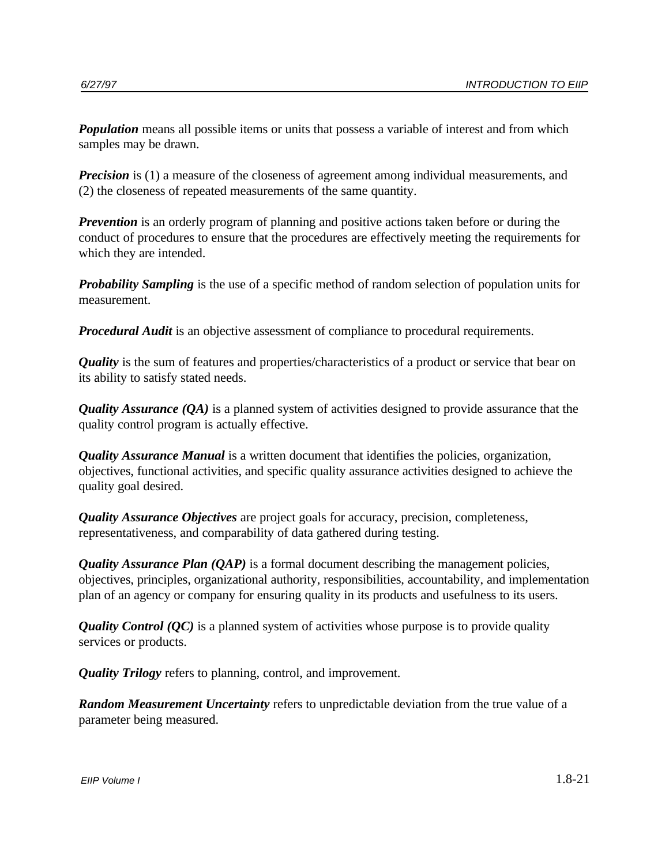*Population* means all possible items or units that possess a variable of interest and from which samples may be drawn.

*Precision* is (1) a measure of the closeness of agreement among individual measurements, and (2) the closeness of repeated measurements of the same quantity.

*Prevention* is an orderly program of planning and positive actions taken before or during the conduct of procedures to ensure that the procedures are effectively meeting the requirements for which they are intended.

*Probability Sampling* is the use of a specific method of random selection of population units for measurement.

*Procedural Audit* is an objective assessment of compliance to procedural requirements.

*Quality* is the sum of features and properties/characteristics of a product or service that bear on its ability to satisfy stated needs.

*Quality Assurance (QA)* is a planned system of activities designed to provide assurance that the quality control program is actually effective.

*Quality Assurance Manual* is a written document that identifies the policies, organization, objectives, functional activities, and specific quality assurance activities designed to achieve the quality goal desired.

*Quality Assurance Objectives* are project goals for accuracy, precision, completeness, representativeness, and comparability of data gathered during testing.

*Quality Assurance Plan (QAP)* is a formal document describing the management policies, objectives, principles, organizational authority, responsibilities, accountability, and implementation plan of an agency or company for ensuring quality in its products and usefulness to its users.

*Quality Control (OC)* is a planned system of activities whose purpose is to provide quality services or products.

*Quality Trilogy* refers to planning, control, and improvement.

*Random Measurement Uncertainty* refers to unpredictable deviation from the true value of a parameter being measured.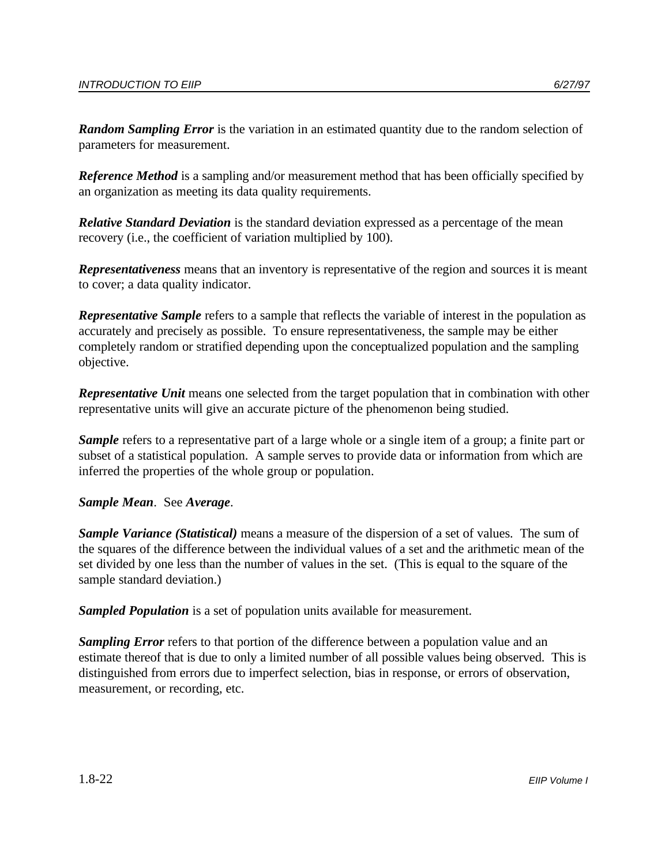*Random Sampling Error* is the variation in an estimated quantity due to the random selection of parameters for measurement.

*Reference Method* is a sampling and/or measurement method that has been officially specified by an organization as meeting its data quality requirements.

*Relative Standard Deviation* is the standard deviation expressed as a percentage of the mean recovery (i.e., the coefficient of variation multiplied by 100).

*Representativeness* means that an inventory is representative of the region and sources it is meant to cover; a data quality indicator.

*Representative Sample* refers to a sample that reflects the variable of interest in the population as accurately and precisely as possible. To ensure representativeness, the sample may be either completely random or stratified depending upon the conceptualized population and the sampling objective.

*Representative Unit* means one selected from the target population that in combination with other representative units will give an accurate picture of the phenomenon being studied.

*Sample* refers to a representative part of a large whole or a single item of a group; a finite part or subset of a statistical population. A sample serves to provide data or information from which are inferred the properties of the whole group or population.

#### *Sample Mean*. See *Average*.

*Sample Variance (Statistical)* means a measure of the dispersion of a set of values. The sum of the squares of the difference between the individual values of a set and the arithmetic mean of the set divided by one less than the number of values in the set. (This is equal to the square of the sample standard deviation.)

*Sampled Population* is a set of population units available for measurement.

*Sampling Error* refers to that portion of the difference between a population value and an estimate thereof that is due to only a limited number of all possible values being observed. This is distinguished from errors due to imperfect selection, bias in response, or errors of observation, measurement, or recording, etc.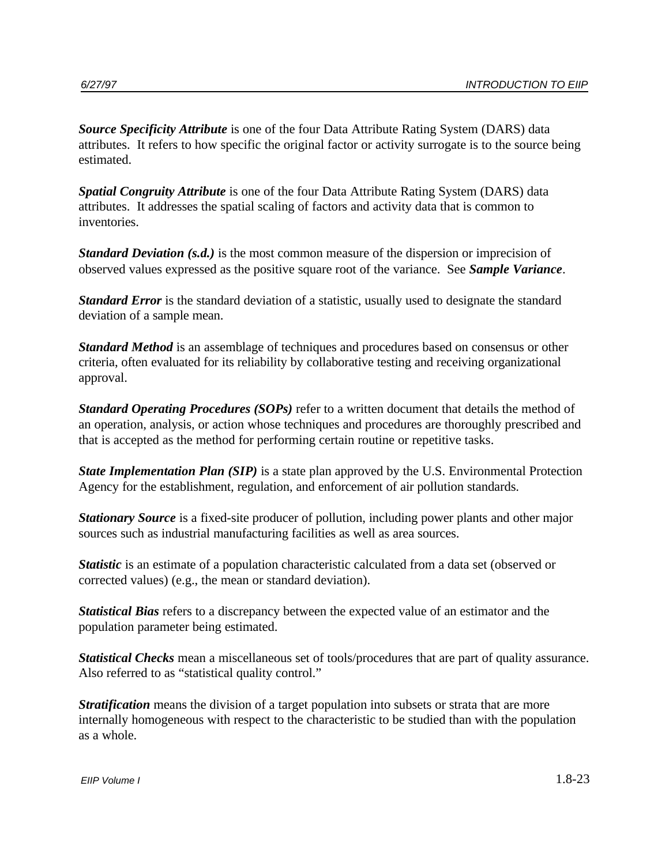*Source Specificity Attribute* is one of the four Data Attribute Rating System (DARS) data attributes. It refers to how specific the original factor or activity surrogate is to the source being estimated.

*Spatial Congruity Attribute* is one of the four Data Attribute Rating System (DARS) data attributes. It addresses the spatial scaling of factors and activity data that is common to inventories.

*Standard Deviation (s.d.)* is the most common measure of the dispersion or imprecision of observed values expressed as the positive square root of the variance. See *Sample Variance*.

*Standard Error* is the standard deviation of a statistic, usually used to designate the standard deviation of a sample mean.

*Standard Method* is an assemblage of techniques and procedures based on consensus or other criteria, often evaluated for its reliability by collaborative testing and receiving organizational approval.

**Standard Operating Procedures (SOPs)** refer to a written document that details the method of an operation, analysis, or action whose techniques and procedures are thoroughly prescribed and that is accepted as the method for performing certain routine or repetitive tasks.

*State Implementation Plan (SIP)* is a state plan approved by the U.S. Environmental Protection Agency for the establishment, regulation, and enforcement of air pollution standards.

*Stationary Source* is a fixed-site producer of pollution, including power plants and other major sources such as industrial manufacturing facilities as well as area sources.

*Statistic* is an estimate of a population characteristic calculated from a data set (observed or corrected values) (e.g., the mean or standard deviation).

*Statistical Bias* refers to a discrepancy between the expected value of an estimator and the population parameter being estimated.

*Statistical Checks* mean a miscellaneous set of tools/procedures that are part of quality assurance. Also referred to as "statistical quality control."

*Stratification* means the division of a target population into subsets or strata that are more internally homogeneous with respect to the characteristic to be studied than with the population as a whole.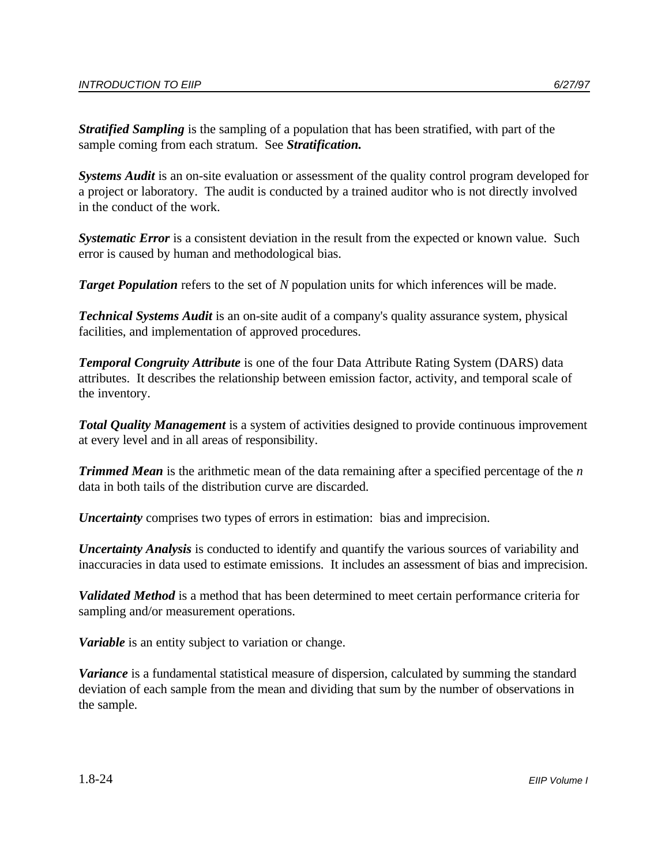*Stratified Sampling* is the sampling of a population that has been stratified, with part of the sample coming from each stratum. See *Stratification.*

*Systems Audit* is an on-site evaluation or assessment of the quality control program developed for a project or laboratory. The audit is conducted by a trained auditor who is not directly involved in the conduct of the work.

**Systematic Error** is a consistent deviation in the result from the expected or known value. Such error is caused by human and methodological bias.

*Target Population* refers to the set of *N* population units for which inferences will be made.

*Technical Systems Audit* is an on-site audit of a company's quality assurance system, physical facilities, and implementation of approved procedures.

*Temporal Congruity Attribute* is one of the four Data Attribute Rating System (DARS) data attributes. It describes the relationship between emission factor, activity, and temporal scale of the inventory.

*Total Quality Management* is a system of activities designed to provide continuous improvement at every level and in all areas of responsibility.

*Trimmed Mean* is the arithmetic mean of the data remaining after a specified percentage of the *n* data in both tails of the distribution curve are discarded.

*Uncertainty* comprises two types of errors in estimation: bias and imprecision.

*Uncertainty Analysis* is conducted to identify and quantify the various sources of variability and inaccuracies in data used to estimate emissions. It includes an assessment of bias and imprecision.

*Validated Method* is a method that has been determined to meet certain performance criteria for sampling and/or measurement operations.

*Variable* is an entity subject to variation or change.

*Variance* is a fundamental statistical measure of dispersion, calculated by summing the standard deviation of each sample from the mean and dividing that sum by the number of observations in the sample.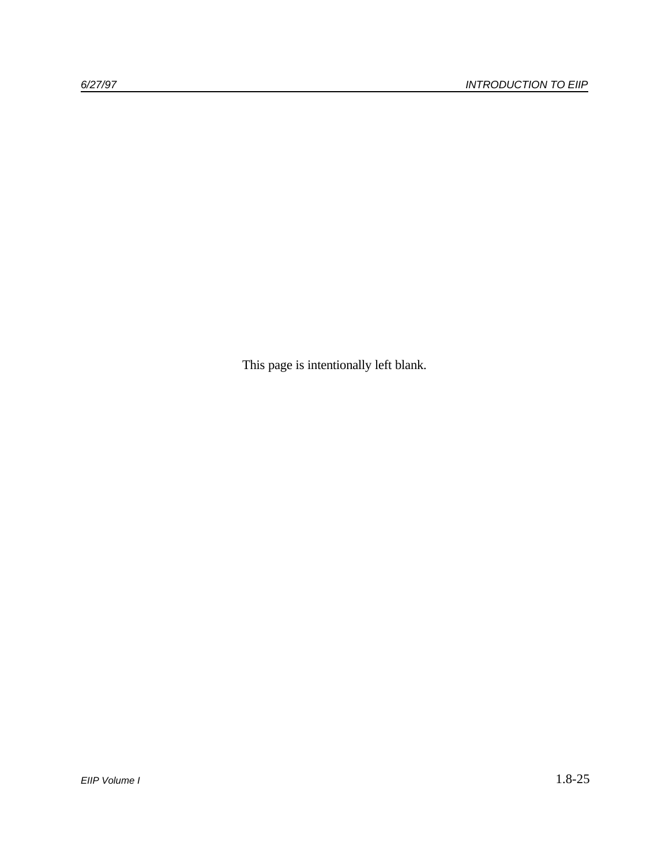This page is intentionally left blank.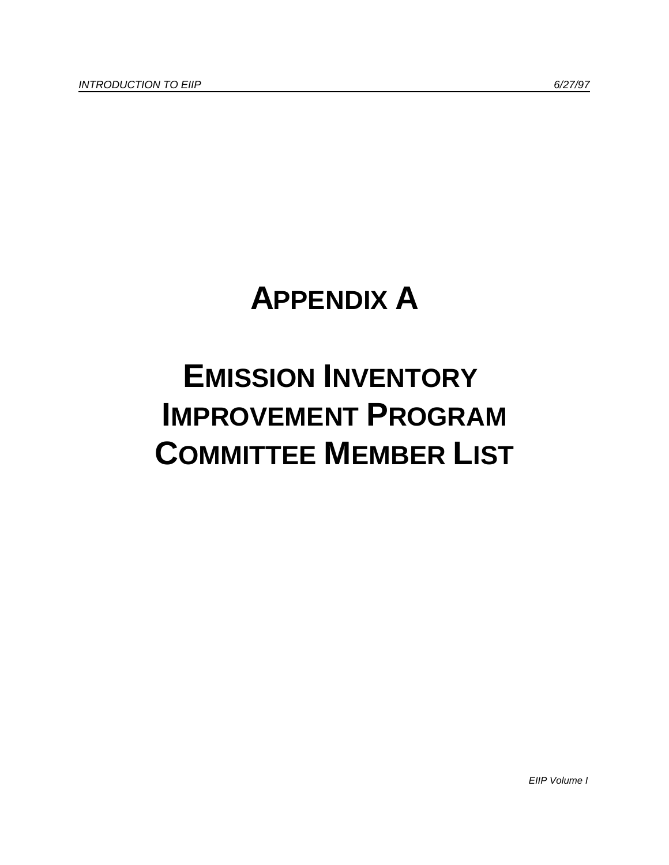## **APPENDIX A**

## **EMISSION INVENTORY IMPROVEMENT PROGRAM COMMITTEE MEMBER LIST**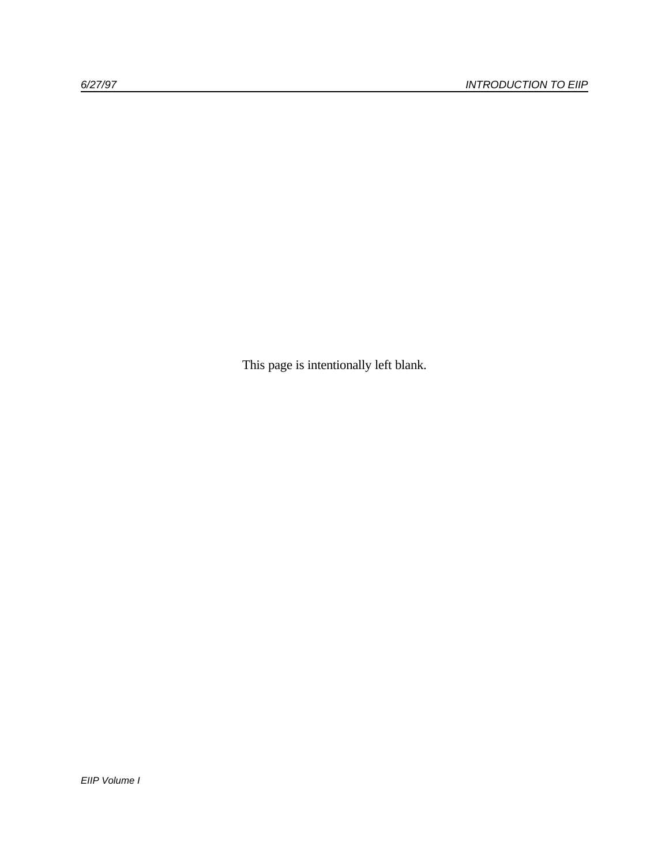This page is intentionally left blank.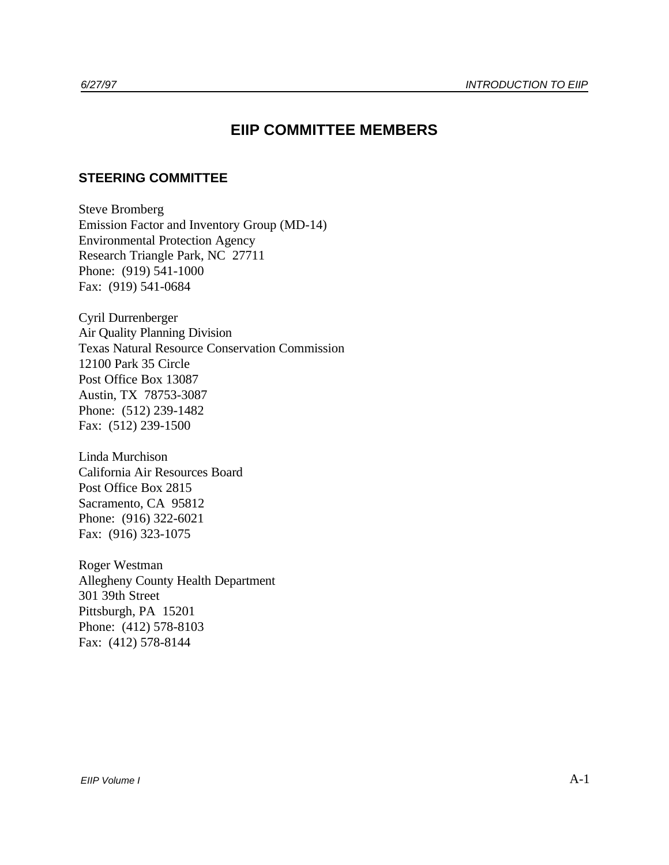### **EIIP COMMITTEE MEMBERS**

#### **STEERING COMMITTEE**

Steve Bromberg Emission Factor and Inventory Group (MD-14) Environmental Protection Agency Research Triangle Park, NC 27711 Phone: (919) 541-1000 Fax: (919) 541-0684

Cyril Durrenberger Air Quality Planning Division Texas Natural Resource Conservation Commission 12100 Park 35 Circle Post Office Box 13087 Austin, TX 78753-3087 Phone: (512) 239-1482 Fax: (512) 239-1500

Linda Murchison California Air Resources Board Post Office Box 2815 Sacramento, CA 95812 Phone: (916) 322-6021 Fax: (916) 323-1075

Roger Westman Allegheny County Health Department 301 39th Street Pittsburgh, PA 15201 Phone: (412) 578-8103 Fax: (412) 578-8144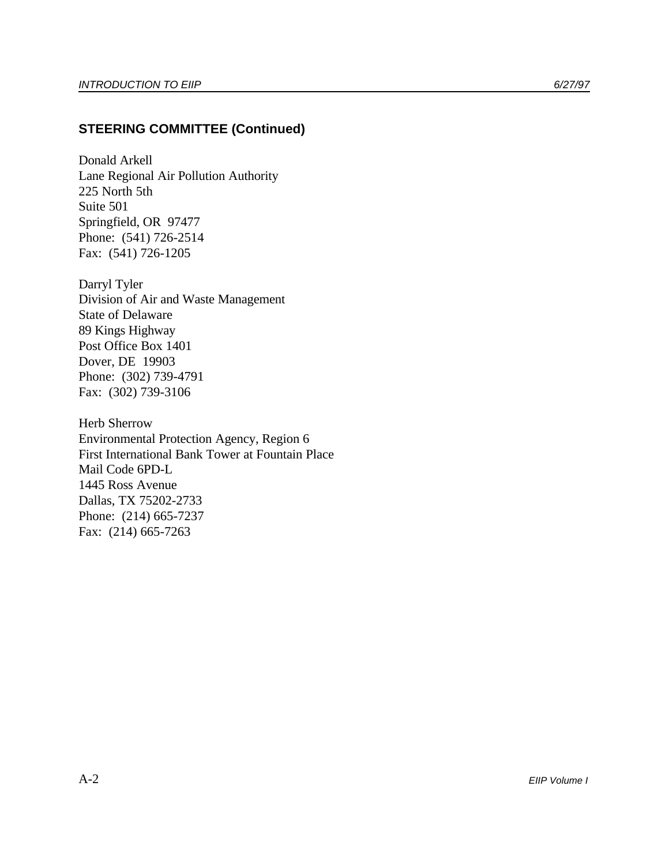#### **STEERING COMMITTEE (Continued)**

Donald Arkell Lane Regional Air Pollution Authority 225 North 5th Suite 501 Springfield, OR 97477 Phone: (541) 726-2514 Fax: (541) 726-1205

Darryl Tyler Division of Air and Waste Management State of Delaware 89 Kings Highway Post Office Box 1401 Dover, DE 19903 Phone: (302) 739-4791 Fax: (302) 739-3106

Herb Sherrow Environmental Protection Agency, Region 6 First International Bank Tower at Fountain Place Mail Code 6PD-L 1445 Ross Avenue Dallas, TX 75202-2733 Phone: (214) 665-7237 Fax: (214) 665-7263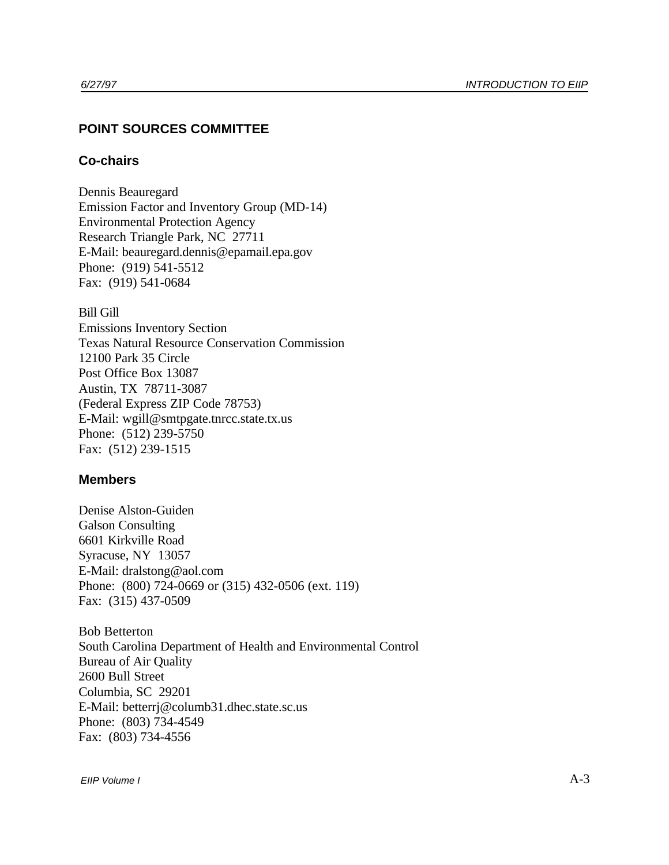#### **POINT SOURCES COMMITTEE**

#### **Co-chairs**

Dennis Beauregard Emission Factor and Inventory Group (MD-14) Environmental Protection Agency Research Triangle Park, NC 27711 E-Mail: beauregard.dennis@epamail.epa.gov Phone: (919) 541-5512 Fax: (919) 541-0684

Bill Gill

Emissions Inventory Section Texas Natural Resource Conservation Commission 12100 Park 35 Circle Post Office Box 13087 Austin, TX 78711-3087 (Federal Express ZIP Code 78753) E-Mail: wgill@smtpgate.tnrcc.state.tx.us Phone: (512) 239-5750 Fax: (512) 239-1515

#### **Members**

Denise Alston-Guiden Galson Consulting 6601 Kirkville Road Syracuse, NY 13057 E-Mail: dralstong@aol.com Phone: (800) 724-0669 or (315) 432-0506 (ext. 119) Fax: (315) 437-0509

Bob Betterton South Carolina Department of Health and Environmental Control Bureau of Air Quality 2600 Bull Street Columbia, SC 29201 E-Mail: betterrj@columb31.dhec.state.sc.us Phone: (803) 734-4549 Fax: (803) 734-4556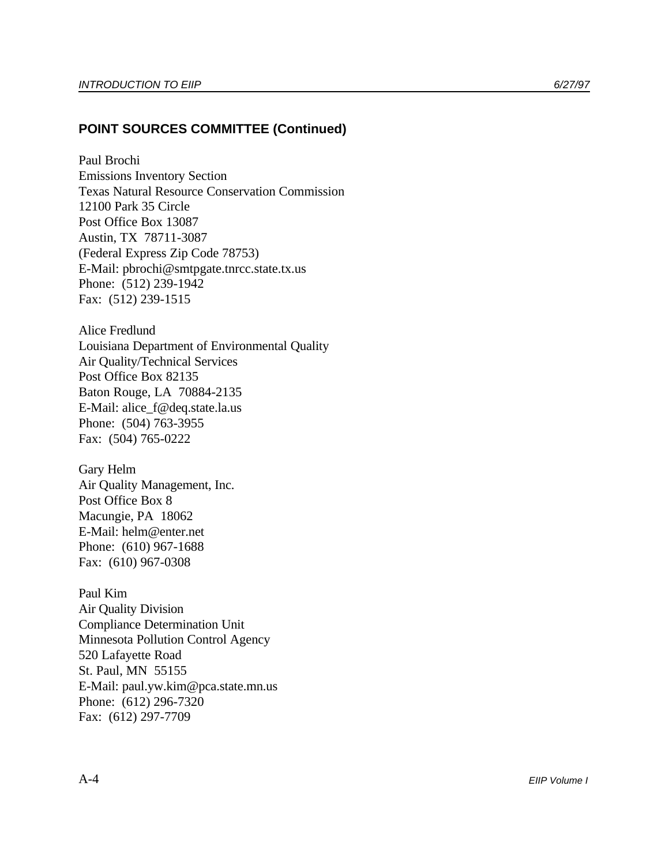#### **POINT SOURCES COMMITTEE (Continued)**

Paul Brochi Emissions Inventory Section Texas Natural Resource Conservation Commission 12100 Park 35 Circle Post Office Box 13087 Austin, TX 78711-3087 (Federal Express Zip Code 78753) E-Mail: pbrochi@smtpgate.tnrcc.state.tx.us Phone: (512) 239-1942 Fax: (512) 239-1515

Alice Fredlund Louisiana Department of Environmental Quality Air Quality/Technical Services Post Office Box 82135 Baton Rouge, LA 70884-2135 E-Mail: alice\_f@deq.state.la.us Phone: (504) 763-3955 Fax: (504) 765-0222

Gary Helm Air Quality Management, Inc. Post Office Box 8 Macungie, PA 18062 E-Mail: helm@enter.net Phone: (610) 967-1688 Fax: (610) 967-0308

Paul Kim Air Quality Division Compliance Determination Unit Minnesota Pollution Control Agency 520 Lafayette Road St. Paul, MN 55155 E-Mail: paul.yw.kim@pca.state.mn.us Phone: (612) 296-7320 Fax: (612) 297-7709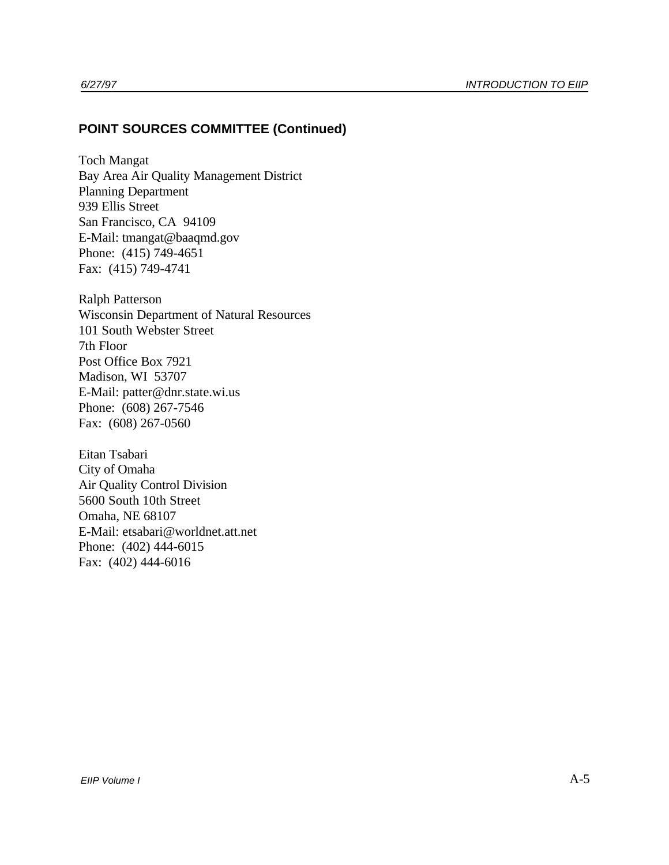#### **POINT SOURCES COMMITTEE (Continued)**

Toch Mangat Bay Area Air Quality Management District Planning Department 939 Ellis Street San Francisco, CA 94109 E-Mail: tmangat@baaqmd.gov Phone: (415) 749-4651 Fax: (415) 749-4741

Ralph Patterson Wisconsin Department of Natural Resources 101 South Webster Street 7th Floor Post Office Box 7921 Madison, WI 53707 E-Mail: patter@dnr.state.wi.us Phone: (608) 267-7546 Fax: (608) 267-0560

Eitan Tsabari City of Omaha Air Quality Control Division 5600 South 10th Street Omaha, NE 68107 E-Mail: etsabari@worldnet.att.net Phone: (402) 444-6015 Fax: (402) 444-6016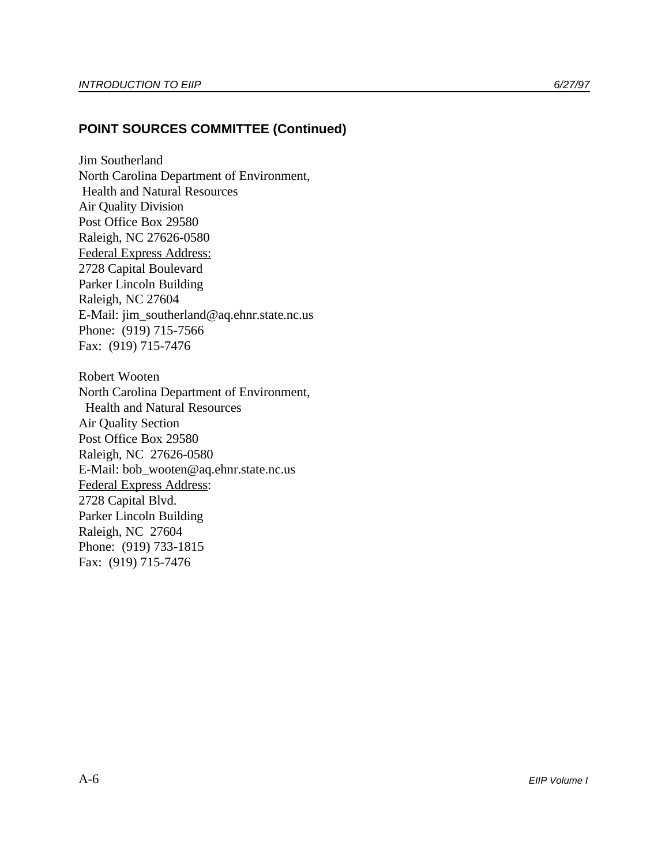### **POINT SOURCES COMMITTEE (Continued)**

Jim Southerland North Carolina Department of Environment, Health and Natural Resources Air Quality Division Post Office Box 29580 Raleigh, NC 27626-0580 Federal Express Address: 2728 Capital Boulevard Parker Lincoln Building Raleigh, NC 27604 E-Mail: jim\_southerland@aq.ehnr.state.nc.us Phone: (919) 715-7566 Fax: (919) 715-7476

Robert Wooten North Carolina Department of Environment, Health and Natural Resources Air Quality Section Post Office Box 29580 Raleigh, NC 27626-0580 E-Mail: bob\_wooten@aq.ehnr.state.nc.us Federal Express Address: 2728 Capital Blvd. Parker Lincoln Building Raleigh, NC 27604 Phone: (919) 733-1815 Fax: (919) 715-7476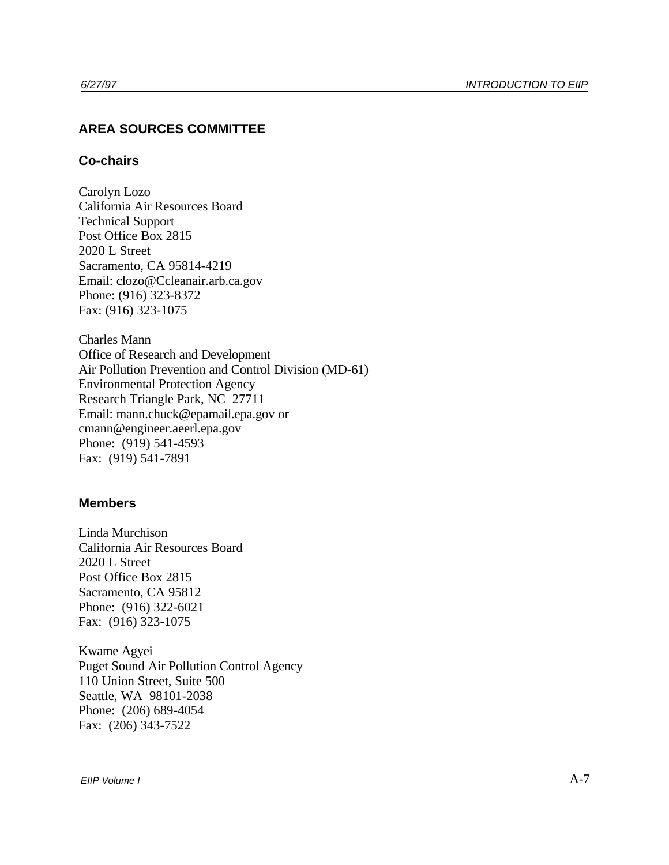#### **AREA SOURCES COMMITTEE**

#### **Co-chairs**

Carolyn Lozo California Air Resources Board Technical Support Post Office Box 2815 2020 L Street Sacramento, CA 95814-4219 Email: clozo@Ccleanair.arb.ca.gov Phone: (916) 323-8372 Fax: (916) 323-1075

Charles Mann Office of Research and Development Air Pollution Prevention and Control Division (MD-61) Environmental Protection Agency Research Triangle Park, NC 27711 Email: mann.chuck@epamail.epa.gov or cmann@engineer.aeerl.epa.gov Phone: (919) 541-4593 Fax: (919) 541-7891

#### **Members**

Linda Murchison California Air Resources Board 2020 L Street Post Office Box 2815 Sacramento, CA 95812 Phone: (916) 322-6021 Fax: (916) 323-1075

Kwame Agyei Puget Sound Air Pollution Control Agency 110 Union Street, Suite 500 Seattle, WA 98101-2038 Phone: (206) 689-4054 Fax: (206) 343-7522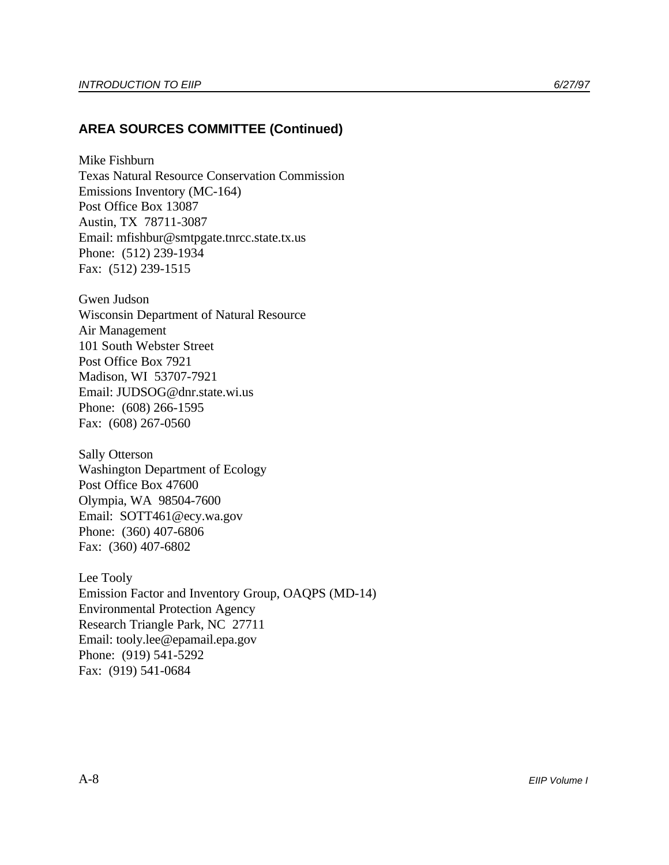#### **AREA SOURCES COMMITTEE (Continued)**

Mike Fishburn Texas Natural Resource Conservation Commission Emissions Inventory (MC-164) Post Office Box 13087 Austin, TX 78711-3087 Email: mfishbur@smtpgate.tnrcc.state.tx.us Phone: (512) 239-1934 Fax: (512) 239-1515

Gwen Judson Wisconsin Department of Natural Resource Air Management 101 South Webster Street Post Office Box 7921 Madison, WI 53707-7921 Email: JUDSOG@dnr.state.wi.us Phone: (608) 266-1595 Fax: (608) 267-0560

Sally Otterson Washington Department of Ecology Post Office Box 47600 Olympia, WA 98504-7600 Email: SOTT461@ecy.wa.gov Phone: (360) 407-6806 Fax: (360) 407-6802

Lee Tooly Emission Factor and Inventory Group, OAQPS (MD-14) Environmental Protection Agency Research Triangle Park, NC 27711 Email: tooly.lee@epamail.epa.gov Phone: (919) 541-5292 Fax: (919) 541-0684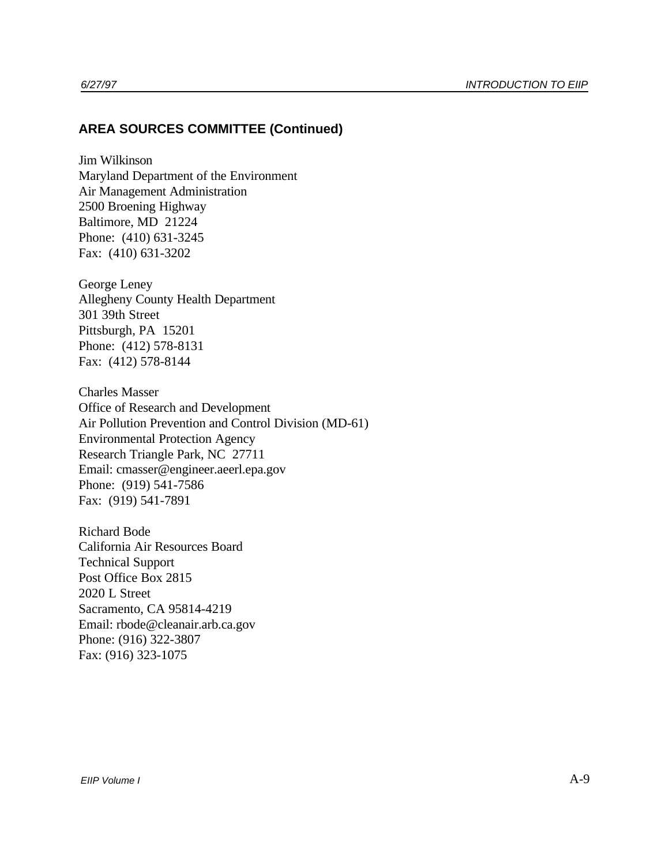## **AREA SOURCES COMMITTEE (Continued)**

Jim Wilkinson Maryland Department of the Environment Air Management Administration 2500 Broening Highway Baltimore, MD 21224 Phone: (410) 631-3245 Fax: (410) 631-3202

George Leney Allegheny County Health Department 301 39th Street Pittsburgh, PA 15201 Phone: (412) 578-8131 Fax: (412) 578-8144

Charles Masser Office of Research and Development Air Pollution Prevention and Control Division (MD-61) Environmental Protection Agency Research Triangle Park, NC 27711 Email: cmasser@engineer.aeerl.epa.gov Phone: (919) 541-7586 Fax: (919) 541-7891

Richard Bode California Air Resources Board Technical Support Post Office Box 2815 2020 L Street Sacramento, CA 95814-4219 Email: rbode@cleanair.arb.ca.gov Phone: (916) 322-3807 Fax: (916) 323-1075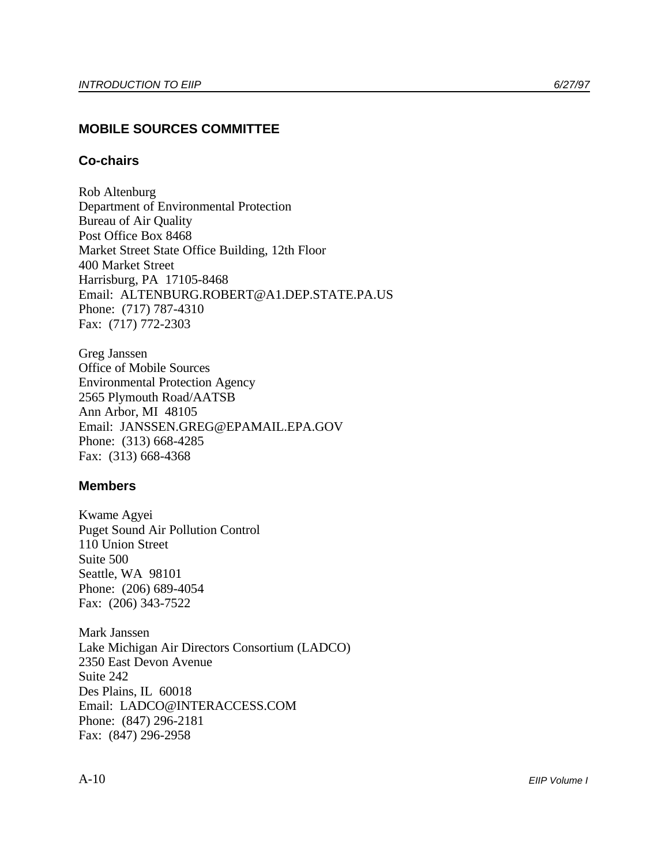## **MOBILE SOURCES COMMITTEE**

#### **Co-chairs**

Rob Altenburg Department of Environmental Protection Bureau of Air Quality Post Office Box 8468 Market Street State Office Building, 12th Floor 400 Market Street Harrisburg, PA 17105-8468 Email: ALTENBURG.ROBERT@A1.DEP.STATE.PA.US Phone: (717) 787-4310 Fax: (717) 772-2303

Greg Janssen Office of Mobile Sources Environmental Protection Agency 2565 Plymouth Road/AATSB Ann Arbor, MI 48105 Email: JANSSEN.GREG@EPAMAIL.EPA.GOV Phone: (313) 668-4285 Fax: (313) 668-4368

#### **Members**

Kwame Agyei Puget Sound Air Pollution Control 110 Union Street Suite 500 Seattle, WA 98101 Phone: (206) 689-4054 Fax: (206) 343-7522

Mark Janssen Lake Michigan Air Directors Consortium (LADCO) 2350 East Devon Avenue Suite 242 Des Plains, IL 60018 Email: LADCO@INTERACCESS.COM Phone: (847) 296-2181 Fax: (847) 296-2958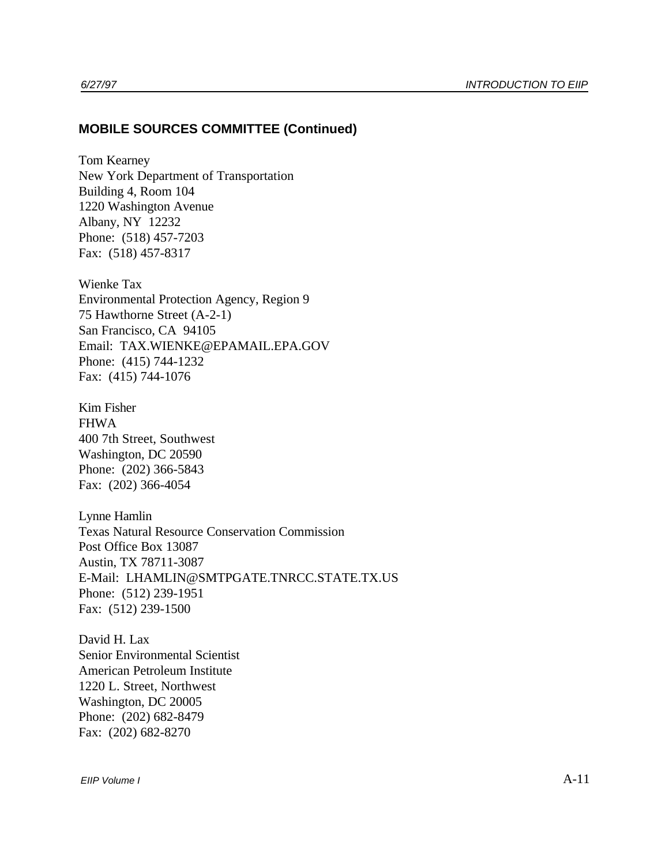#### **MOBILE SOURCES COMMITTEE (Continued)**

Tom Kearney New York Department of Transportation Building 4, Room 104 1220 Washington Avenue Albany, NY 12232 Phone: (518) 457-7203 Fax: (518) 457-8317

Wienke Tax Environmental Protection Agency, Region 9 75 Hawthorne Street (A-2-1) San Francisco, CA 94105 Email: TAX.WIENKE@EPAMAIL.EPA.GOV Phone: (415) 744-1232 Fax: (415) 744-1076

Kim Fisher FHWA 400 7th Street, Southwest Washington, DC 20590 Phone: (202) 366-5843 Fax: (202) 366-4054

Lynne Hamlin Texas Natural Resource Conservation Commission Post Office Box 13087 Austin, TX 78711-3087 E-Mail: LHAMLIN@SMTPGATE.TNRCC.STATE.TX.US Phone: (512) 239-1951 Fax: (512) 239-1500

David H. Lax Senior Environmental Scientist American Petroleum Institute 1220 L. Street, Northwest Washington, DC 20005 Phone: (202) 682-8479 Fax: (202) 682-8270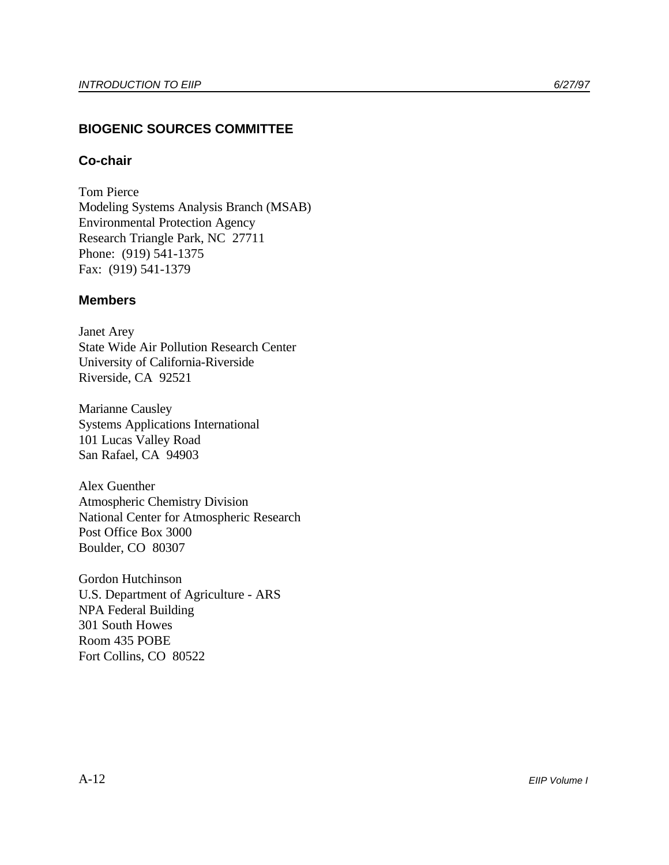## **BIOGENIC SOURCES COMMITTEE**

## **Co-chair**

Tom Pierce Modeling Systems Analysis Branch (MSAB) Environmental Protection Agency Research Triangle Park, NC 27711 Phone: (919) 541-1375 Fax: (919) 541-1379

## **Members**

Janet Arey State Wide Air Pollution Research Center University of California-Riverside Riverside, CA 92521

Marianne Causley Systems Applications International 101 Lucas Valley Road San Rafael, CA 94903

Alex Guenther Atmospheric Chemistry Division National Center for Atmospheric Research Post Office Box 3000 Boulder, CO 80307

Gordon Hutchinson U.S. Department of Agriculture - ARS NPA Federal Building 301 South Howes Room 435 POBE Fort Collins, CO 80522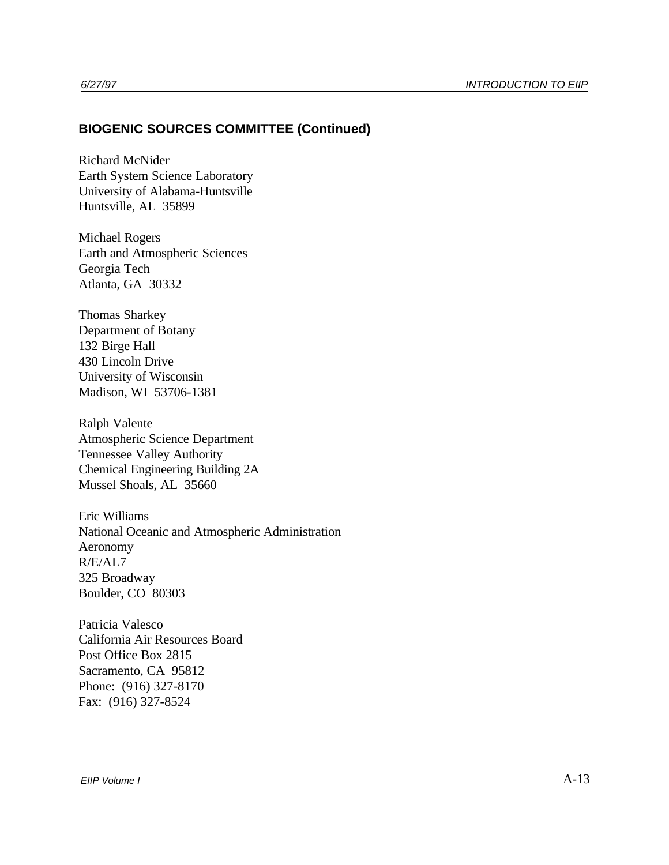## **BIOGENIC SOURCES COMMITTEE (Continued)**

Richard McNider Earth System Science Laboratory University of Alabama-Huntsville Huntsville, AL 35899

Michael Rogers Earth and Atmospheric Sciences Georgia Tech Atlanta, GA 30332

Thomas Sharkey Department of Botany 132 Birge Hall 430 Lincoln Drive University of Wisconsin Madison, WI 53706-1381

Ralph Valente Atmospheric Science Department Tennessee Valley Authority Chemical Engineering Building 2A Mussel Shoals, AL 35660

Eric Williams National Oceanic and Atmospheric Administration Aeronomy R/E/AL7 325 Broadway Boulder, CO 80303

Patricia Valesco California Air Resources Board Post Office Box 2815 Sacramento, CA 95812 Phone: (916) 327-8170 Fax: (916) 327-8524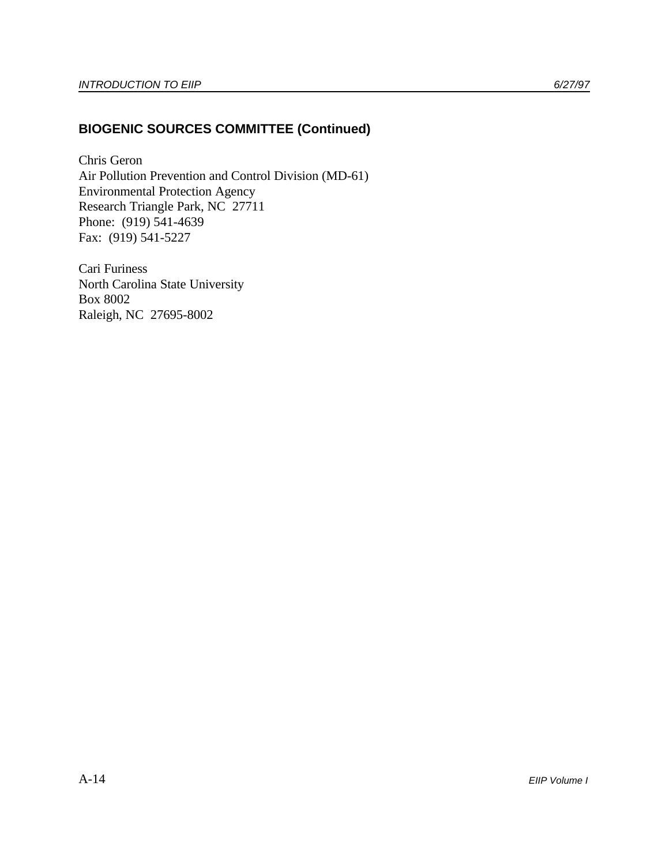# **BIOGENIC SOURCES COMMITTEE (Continued)**

Chris Geron Air Pollution Prevention and Control Division (MD-61) Environmental Protection Agency Research Triangle Park, NC 27711 Phone: (919) 541-4639 Fax: (919) 541-5227

Cari Furiness North Carolina State University Box 8002 Raleigh, NC 27695-8002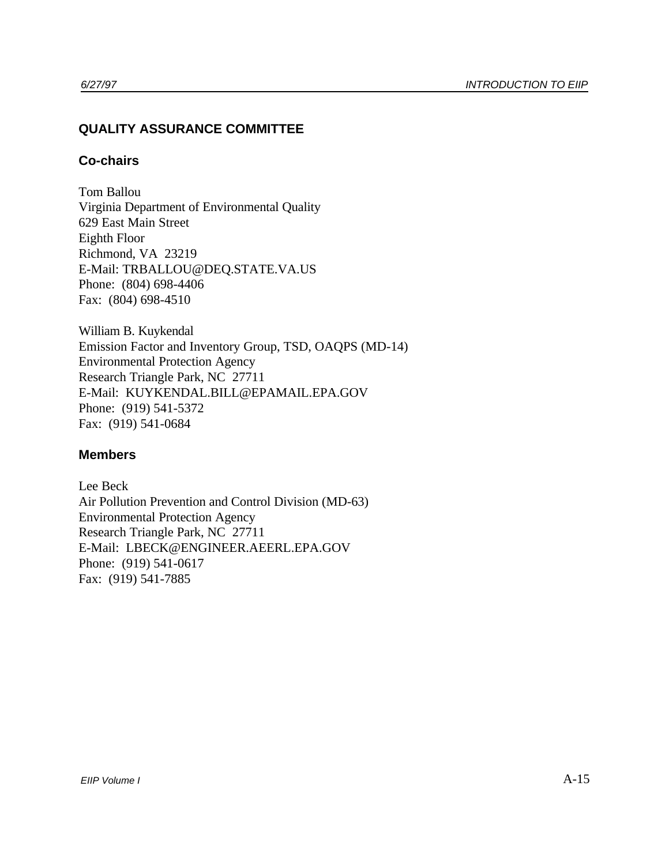## **QUALITY ASSURANCE COMMITTEE**

#### **Co-chairs**

Tom Ballou Virginia Department of Environmental Quality 629 East Main Street Eighth Floor Richmond, VA 23219 E-Mail: TRBALLOU@DEQ.STATE.VA.US Phone: (804) 698-4406 Fax: (804) 698-4510

William B. Kuykendal Emission Factor and Inventory Group, TSD, OAQPS (MD-14) Environmental Protection Agency Research Triangle Park, NC 27711 E-Mail: KUYKENDAL.BILL@EPAMAIL.EPA.GOV Phone: (919) 541-5372 Fax: (919) 541-0684

#### **Members**

Lee Beck Air Pollution Prevention and Control Division (MD-63) Environmental Protection Agency Research Triangle Park, NC 27711 E-Mail: LBECK@ENGINEER.AEERL.EPA.GOV Phone: (919) 541-0617 Fax: (919) 541-7885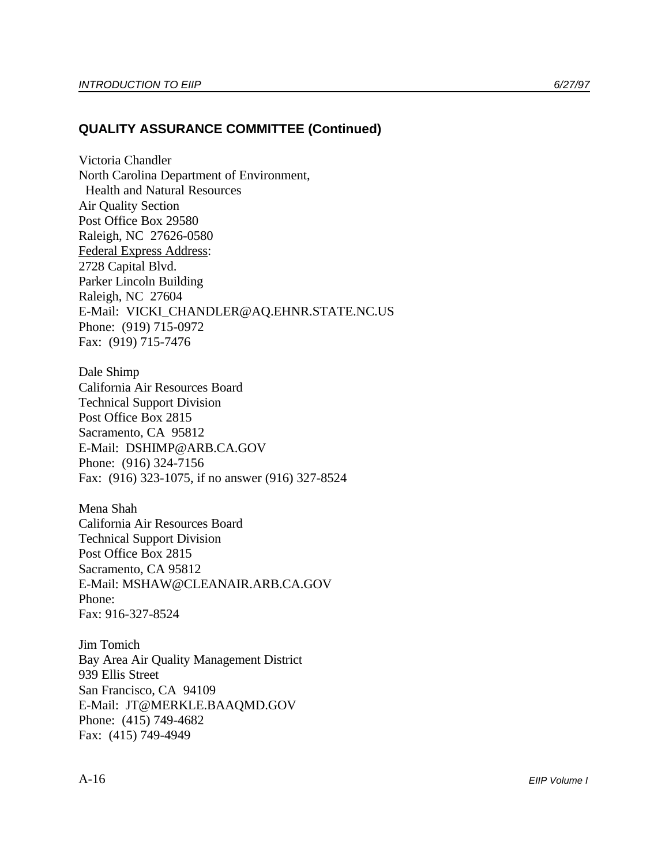# **QUALITY ASSURANCE COMMITTEE (Continued)**

Victoria Chandler North Carolina Department of Environment, Health and Natural Resources Air Quality Section Post Office Box 29580 Raleigh, NC 27626-0580 Federal Express Address: 2728 Capital Blvd. Parker Lincoln Building Raleigh, NC 27604 E-Mail: VICKI\_CHANDLER@AQ.EHNR.STATE.NC.US Phone: (919) 715-0972 Fax: (919) 715-7476

Dale Shimp California Air Resources Board Technical Support Division Post Office Box 2815 Sacramento, CA 95812 E-Mail: DSHIMP@ARB.CA.GOV Phone: (916) 324-7156 Fax: (916) 323-1075, if no answer (916) 327-8524

Mena Shah California Air Resources Board Technical Support Division Post Office Box 2815 Sacramento, CA 95812 E-Mail: MSHAW@CLEANAIR.ARB.CA.GOV Phone: Fax: 916-327-8524

Jim Tomich Bay Area Air Quality Management District 939 Ellis Street San Francisco, CA 94109 E-Mail: JT@MERKLE.BAAQMD.GOV Phone: (415) 749-4682 Fax: (415) 749-4949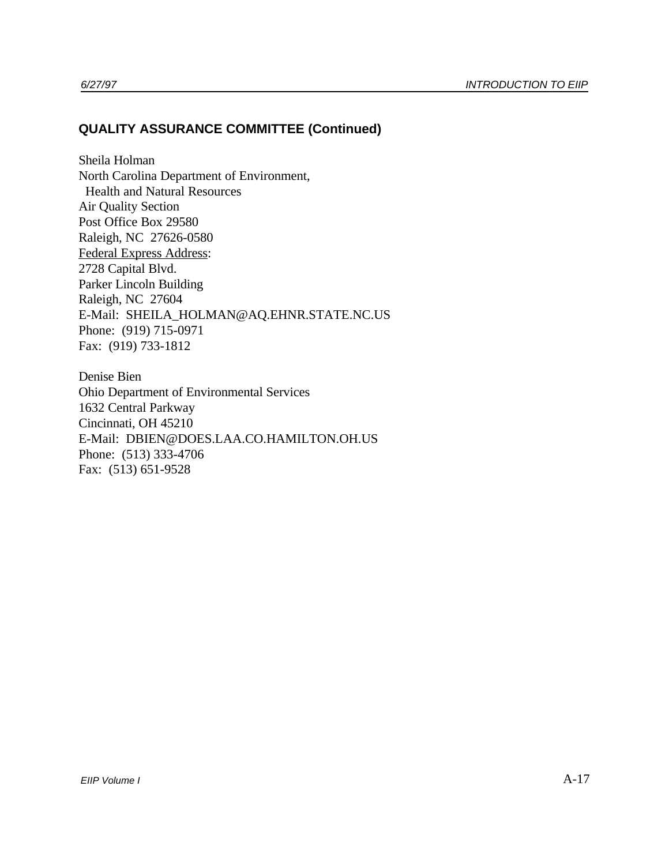## **QUALITY ASSURANCE COMMITTEE (Continued)**

Sheila Holman North Carolina Department of Environment, Health and Natural Resources Air Quality Section Post Office Box 29580 Raleigh, NC 27626-0580 Federal Express Address: 2728 Capital Blvd. Parker Lincoln Building Raleigh, NC 27604 E-Mail: SHEILA\_HOLMAN@AQ.EHNR.STATE.NC.US Phone: (919) 715-0971 Fax: (919) 733-1812

Denise Bien Ohio Department of Environmental Services 1632 Central Parkway Cincinnati, OH 45210 E-Mail: DBIEN@DOES.LAA.CO.HAMILTON.OH.US Phone: (513) 333-4706 Fax: (513) 651-9528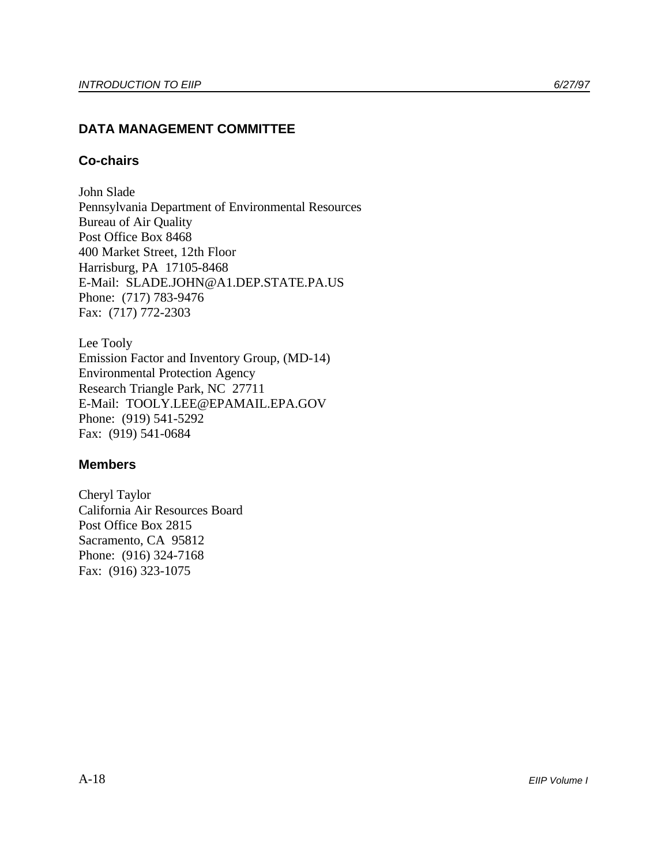## **DATA MANAGEMENT COMMITTEE**

## **Co-chairs**

John Slade Pennsylvania Department of Environmental Resources Bureau of Air Quality Post Office Box 8468 400 Market Street, 12th Floor Harrisburg, PA 17105-8468 E-Mail: SLADE.JOHN@A1.DEP.STATE.PA.US Phone: (717) 783-9476 Fax: (717) 772-2303

Lee Tooly Emission Factor and Inventory Group, (MD-14) Environmental Protection Agency Research Triangle Park, NC 27711 E-Mail: TOOLY.LEE@EPAMAIL.EPA.GOV Phone: (919) 541-5292 Fax: (919) 541-0684

## **Members**

Cheryl Taylor California Air Resources Board Post Office Box 2815 Sacramento, CA 95812 Phone: (916) 324-7168 Fax: (916) 323-1075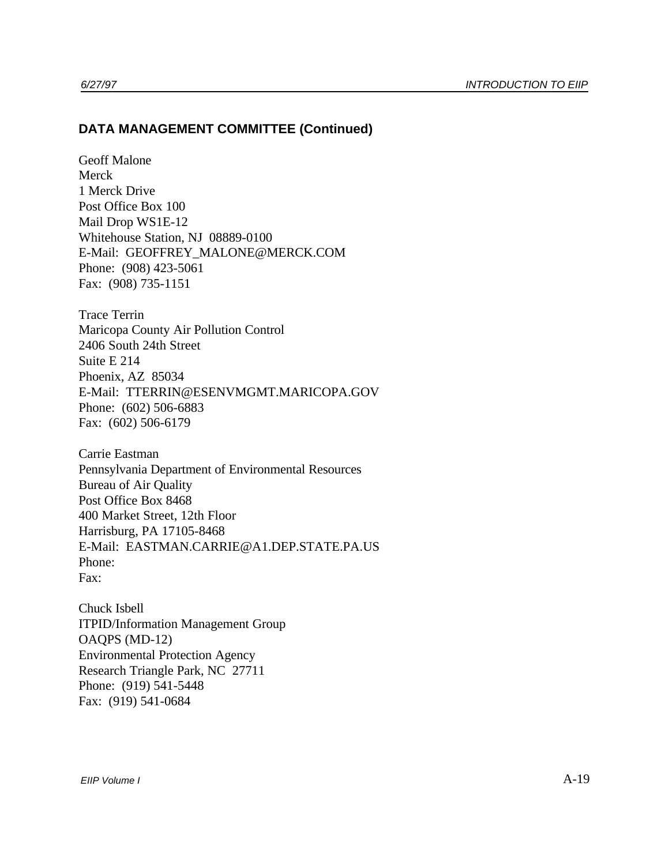#### **DATA MANAGEMENT COMMITTEE (Continued)**

Geoff Malone Merck 1 Merck Drive Post Office Box 100 Mail Drop WS1E-12 Whitehouse Station, NJ 08889-0100 E-Mail: GEOFFREY\_MALONE@MERCK.COM Phone: (908) 423-5061 Fax: (908) 735-1151

Trace Terrin Maricopa County Air Pollution Control 2406 South 24th Street Suite E 214 Phoenix, AZ 85034 E-Mail: TTERRIN@ESENVMGMT.MARICOPA.GOV Phone: (602) 506-6883 Fax: (602) 506-6179

Carrie Eastman Pennsylvania Department of Environmental Resources Bureau of Air Quality Post Office Box 8468 400 Market Street, 12th Floor Harrisburg, PA 17105-8468 E-Mail: EASTMAN.CARRIE@A1.DEP.STATE.PA.US Phone: Fax:

Chuck Isbell ITPID/Information Management Group OAQPS (MD-12) Environmental Protection Agency Research Triangle Park, NC 27711 Phone: (919) 541-5448 Fax: (919) 541-0684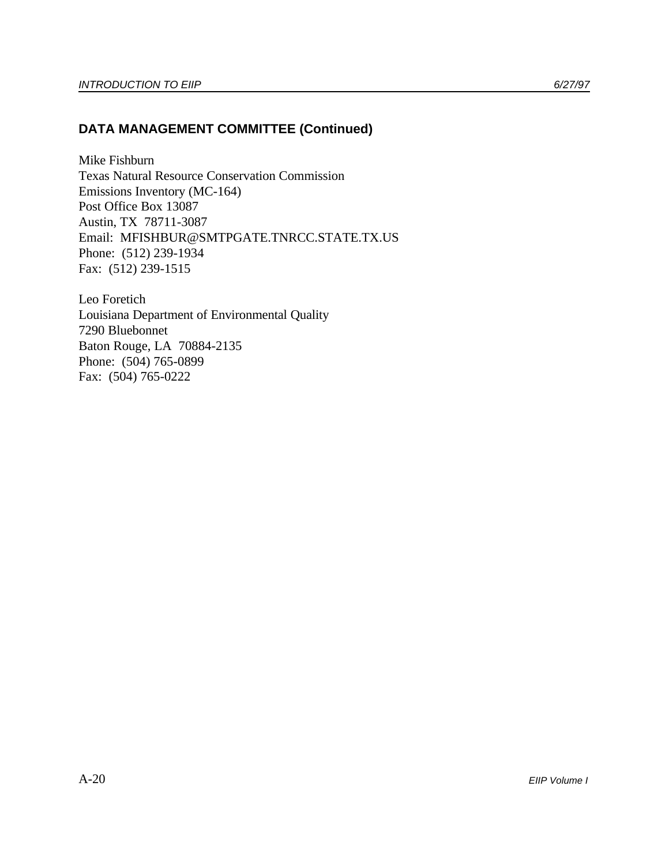## **DATA MANAGEMENT COMMITTEE (Continued)**

Mike Fishburn Texas Natural Resource Conservation Commission Emissions Inventory (MC-164) Post Office Box 13087 Austin, TX 78711-3087 Email: MFISHBUR@SMTPGATE.TNRCC.STATE.TX.US Phone: (512) 239-1934 Fax: (512) 239-1515

Leo Foretich Louisiana Department of Environmental Quality 7290 Bluebonnet Baton Rouge, LA 70884-2135 Phone: (504) 765-0899 Fax: (504) 765-0222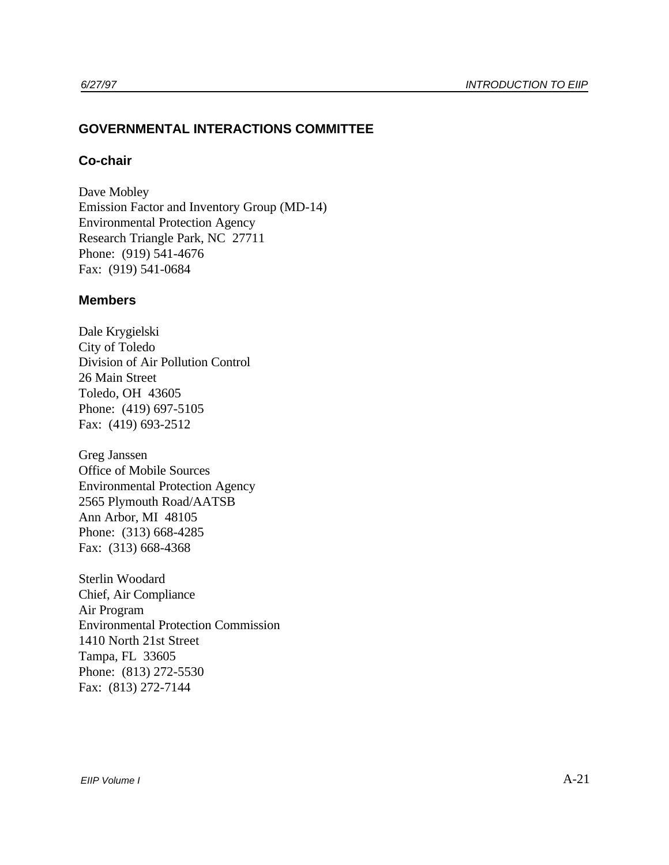#### **GOVERNMENTAL INTERACTIONS COMMITTEE**

#### **Co-chair**

Dave Mobley Emission Factor and Inventory Group (MD-14) Environmental Protection Agency Research Triangle Park, NC 27711 Phone: (919) 541-4676 Fax: (919) 541-0684

#### **Members**

Dale Krygielski City of Toledo Division of Air Pollution Control 26 Main Street Toledo, OH 43605 Phone: (419) 697-5105 Fax: (419) 693-2512

Greg Janssen Office of Mobile Sources Environmental Protection Agency 2565 Plymouth Road/AATSB Ann Arbor, MI 48105 Phone: (313) 668-4285 Fax: (313) 668-4368

Sterlin Woodard Chief, Air Compliance Air Program Environmental Protection Commission 1410 North 21st Street Tampa, FL 33605 Phone: (813) 272-5530 Fax: (813) 272-7144